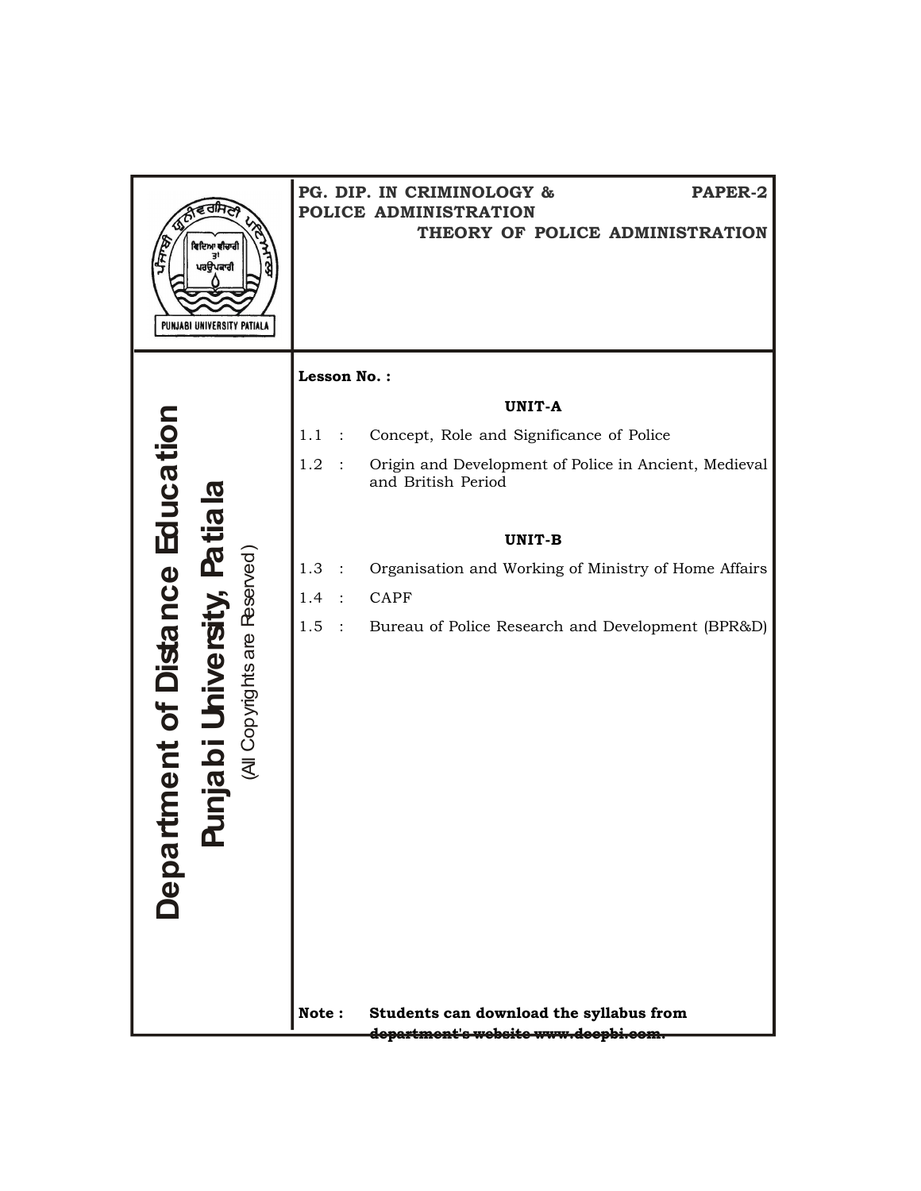| ਵਿਦਿਆ ਵੀਚਾਰੀ<br>ਪਰਉਪਕਾਰੀ<br>PUNJABI UNIVERSITY PATIAL/ |                       | PG. DIP. IN CRIMINOLOGY &<br>PAPER-2<br>POLICE ADMINISTRATION<br>THEORY OF POLICE ADMINISTRATION |  |  |
|--------------------------------------------------------|-----------------------|--------------------------------------------------------------------------------------------------|--|--|
|                                                        | Lesson No.:           |                                                                                                  |  |  |
|                                                        |                       | <b>UNIT-A</b>                                                                                    |  |  |
|                                                        | 1.1                   | Concept, Role and Significance of Police                                                         |  |  |
| Education<br>Patia la                                  | 1.2                   | Origin and Development of Police in Ancient, Medieval<br>and British Period                      |  |  |
|                                                        |                       | <b>UNIT-B</b>                                                                                    |  |  |
|                                                        | 1.3                   | Organisation and Working of Ministry of Home Affairs                                             |  |  |
|                                                        | 1.4                   | CAPF                                                                                             |  |  |
| (All Copyrights are Reserved)<br>tment of Distance     | 1.5<br>$\ddot{\cdot}$ | Bureau of Police Research and Development (BPR&D)                                                |  |  |
| njabi Universi                                         |                       |                                                                                                  |  |  |
|                                                        |                       |                                                                                                  |  |  |
|                                                        |                       |                                                                                                  |  |  |
|                                                        |                       |                                                                                                  |  |  |
| Depa                                                   |                       |                                                                                                  |  |  |
|                                                        |                       |                                                                                                  |  |  |
|                                                        |                       |                                                                                                  |  |  |
|                                                        | Note:                 | Students can download the syllabus from<br><del>department's website www.deepbi.com.</del>       |  |  |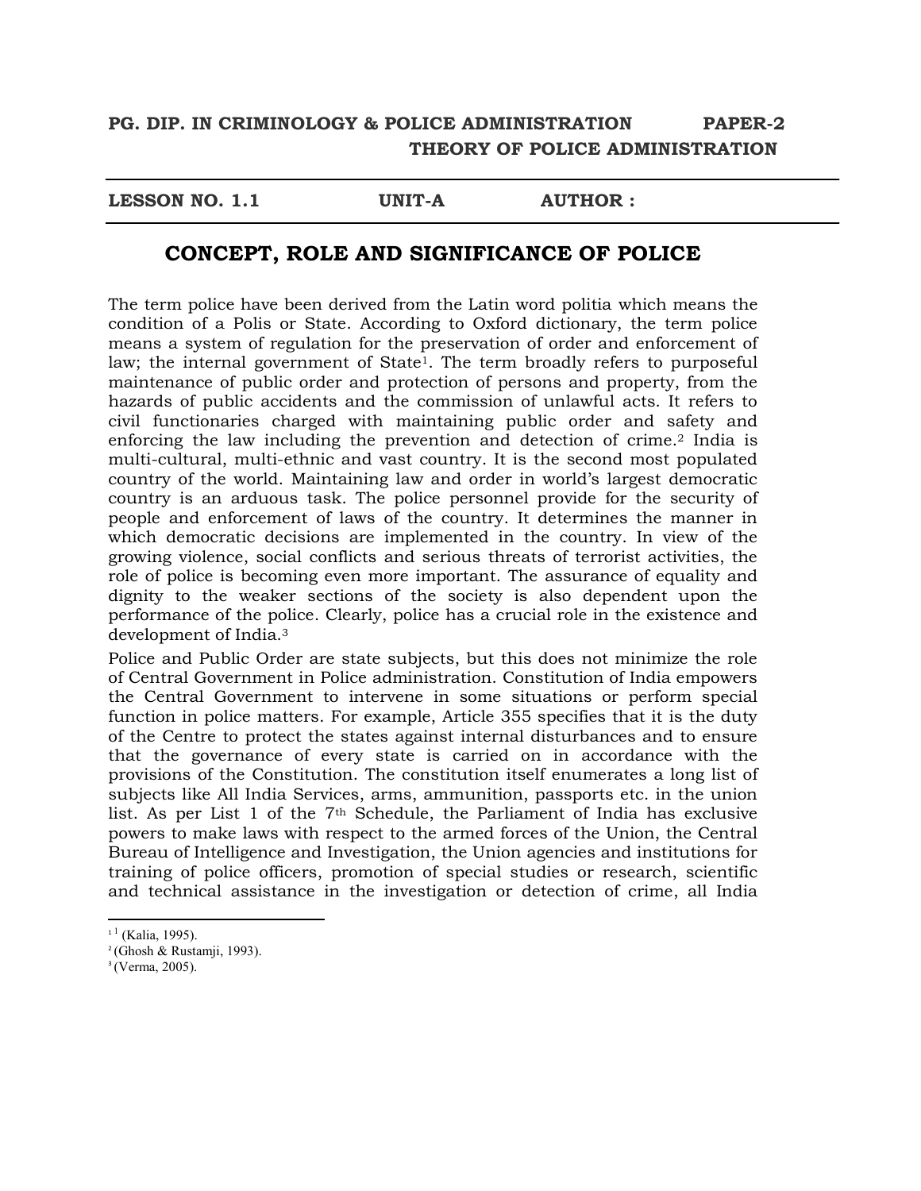# **PG. DIP. IN CRIMINOLOGY & POLICE ADMINISTRATION PAPER-2 THEORY OF POLICE ADMINISTRATION**

| LESSON NO. 1.1 | <b>UNIT-A</b> | <b>AUTHOR</b> |
|----------------|---------------|---------------|
|                |               |               |

## **CONCEPT, ROLE AND SIGNIFICANCE OF POLICE**

The term police have been derived from the Latin word politia which means the condition of a Polis or State. According to Oxford dictionary, the term police means a system of regulation for the preservation of order and enforcement of law; the internal government of  $State<sup>1</sup>$ . The term broadly refers to purposeful maintenance of public order and protection of persons and property, from the hazards of public accidents and the commission of unlawful acts. It refers to civil functionaries charged with maintaining public order and safety and enforcing the law including the prevention and detection of crime.2 India is multi-cultural, multi-ethnic and vast country. It is the second most populated country of the world. Maintaining law and order in world's largest democratic country is an arduous task. The police personnel provide for the security of people and enforcement of laws of the country. It determines the manner in which democratic decisions are implemented in the country. In view of the growing violence, social conflicts and serious threats of terrorist activities, the role of police is becoming even more important. The assurance of equality and dignity to the weaker sections of the society is also dependent upon the performance of the police. Clearly, police has a crucial role in the existence and development of India.<sup>3</sup>

Police and Public Order are state subjects, but this does not minimize the role of Central Government in Police administration. Constitution of India empowers the Central Government to intervene in some situations or perform special function in police matters. For example, Article 355 specifies that it is the duty of the Centre to protect the states against internal disturbances and to ensure that the governance of every state is carried on in accordance with the provisions of the Constitution. The constitution itself enumerates a long list of subjects like All India Services, arms, ammunition, passports etc. in the union list. As per List 1 of the  $7<sup>th</sup>$  Schedule, the Parliament of India has exclusive powers to make laws with respect to the armed forces of the Union, the Central Bureau of Intelligence and Investigation, the Union agencies and institutions for training of police officers, promotion of special studies or research, scientific and technical assistance in the investigation or detection of crime, all India

 $1<sup>1</sup>$  (Kalia, 1995).

<sup>2</sup> (Ghosh & Rustamji, 1993).

<sup>3</sup> (Verma, 2005).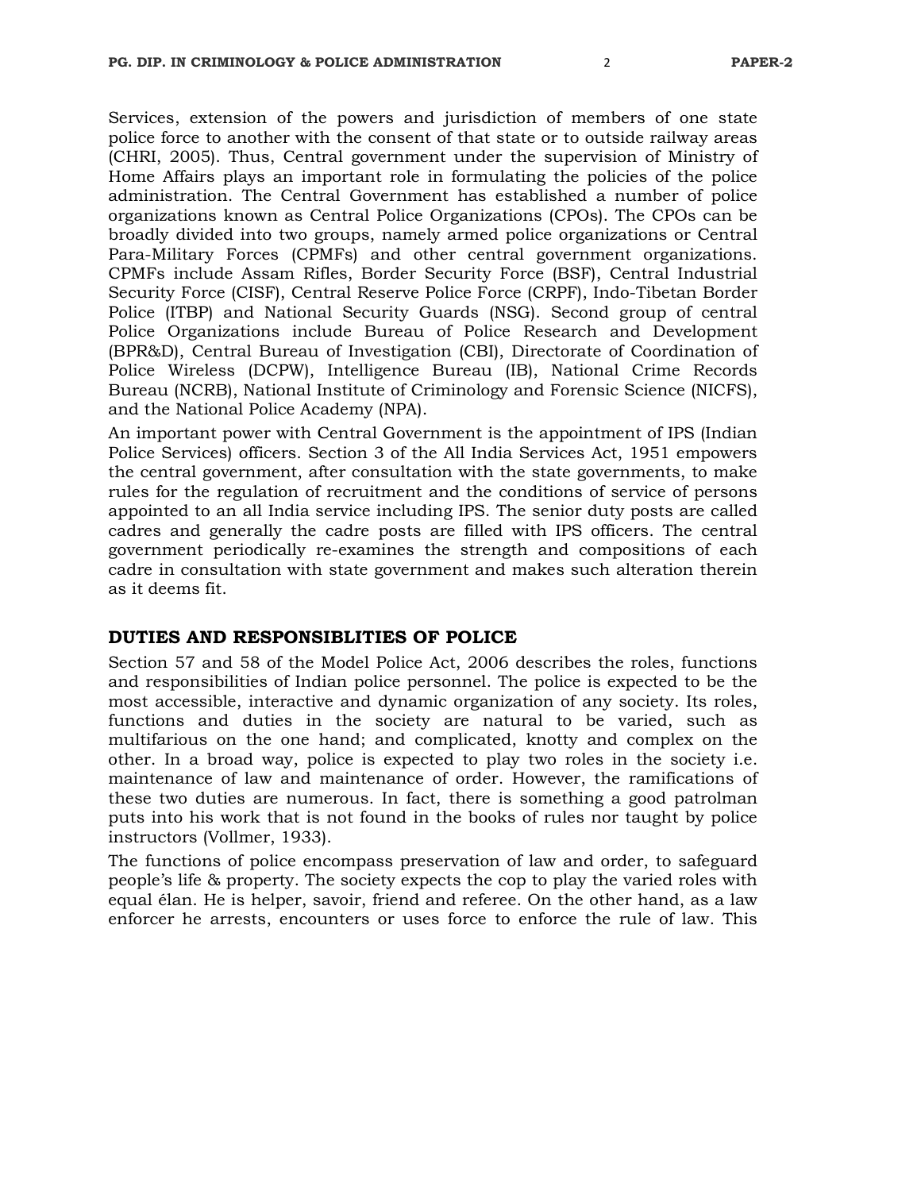Services, extension of the powers and jurisdiction of members of one state police force to another with the consent of that state or to outside railway areas (CHRI, 2005). Thus, Central government under the supervision of Ministry of Home Affairs plays an important role in formulating the policies of the police administration. The Central Government has established a number of police organizations known as Central Police Organizations (CPOs). The CPOs can be broadly divided into two groups, namely armed police organizations or Central Para-Military Forces (CPMFs) and other central government organizations. CPMFs include Assam Rifles, Border Security Force (BSF), Central Industrial Security Force (CISF), Central Reserve Police Force (CRPF), Indo-Tibetan Border Police (ITBP) and National Security Guards (NSG). Second group of central Police Organizations include Bureau of Police Research and Development (BPR&D), Central Bureau of Investigation (CBI), Directorate of Coordination of Police Wireless (DCPW), Intelligence Bureau (IB), National Crime Records Bureau (NCRB), National Institute of Criminology and Forensic Science (NICFS), and the National Police Academy (NPA).

An important power with Central Government is the appointment of IPS (Indian Police Services) officers. Section 3 of the All India Services Act, 1951 empowers the central government, after consultation with the state governments, to make rules for the regulation of recruitment and the conditions of service of persons appointed to an all India service including IPS. The senior duty posts are called cadres and generally the cadre posts are filled with IPS officers. The central government periodically re-examines the strength and compositions of each cadre in consultation with state government and makes such alteration therein as it deems fit.

#### **DUTIES AND RESPONSIBLITIES OF POLICE**

Section 57 and 58 of the Model Police Act, 2006 describes the roles, functions and responsibilities of Indian police personnel. The police is expected to be the most accessible, interactive and dynamic organization of any society. Its roles, functions and duties in the society are natural to be varied, such as multifarious on the one hand; and complicated, knotty and complex on the other. In a broad way, police is expected to play two roles in the society i.e. maintenance of law and maintenance of order. However, the ramifications of these two duties are numerous. In fact, there is something a good patrolman puts into his work that is not found in the books of rules nor taught by police instructors (Vollmer, 1933).

The functions of police encompass preservation of law and order, to safeguard people's life & property. The society expects the cop to play the varied roles with equal élan. He is helper, savoir, friend and referee. On the other hand, as a law enforcer he arrests, encounters or uses force to enforce the rule of law. This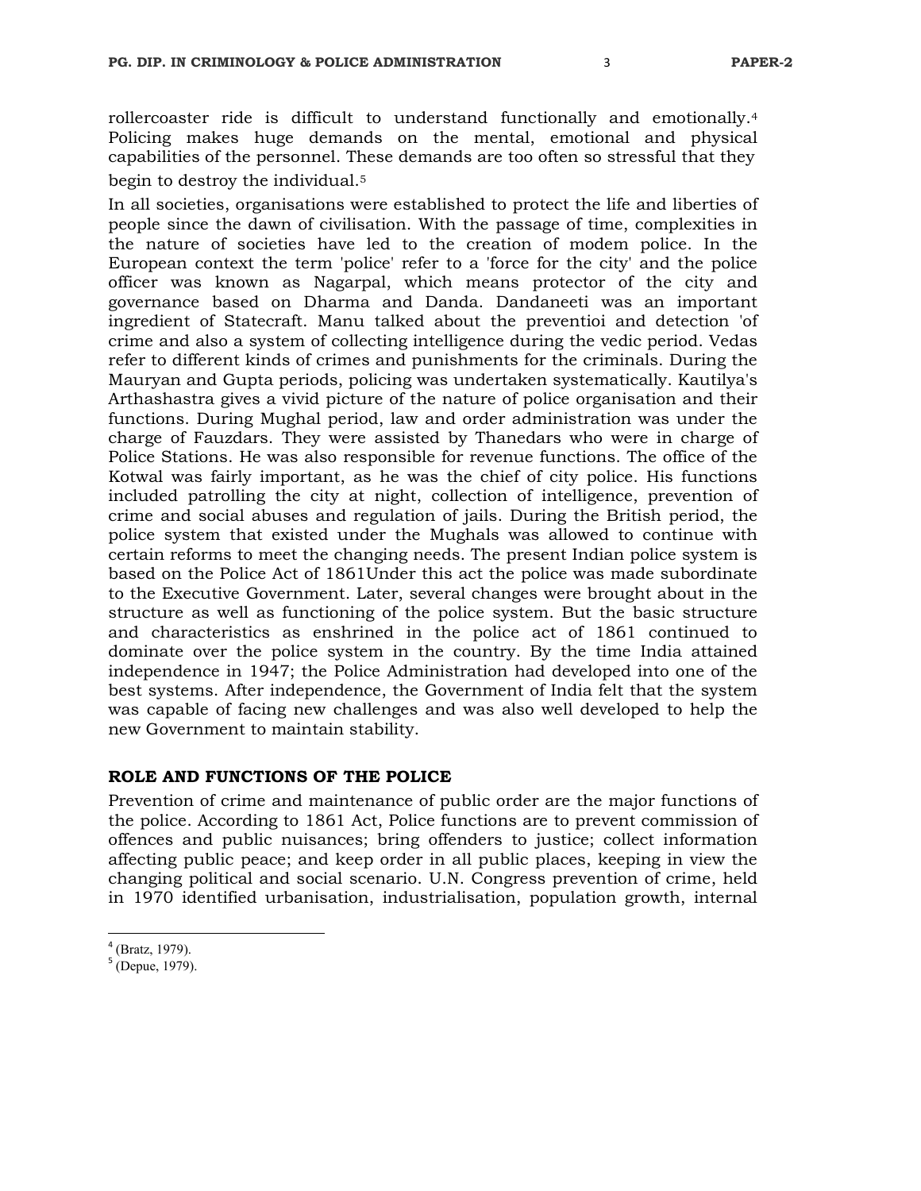rollercoaster ride is difficult to understand functionally and emotionally.<sup>4</sup> Policing makes huge demands on the mental, emotional and physical capabilities of the personnel. These demands are too often so stressful that they begin to destroy the individual.<sup>5</sup>

In all societies, organisations were established to protect the life and liberties of people since the dawn of civilisation. With the passage of time, complexities in the nature of societies have led to the creation of modem police. In the European context the term 'police' refer to a 'force for the city' and the police officer was known as Nagarpal, which means protector of the city and governance based on Dharma and Danda. Dandaneeti was an important ingredient of Statecraft. Manu talked about the preventioi and detection 'of crime and also a system of collecting intelligence during the vedic period. Vedas refer to different kinds of crimes and punishments for the criminals. During the Mauryan and Gupta periods, policing was undertaken systematically. Kautilya's Arthashastra gives a vivid picture of the nature of police organisation and their functions. During Mughal period, law and order administration was under the charge of Fauzdars. They were assisted by Thanedars who were in charge of Police Stations. He was also responsible for revenue functions. The office of the Kotwal was fairly important, as he was the chief of city police. His functions included patrolling the city at night, collection of intelligence, prevention of crime and social abuses and regulation of jails. During the British period, the police system that existed under the Mughals was allowed to continue with certain reforms to meet the changing needs. The present Indian police system is based on the Police Act of 1861Under this act the police was made subordinate to the Executive Government. Later, several changes were brought about in the structure as well as functioning of the police system. But the basic structure and characteristics as enshrined in the police act of 1861 continued to dominate over the police system in the country. By the time India attained independence in 1947; the Police Administration had developed into one of the best systems. After independence, the Government of India felt that the system was capable of facing new challenges and was also well developed to help the new Government to maintain stability.

### **ROLE AND FUNCTIONS OF THE POLICE**

Prevention of crime and maintenance of public order are the major functions of the police. According to 1861 Act, Police functions are to prevent commission of offences and public nuisances; bring offenders to justice; collect information affecting public peace; and keep order in all public places, keeping in view the changing political and social scenario. U.N. Congress prevention of crime, held in 1970 identified urbanisation, industrialisation, population growth, internal

l

 $^{4}$  (Bratz, 1979).

 $5$  (Depue, 1979).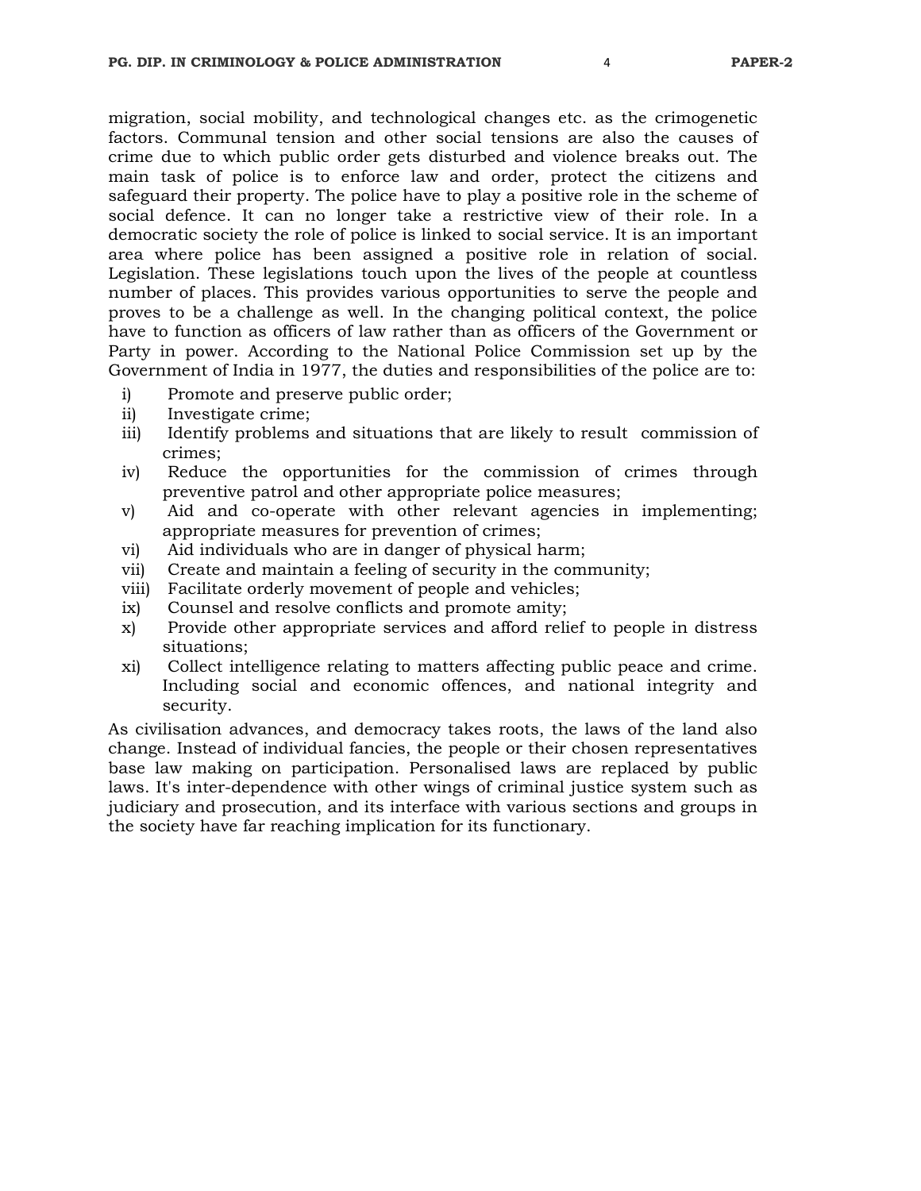migration, social mobility, and technological changes etc. as the crimogenetic factors. Communal tension and other social tensions are also the causes of crime due to which public order gets disturbed and violence breaks out. The main task of police is to enforce law and order, protect the citizens and safeguard their property. The police have to play a positive role in the scheme of social defence. It can no longer take a restrictive view of their role. In a democratic society the role of police is linked to social service. It is an important area where police has been assigned a positive role in relation of social. Legislation. These legislations touch upon the lives of the people at countless number of places. This provides various opportunities to serve the people and proves to be a challenge as well. In the changing political context, the police have to function as officers of law rather than as officers of the Government or Party in power. According to the National Police Commission set up by the Government of India in 1977, the duties and responsibilities of the police are to:

- i) Promote and preserve public order;
- ii) Investigate crime;
- iii) Identify problems and situations that are likely to result commission of crimes;
- iv) Reduce the opportunities for the commission of crimes through preventive patrol and other appropriate police measures;
- v) Aid and co-operate with other relevant agencies in implementing; appropriate measures for prevention of crimes;
- vi) Aid individuals who are in danger of physical harm;
- vii) Create and maintain a feeling of security in the community;
- viii) Facilitate orderly movement of people and vehicles;
- ix) Counsel and resolve conflicts and promote amity;
- x) Provide other appropriate services and afford relief to people in distress situations;
- xi) Collect intelligence relating to matters affecting public peace and crime. Including social and economic offences, and national integrity and security.

As civilisation advances, and democracy takes roots, the laws of the land also change. Instead of individual fancies, the people or their chosen representatives base law making on participation. Personalised laws are replaced by public laws. It's inter-dependence with other wings of criminal justice system such as judiciary and prosecution, and its interface with various sections and groups in the society have far reaching implication for its functionary.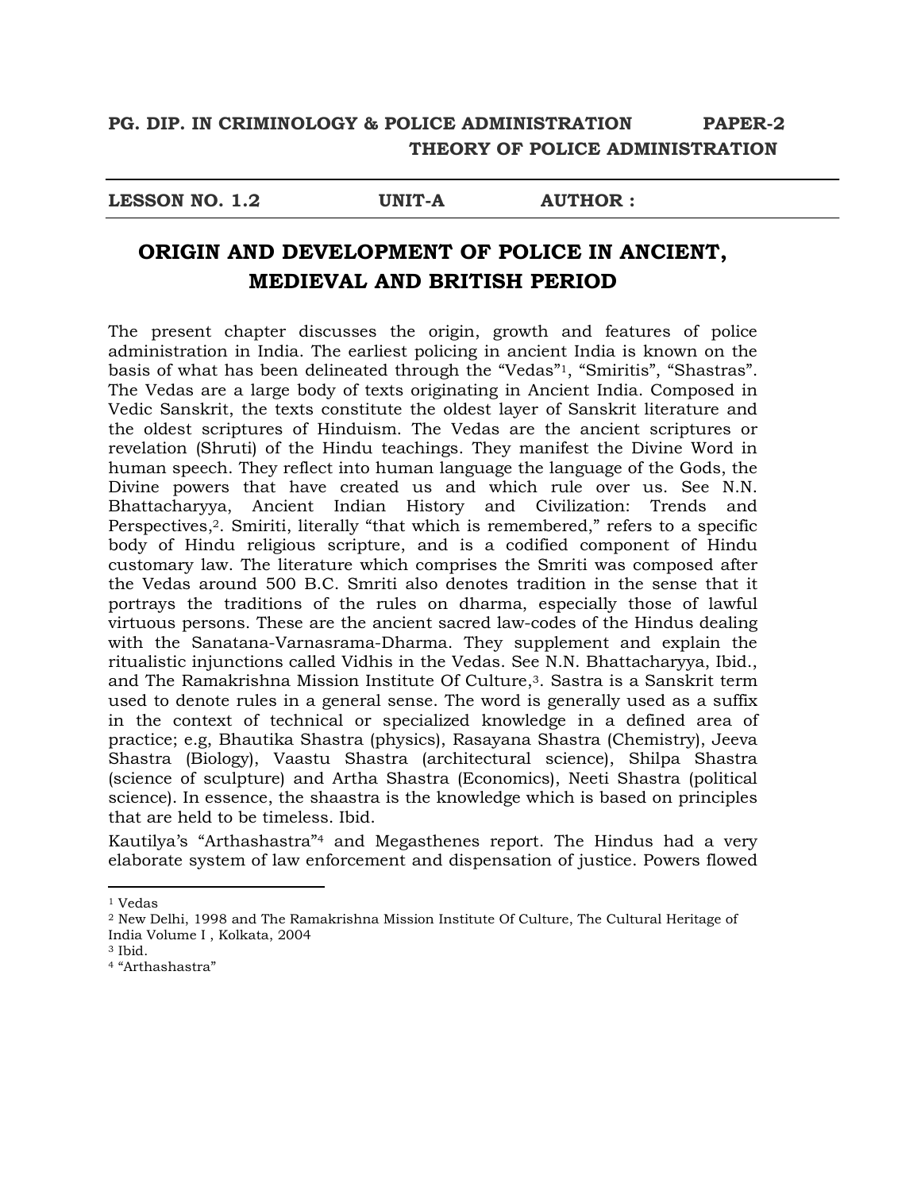## **PG. DIP. IN CRIMINOLOGY & POLICE ADMINISTRATION PAPER-2 THEORY OF POLICE ADMINISTRATION**

**LESSON NO. 1.2 UNIT-A AUTHOR :** 

# **ORIGIN AND DEVELOPMENT OF POLICE IN ANCIENT, MEDIEVAL AND BRITISH PERIOD**

The present chapter discusses the origin, growth and features of police administration in India. The earliest policing in ancient India is known on the basis of what has been delineated through the "Vedas"1, "Smiritis", "Shastras". The Vedas are a large body of texts originating in Ancient India. Composed in Vedic Sanskrit, the texts constitute the oldest layer of Sanskrit literature and the oldest scriptures of Hinduism. The Vedas are the ancient scriptures or revelation (Shruti) of the Hindu teachings. They manifest the Divine Word in human speech. They reflect into human language the language of the Gods, the Divine powers that have created us and which rule over us. See N.N. Bhattacharyya, Ancient Indian History and Civilization: Trends and Perspectives,<sup>2</sup>. Smiriti, literally "that which is remembered," refers to a specific body of Hindu religious scripture, and is a codified component of Hindu customary law. The literature which comprises the Smriti was composed after the Vedas around 500 B.C. Smriti also denotes tradition in the sense that it portrays the traditions of the rules on dharma, especially those of lawful virtuous persons. These are the ancient sacred law-codes of the Hindus dealing with the Sanatana-Varnasrama-Dharma. They supplement and explain the ritualistic injunctions called Vidhis in the Vedas. See N.N. Bhattacharyya, Ibid., and The Ramakrishna Mission Institute Of Culture,3. Sastra is a Sanskrit term used to denote rules in a general sense. The word is generally used as a suffix in the context of technical or specialized knowledge in a defined area of practice; e.g, Bhautika Shastra (physics), Rasayana Shastra (Chemistry), Jeeva Shastra (Biology), Vaastu Shastra (architectural science), Shilpa Shastra (science of sculpture) and Artha Shastra (Economics), Neeti Shastra (political science). In essence, the shaastra is the knowledge which is based on principles that are held to be timeless. Ibid.

Kautilya's "Arthashastra"4 and Megasthenes report. The Hindus had a very elaborate system of law enforcement and dispensation of justice. Powers flowed

<sup>1</sup> Vedas

<sup>2</sup> New Delhi, 1998 and The Ramakrishna Mission Institute Of Culture, The Cultural Heritage of India Volume I , Kolkata, 2004

<sup>3</sup> Ibid.

<sup>4</sup> "Arthashastra"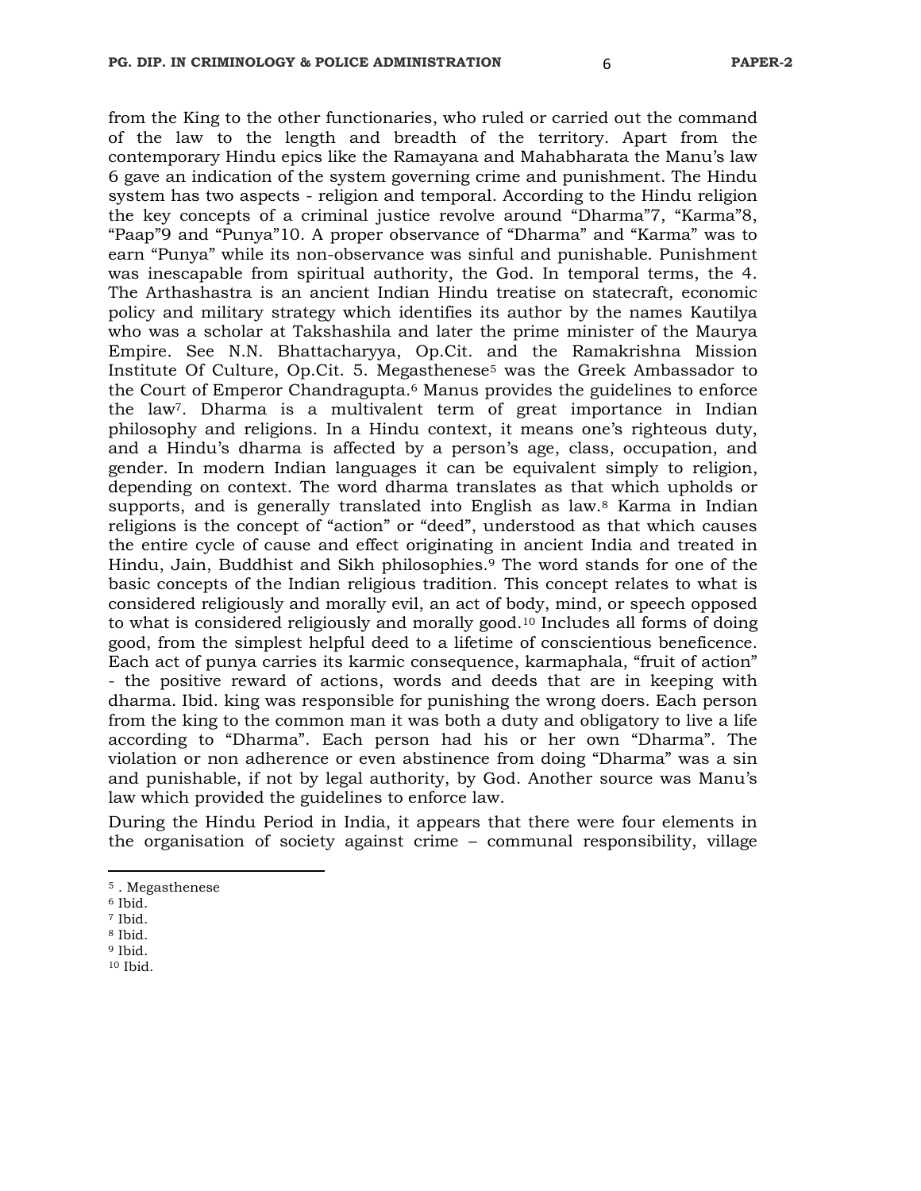from the King to the other functionaries, who ruled or carried out the command of the law to the length and breadth of the territory. Apart from the contemporary Hindu epics like the Ramayana and Mahabharata the Manu's law 6 gave an indication of the system governing crime and punishment. The Hindu system has two aspects - religion and temporal. According to the Hindu religion the key concepts of a criminal justice revolve around "Dharma"7, "Karma"8, "Paap"9 and "Punya"10. A proper observance of "Dharma" and "Karma" was to earn "Punya" while its non-observance was sinful and punishable. Punishment was inescapable from spiritual authority, the God. In temporal terms, the 4. The Arthashastra is an ancient Indian Hindu treatise on statecraft, economic policy and military strategy which identifies its author by the names Kautilya who was a scholar at Takshashila and later the prime minister of the Maurya Empire. See N.N. Bhattacharyya, Op.Cit. and the Ramakrishna Mission Institute Of Culture, Op.Cit. 5. Megasthenese<sup>5</sup> was the Greek Ambassador to the Court of Emperor Chandragupta.6 Manus provides the guidelines to enforce the law7. Dharma is a multivalent term of great importance in Indian philosophy and religions. In a Hindu context, it means one's righteous duty, and a Hindu's dharma is affected by a person's age, class, occupation, and gender. In modern Indian languages it can be equivalent simply to religion, depending on context. The word dharma translates as that which upholds or supports, and is generally translated into English as law.<sup>8</sup> Karma in Indian religions is the concept of "action" or "deed", understood as that which causes the entire cycle of cause and effect originating in ancient India and treated in Hindu, Jain, Buddhist and Sikh philosophies.9 The word stands for one of the basic concepts of the Indian religious tradition. This concept relates to what is considered religiously and morally evil, an act of body, mind, or speech opposed to what is considered religiously and morally good.10 Includes all forms of doing good, from the simplest helpful deed to a lifetime of conscientious beneficence. Each act of punya carries its karmic consequence, karmaphala, "fruit of action" - the positive reward of actions, words and deeds that are in keeping with dharma. Ibid. king was responsible for punishing the wrong doers. Each person from the king to the common man it was both a duty and obligatory to live a life according to "Dharma". Each person had his or her own "Dharma". The violation or non adherence or even abstinence from doing "Dharma" was a sin and punishable, if not by legal authority, by God. Another source was Manu's law which provided the guidelines to enforce law.

During the Hindu Period in India, it appears that there were four elements in the organisation of society against crime – communal responsibility, village

<sup>5</sup> . Megasthenese

 $^{\rm 6}$  Ibid.

<sup>7</sup> Ibid.

<sup>8</sup> Ibid.

<sup>9</sup> Ibid.

<sup>10</sup> Ibid.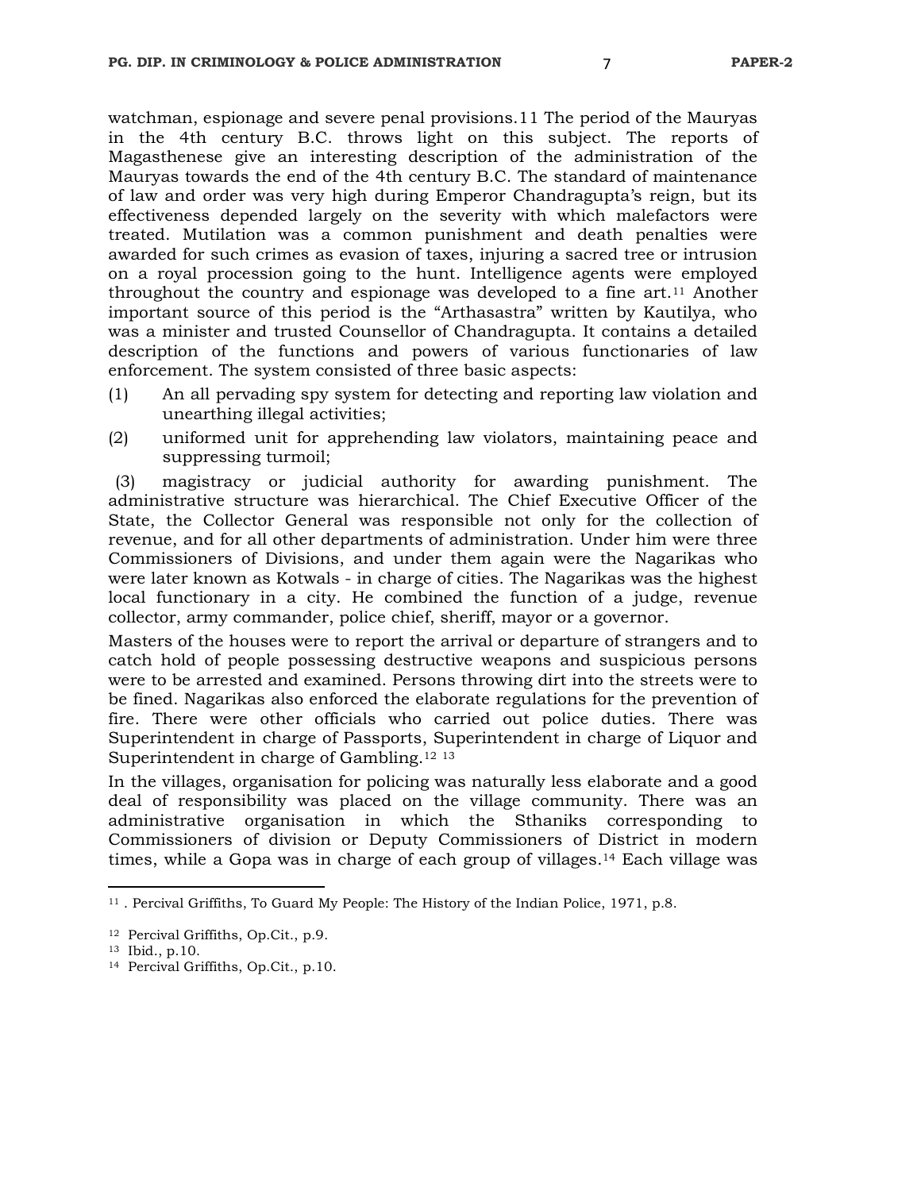watchman, espionage and severe penal provisions.11 The period of the Mauryas in the 4th century B.C. throws light on this subject. The reports of Magasthenese give an interesting description of the administration of the Mauryas towards the end of the 4th century B.C. The standard of maintenance of law and order was very high during Emperor Chandragupta's reign, but its effectiveness depended largely on the severity with which malefactors were treated. Mutilation was a common punishment and death penalties were awarded for such crimes as evasion of taxes, injuring a sacred tree or intrusion on a royal procession going to the hunt. Intelligence agents were employed throughout the country and espionage was developed to a fine art.11 Another important source of this period is the "Arthasastra" written by Kautilya, who was a minister and trusted Counsellor of Chandragupta. It contains a detailed description of the functions and powers of various functionaries of law enforcement. The system consisted of three basic aspects:

- (1) An all pervading spy system for detecting and reporting law violation and unearthing illegal activities;
- (2) uniformed unit for apprehending law violators, maintaining peace and suppressing turmoil;

(3) magistracy or judicial authority for awarding punishment. The administrative structure was hierarchical. The Chief Executive Officer of the State, the Collector General was responsible not only for the collection of revenue, and for all other departments of administration. Under him were three Commissioners of Divisions, and under them again were the Nagarikas who were later known as Kotwals - in charge of cities. The Nagarikas was the highest local functionary in a city. He combined the function of a judge, revenue collector, army commander, police chief, sheriff, mayor or a governor.

Masters of the houses were to report the arrival or departure of strangers and to catch hold of people possessing destructive weapons and suspicious persons were to be arrested and examined. Persons throwing dirt into the streets were to be fined. Nagarikas also enforced the elaborate regulations for the prevention of fire. There were other officials who carried out police duties. There was Superintendent in charge of Passports, Superintendent in charge of Liquor and Superintendent in charge of Gambling.<sup>12</sup> <sup>13</sup>

In the villages, organisation for policing was naturally less elaborate and a good deal of responsibility was placed on the village community. There was an administrative organisation in which the Sthaniks corresponding to Commissioners of division or Deputy Commissioners of District in modern times, while a Gopa was in charge of each group of villages.14 Each village was

<sup>11</sup> . Percival Griffiths, To Guard My People: The History of the Indian Police, 1971, p.8.

<sup>12</sup> Percival Griffiths, Op.Cit., p.9.

<sup>13</sup> Ibid., p.10.

<sup>14</sup> Percival Griffiths, Op.Cit., p.10.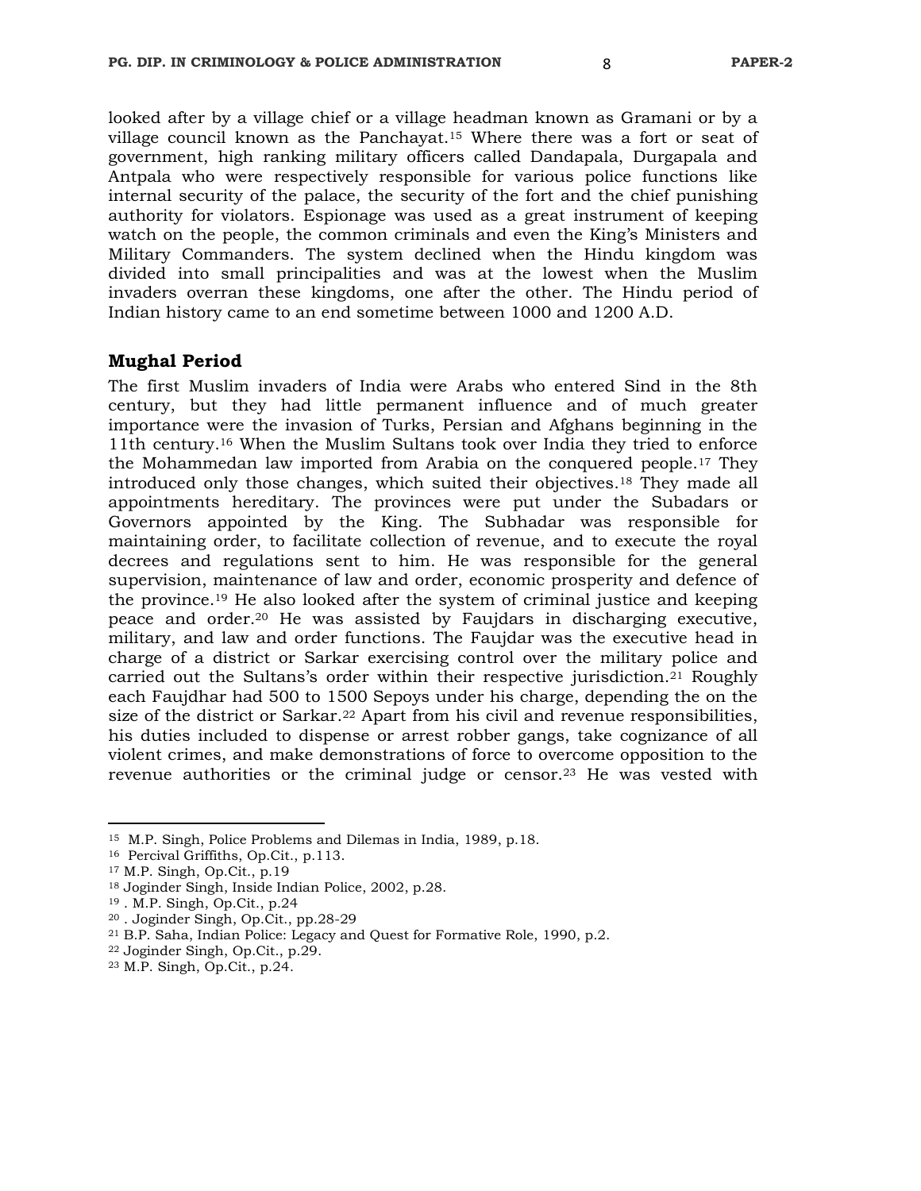looked after by a village chief or a village headman known as Gramani or by a village council known as the Panchayat.15 Where there was a fort or seat of government, high ranking military officers called Dandapala, Durgapala and Antpala who were respectively responsible for various police functions like internal security of the palace, the security of the fort and the chief punishing authority for violators. Espionage was used as a great instrument of keeping watch on the people, the common criminals and even the King's Ministers and Military Commanders. The system declined when the Hindu kingdom was divided into small principalities and was at the lowest when the Muslim invaders overran these kingdoms, one after the other. The Hindu period of Indian history came to an end sometime between 1000 and 1200 A.D.

#### **Mughal Period**

The first Muslim invaders of India were Arabs who entered Sind in the 8th century, but they had little permanent influence and of much greater importance were the invasion of Turks, Persian and Afghans beginning in the 11th century.16 When the Muslim Sultans took over India they tried to enforce the Mohammedan law imported from Arabia on the conquered people.17 They introduced only those changes, which suited their objectives.18 They made all appointments hereditary. The provinces were put under the Subadars or Governors appointed by the King. The Subhadar was responsible for maintaining order, to facilitate collection of revenue, and to execute the royal decrees and regulations sent to him. He was responsible for the general supervision, maintenance of law and order, economic prosperity and defence of the province.19 He also looked after the system of criminal justice and keeping peace and order.20 He was assisted by Faujdars in discharging executive, military, and law and order functions. The Faujdar was the executive head in charge of a district or Sarkar exercising control over the military police and carried out the Sultans's order within their respective jurisdiction.<sup>21</sup> Roughly each Faujdhar had 500 to 1500 Sepoys under his charge, depending the on the size of the district or Sarkar.<sup>22</sup> Apart from his civil and revenue responsibilities, his duties included to dispense or arrest robber gangs, take cognizance of all violent crimes, and make demonstrations of force to overcome opposition to the revenue authorities or the criminal judge or censor.23 He was vested with

 $\overline{a}$ 

<sup>22</sup> Joginder Singh, Op.Cit., p.29.

<sup>15</sup> M.P. Singh, Police Problems and Dilemas in India, 1989, p.18.

<sup>16</sup> Percival Griffiths, Op.Cit., p.113.

<sup>17</sup> M.P. Singh, Op.Cit., p.19

<sup>18</sup> Joginder Singh, Inside Indian Police, 2002, p.28.

<sup>19</sup> . M.P. Singh, Op.Cit., p.24

<sup>20</sup> . Joginder Singh, Op.Cit., pp.28-29

<sup>21</sup> B.P. Saha, Indian Police: Legacy and Quest for Formative Role, 1990, p.2.

<sup>23</sup> M.P. Singh, Op.Cit., p.24.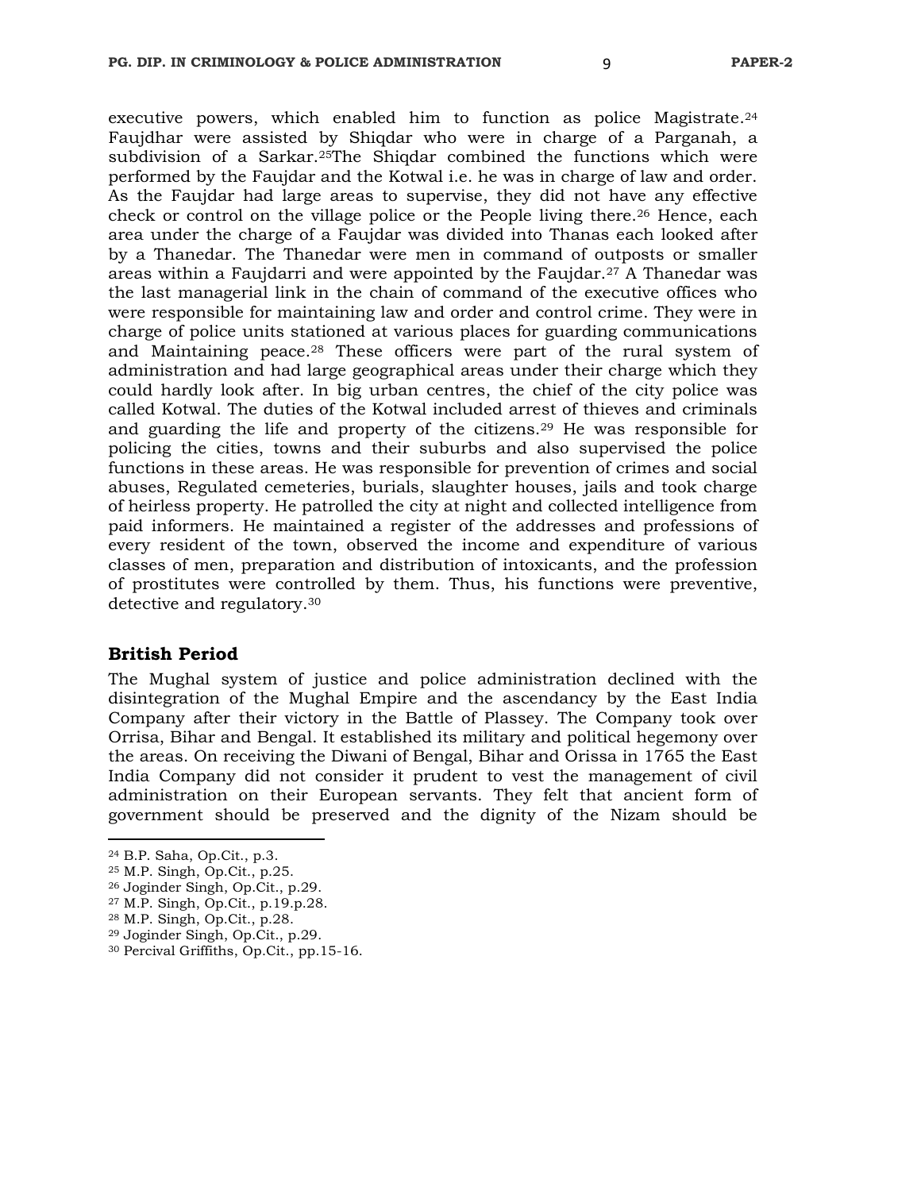executive powers, which enabled him to function as police Magistrate.<sup>24</sup> Faujdhar were assisted by Shiqdar who were in charge of a Parganah, a subdivision of a Sarkar.25The Shiqdar combined the functions which were performed by the Faujdar and the Kotwal i.e. he was in charge of law and order. As the Faujdar had large areas to supervise, they did not have any effective check or control on the village police or the People living there.26 Hence, each area under the charge of a Faujdar was divided into Thanas each looked after by a Thanedar. The Thanedar were men in command of outposts or smaller areas within a Faujdarri and were appointed by the Faujdar.27 A Thanedar was the last managerial link in the chain of command of the executive offices who were responsible for maintaining law and order and control crime. They were in charge of police units stationed at various places for guarding communications and Maintaining peace.28 These officers were part of the rural system of administration and had large geographical areas under their charge which they could hardly look after. In big urban centres, the chief of the city police was called Kotwal. The duties of the Kotwal included arrest of thieves and criminals and guarding the life and property of the citizens.29 He was responsible for policing the cities, towns and their suburbs and also supervised the police functions in these areas. He was responsible for prevention of crimes and social abuses, Regulated cemeteries, burials, slaughter houses, jails and took charge of heirless property. He patrolled the city at night and collected intelligence from paid informers. He maintained a register of the addresses and professions of every resident of the town, observed the income and expenditure of various classes of men, preparation and distribution of intoxicants, and the profession of prostitutes were controlled by them. Thus, his functions were preventive, detective and regulatory.<sup>30</sup>

#### **British Period**

The Mughal system of justice and police administration declined with the disintegration of the Mughal Empire and the ascendancy by the East India Company after their victory in the Battle of Plassey. The Company took over Orrisa, Bihar and Bengal. It established its military and political hegemony over the areas. On receiving the Diwani of Bengal, Bihar and Orissa in 1765 the East India Company did not consider it prudent to vest the management of civil administration on their European servants. They felt that ancient form of government should be preserved and the dignity of the Nizam should be

l

- <sup>27</sup> M.P. Singh, Op.Cit., p.19.p.28.
- <sup>28</sup> M.P. Singh, Op.Cit., p.28.
- <sup>29</sup> Joginder Singh, Op.Cit., p.29.
- 30 Percival Griffiths, Op.Cit., pp.15-16.

<sup>24</sup> B.P. Saha, Op.Cit., p.3.

<sup>25</sup> M.P. Singh, Op.Cit., p.25.

<sup>26</sup> Joginder Singh, Op.Cit., p.29.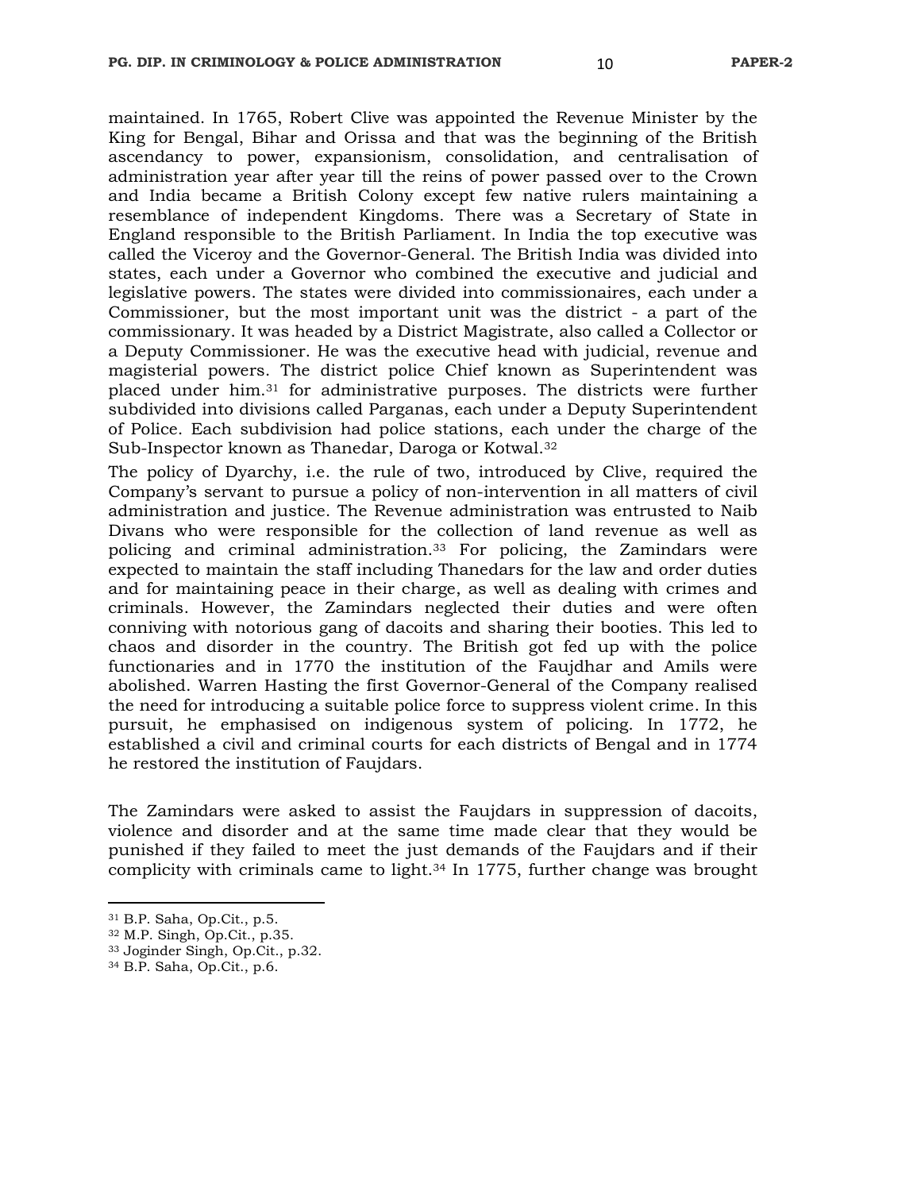maintained. In 1765, Robert Clive was appointed the Revenue Minister by the King for Bengal, Bihar and Orissa and that was the beginning of the British ascendancy to power, expansionism, consolidation, and centralisation of administration year after year till the reins of power passed over to the Crown and India became a British Colony except few native rulers maintaining a resemblance of independent Kingdoms. There was a Secretary of State in England responsible to the British Parliament. In India the top executive was called the Viceroy and the Governor-General. The British India was divided into states, each under a Governor who combined the executive and judicial and legislative powers. The states were divided into commissionaires, each under a Commissioner, but the most important unit was the district - a part of the commissionary. It was headed by a District Magistrate, also called a Collector or a Deputy Commissioner. He was the executive head with judicial, revenue and magisterial powers. The district police Chief known as Superintendent was placed under him.31 for administrative purposes. The districts were further subdivided into divisions called Parganas, each under a Deputy Superintendent of Police. Each subdivision had police stations, each under the charge of the Sub-Inspector known as Thanedar, Daroga or Kotwal.<sup>32</sup>

The policy of Dyarchy, i.e. the rule of two, introduced by Clive, required the Company's servant to pursue a policy of non-intervention in all matters of civil administration and justice. The Revenue administration was entrusted to Naib Divans who were responsible for the collection of land revenue as well as policing and criminal administration.33 For policing, the Zamindars were expected to maintain the staff including Thanedars for the law and order duties and for maintaining peace in their charge, as well as dealing with crimes and criminals. However, the Zamindars neglected their duties and were often conniving with notorious gang of dacoits and sharing their booties. This led to chaos and disorder in the country. The British got fed up with the police functionaries and in 1770 the institution of the Faujdhar and Amils were abolished. Warren Hasting the first Governor-General of the Company realised the need for introducing a suitable police force to suppress violent crime. In this pursuit, he emphasised on indigenous system of policing. In 1772, he established a civil and criminal courts for each districts of Bengal and in 1774 he restored the institution of Faujdars.

The Zamindars were asked to assist the Faujdars in suppression of dacoits, violence and disorder and at the same time made clear that they would be punished if they failed to meet the just demands of the Faujdars and if their complicity with criminals came to light.34 In 1775, further change was brought

<sup>31</sup> B.P. Saha, Op.Cit., p.5.

<sup>32</sup> M.P. Singh, Op.Cit., p.35.

<sup>33</sup> Joginder Singh, Op.Cit., p.32.

<sup>34</sup> B.P. Saha, Op.Cit., p.6.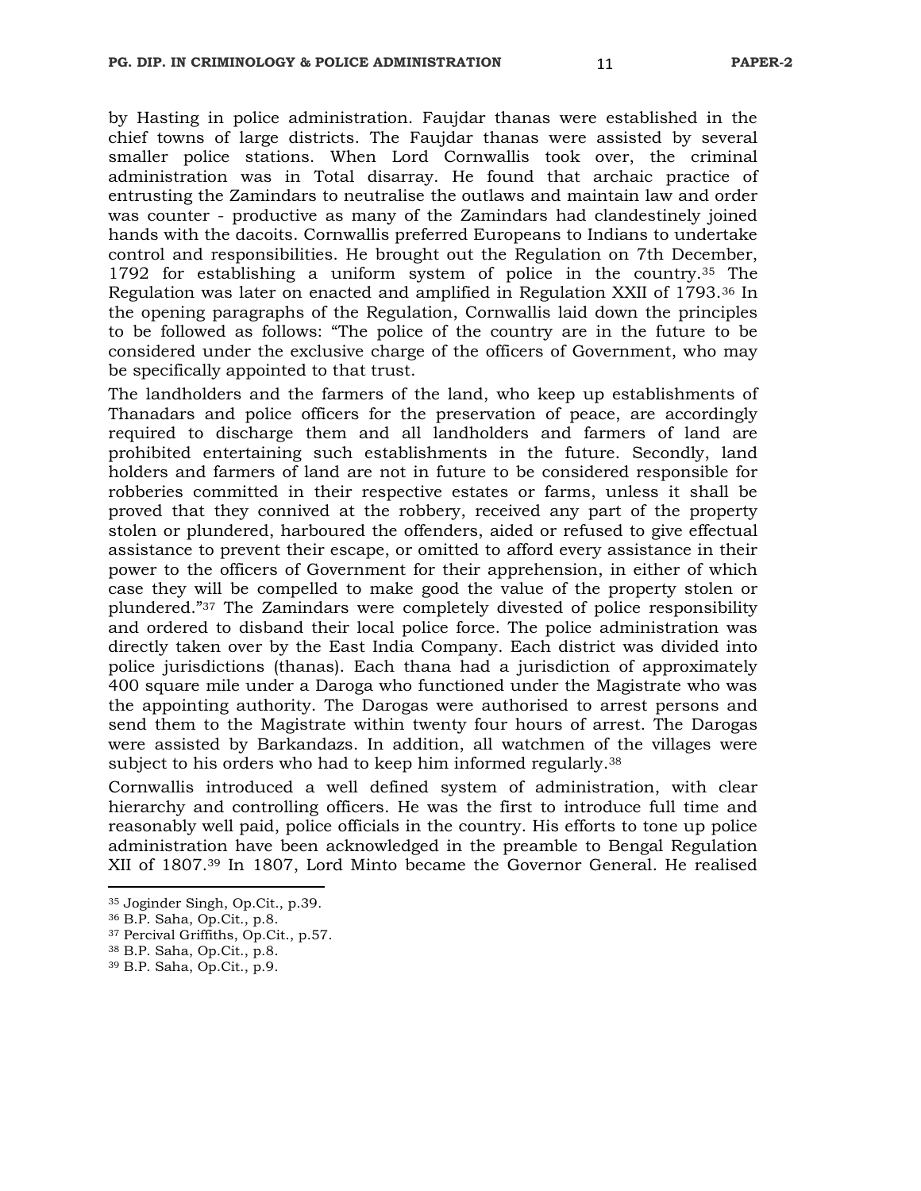by Hasting in police administration. Faujdar thanas were established in the chief towns of large districts. The Faujdar thanas were assisted by several smaller police stations. When Lord Cornwallis took over, the criminal administration was in Total disarray. He found that archaic practice of entrusting the Zamindars to neutralise the outlaws and maintain law and order was counter - productive as many of the Zamindars had clandestinely joined hands with the dacoits. Cornwallis preferred Europeans to Indians to undertake control and responsibilities. He brought out the Regulation on 7th December, 1792 for establishing a uniform system of police in the country.35 The Regulation was later on enacted and amplified in Regulation XXII of 1793.36 In the opening paragraphs of the Regulation, Cornwallis laid down the principles to be followed as follows: "The police of the country are in the future to be considered under the exclusive charge of the officers of Government, who may be specifically appointed to that trust.

The landholders and the farmers of the land, who keep up establishments of Thanadars and police officers for the preservation of peace, are accordingly required to discharge them and all landholders and farmers of land are prohibited entertaining such establishments in the future. Secondly, land holders and farmers of land are not in future to be considered responsible for robberies committed in their respective estates or farms, unless it shall be proved that they connived at the robbery, received any part of the property stolen or plundered, harboured the offenders, aided or refused to give effectual assistance to prevent their escape, or omitted to afford every assistance in their power to the officers of Government for their apprehension, in either of which case they will be compelled to make good the value of the property stolen or plundered."37 The Zamindars were completely divested of police responsibility and ordered to disband their local police force. The police administration was directly taken over by the East India Company. Each district was divided into police jurisdictions (thanas). Each thana had a jurisdiction of approximately 400 square mile under a Daroga who functioned under the Magistrate who was the appointing authority. The Darogas were authorised to arrest persons and send them to the Magistrate within twenty four hours of arrest. The Darogas were assisted by Barkandazs. In addition, all watchmen of the villages were subject to his orders who had to keep him informed regularly.<sup>38</sup>

Cornwallis introduced a well defined system of administration, with clear hierarchy and controlling officers. He was the first to introduce full time and reasonably well paid, police officials in the country. His efforts to tone up police administration have been acknowledged in the preamble to Bengal Regulation XII of 1807.39 In 1807, Lord Minto became the Governor General. He realised  $\overline{a}$ 

<sup>35</sup> Joginder Singh, Op.Cit., p.39.

<sup>36</sup> B.P. Saha, Op.Cit., p.8.

<sup>37</sup> Percival Griffiths, Op.Cit., p.57.

<sup>38</sup> B.P. Saha, Op.Cit., p.8.

<sup>39</sup> B.P. Saha, Op.Cit., p.9.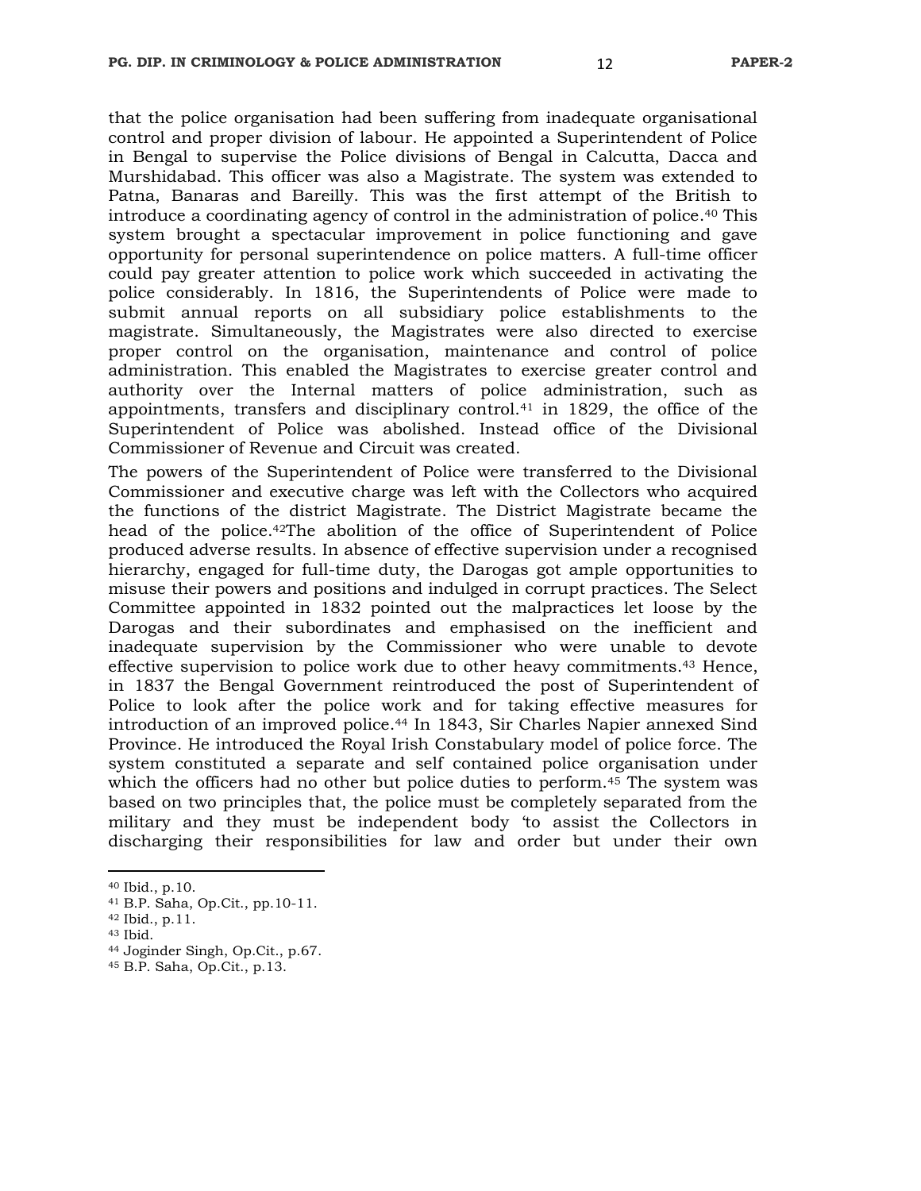that the police organisation had been suffering from inadequate organisational control and proper division of labour. He appointed a Superintendent of Police in Bengal to supervise the Police divisions of Bengal in Calcutta, Dacca and Murshidabad. This officer was also a Magistrate. The system was extended to Patna, Banaras and Bareilly. This was the first attempt of the British to introduce a coordinating agency of control in the administration of police.40 This system brought a spectacular improvement in police functioning and gave opportunity for personal superintendence on police matters. A full-time officer could pay greater attention to police work which succeeded in activating the police considerably. In 1816, the Superintendents of Police were made to submit annual reports on all subsidiary police establishments to the magistrate. Simultaneously, the Magistrates were also directed to exercise proper control on the organisation, maintenance and control of police administration. This enabled the Magistrates to exercise greater control and authority over the Internal matters of police administration, such as appointments, transfers and disciplinary control.<sup>41</sup> in 1829, the office of the Superintendent of Police was abolished. Instead office of the Divisional Commissioner of Revenue and Circuit was created.

The powers of the Superintendent of Police were transferred to the Divisional Commissioner and executive charge was left with the Collectors who acquired the functions of the district Magistrate. The District Magistrate became the head of the police.42The abolition of the office of Superintendent of Police produced adverse results. In absence of effective supervision under a recognised hierarchy, engaged for full-time duty, the Darogas got ample opportunities to misuse their powers and positions and indulged in corrupt practices. The Select Committee appointed in 1832 pointed out the malpractices let loose by the Darogas and their subordinates and emphasised on the inefficient and inadequate supervision by the Commissioner who were unable to devote effective supervision to police work due to other heavy commitments.43 Hence, in 1837 the Bengal Government reintroduced the post of Superintendent of Police to look after the police work and for taking effective measures for introduction of an improved police.44 In 1843, Sir Charles Napier annexed Sind Province. He introduced the Royal Irish Constabulary model of police force. The system constituted a separate and self contained police organisation under which the officers had no other but police duties to perform.<sup>45</sup> The system was based on two principles that, the police must be completely separated from the military and they must be independent body 'to assist the Collectors in discharging their responsibilities for law and order but under their own

<sup>40</sup> Ibid., p.10.

<sup>41</sup> B.P. Saha, Op.Cit., pp.10-11.

<sup>42</sup> Ibid., p.11.

<sup>43</sup> Ibid.

<sup>44</sup> Joginder Singh, Op.Cit., p.67.

<sup>45</sup> B.P. Saha, Op.Cit., p.13.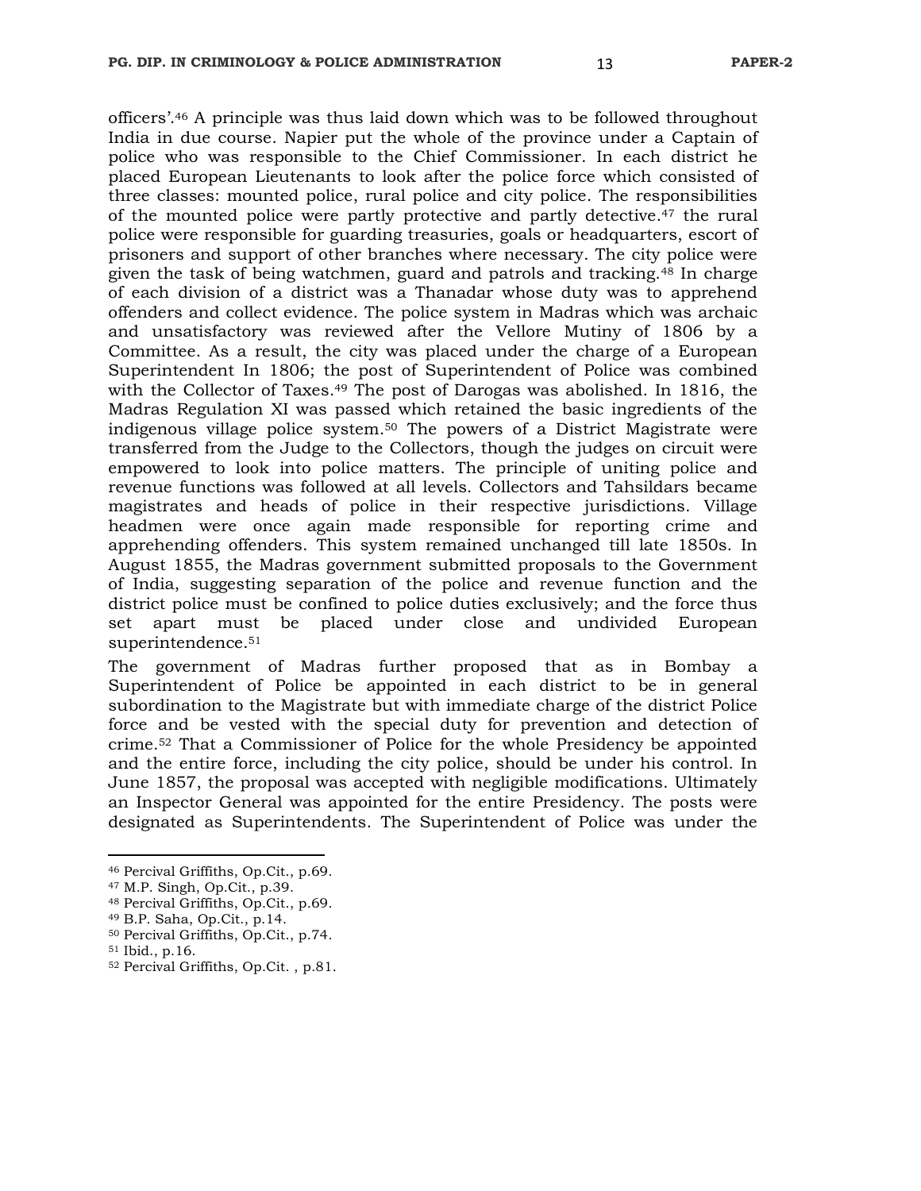officers'.46 A principle was thus laid down which was to be followed throughout India in due course. Napier put the whole of the province under a Captain of police who was responsible to the Chief Commissioner. In each district he placed European Lieutenants to look after the police force which consisted of three classes: mounted police, rural police and city police. The responsibilities of the mounted police were partly protective and partly detective.47 the rural police were responsible for guarding treasuries, goals or headquarters, escort of prisoners and support of other branches where necessary. The city police were given the task of being watchmen, guard and patrols and tracking.48 In charge of each division of a district was a Thanadar whose duty was to apprehend offenders and collect evidence. The police system in Madras which was archaic and unsatisfactory was reviewed after the Vellore Mutiny of 1806 by a Committee. As a result, the city was placed under the charge of a European Superintendent In 1806; the post of Superintendent of Police was combined with the Collector of Taxes.49 The post of Darogas was abolished. In 1816, the Madras Regulation XI was passed which retained the basic ingredients of the indigenous village police system.50 The powers of a District Magistrate were transferred from the Judge to the Collectors, though the judges on circuit were empowered to look into police matters. The principle of uniting police and revenue functions was followed at all levels. Collectors and Tahsildars became magistrates and heads of police in their respective jurisdictions. Village headmen were once again made responsible for reporting crime and apprehending offenders. This system remained unchanged till late 1850s. In August 1855, the Madras government submitted proposals to the Government of India, suggesting separation of the police and revenue function and the district police must be confined to police duties exclusively; and the force thus set apart must be placed under close and undivided European superintendence.<sup>51</sup>

The government of Madras further proposed that as in Bombay a Superintendent of Police be appointed in each district to be in general subordination to the Magistrate but with immediate charge of the district Police force and be vested with the special duty for prevention and detection of crime.52 That a Commissioner of Police for the whole Presidency be appointed and the entire force, including the city police, should be under his control. In June 1857, the proposal was accepted with negligible modifications. Ultimately an Inspector General was appointed for the entire Presidency. The posts were designated as Superintendents. The Superintendent of Police was under the

l

<sup>46</sup> Percival Griffiths, Op.Cit., p.69.

<sup>47</sup> M.P. Singh, Op.Cit., p.39.

<sup>48</sup> Percival Griffiths, Op.Cit., p.69.

<sup>49</sup> B.P. Saha, Op.Cit., p.14.

<sup>50</sup> Percival Griffiths, Op.Cit., p.74.

<sup>51</sup> Ibid., p.16.

<sup>52</sup> Percival Griffiths, Op.Cit. , p.81.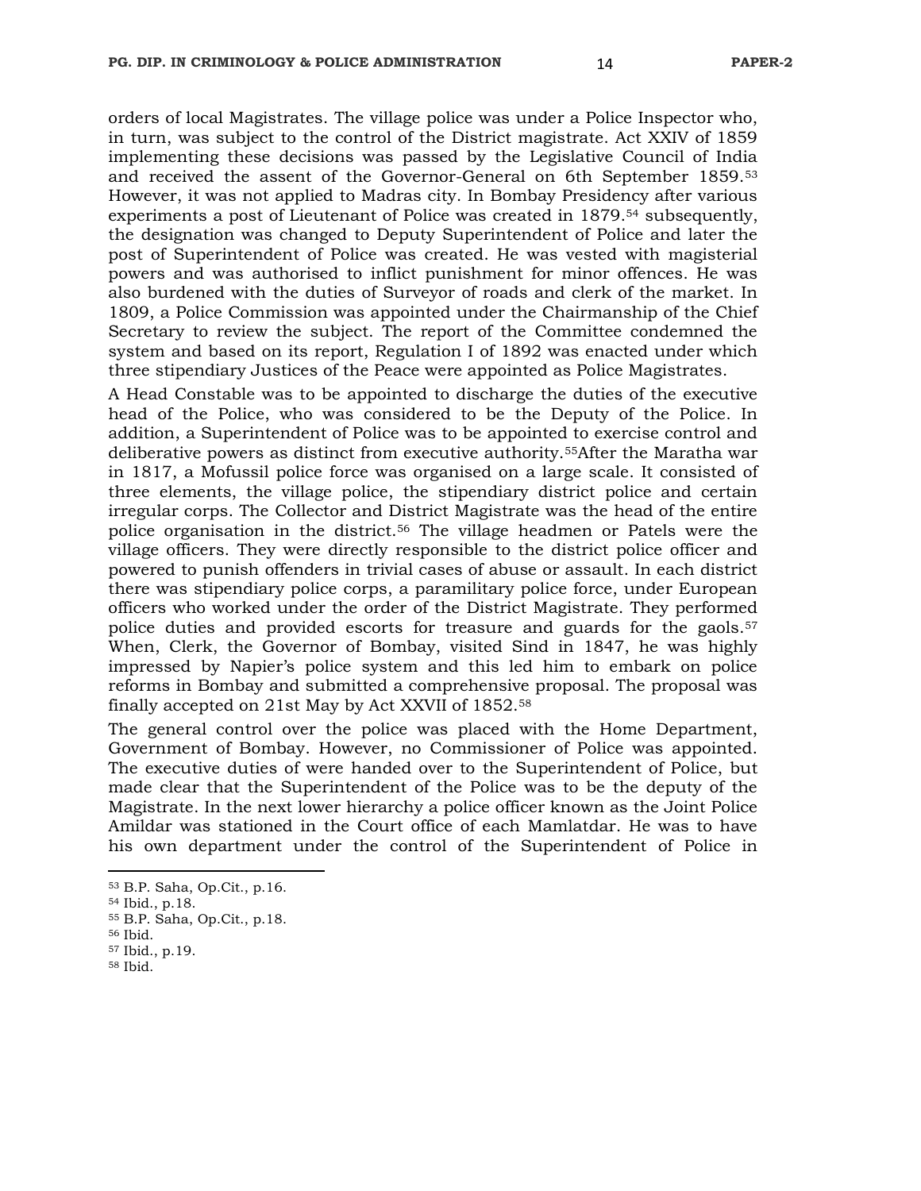orders of local Magistrates. The village police was under a Police Inspector who, in turn, was subject to the control of the District magistrate. Act XXIV of 1859 implementing these decisions was passed by the Legislative Council of India and received the assent of the Governor-General on 6th September 1859.<sup>53</sup> However, it was not applied to Madras city. In Bombay Presidency after various experiments a post of Lieutenant of Police was created in 1879.54 subsequently, the designation was changed to Deputy Superintendent of Police and later the post of Superintendent of Police was created. He was vested with magisterial powers and was authorised to inflict punishment for minor offences. He was also burdened with the duties of Surveyor of roads and clerk of the market. In 1809, a Police Commission was appointed under the Chairmanship of the Chief Secretary to review the subject. The report of the Committee condemned the system and based on its report, Regulation I of 1892 was enacted under which three stipendiary Justices of the Peace were appointed as Police Magistrates.

A Head Constable was to be appointed to discharge the duties of the executive head of the Police, who was considered to be the Deputy of the Police. In addition, a Superintendent of Police was to be appointed to exercise control and deliberative powers as distinct from executive authority.55After the Maratha war in 1817, a Mofussil police force was organised on a large scale. It consisted of three elements, the village police, the stipendiary district police and certain irregular corps. The Collector and District Magistrate was the head of the entire police organisation in the district.56 The village headmen or Patels were the village officers. They were directly responsible to the district police officer and powered to punish offenders in trivial cases of abuse or assault. In each district there was stipendiary police corps, a paramilitary police force, under European officers who worked under the order of the District Magistrate. They performed police duties and provided escorts for treasure and guards for the gaols.<sup>57</sup> When, Clerk, the Governor of Bombay, visited Sind in 1847, he was highly impressed by Napier's police system and this led him to embark on police reforms in Bombay and submitted a comprehensive proposal. The proposal was finally accepted on 21st May by Act XXVII of 1852.<sup>58</sup>

The general control over the police was placed with the Home Department, Government of Bombay. However, no Commissioner of Police was appointed. The executive duties of were handed over to the Superintendent of Police, but made clear that the Superintendent of the Police was to be the deputy of the Magistrate. In the next lower hierarchy a police officer known as the Joint Police Amildar was stationed in the Court office of each Mamlatdar. He was to have his own department under the control of the Superintendent of Police in

<sup>53</sup> B.P. Saha, Op.Cit., p.16.

<sup>54</sup> Ibid., p.18.

<sup>55</sup> B.P. Saha, Op.Cit., p.18.

<sup>56</sup> Ibid.

<sup>57</sup> Ibid., p.19.

<sup>58</sup> Ibid.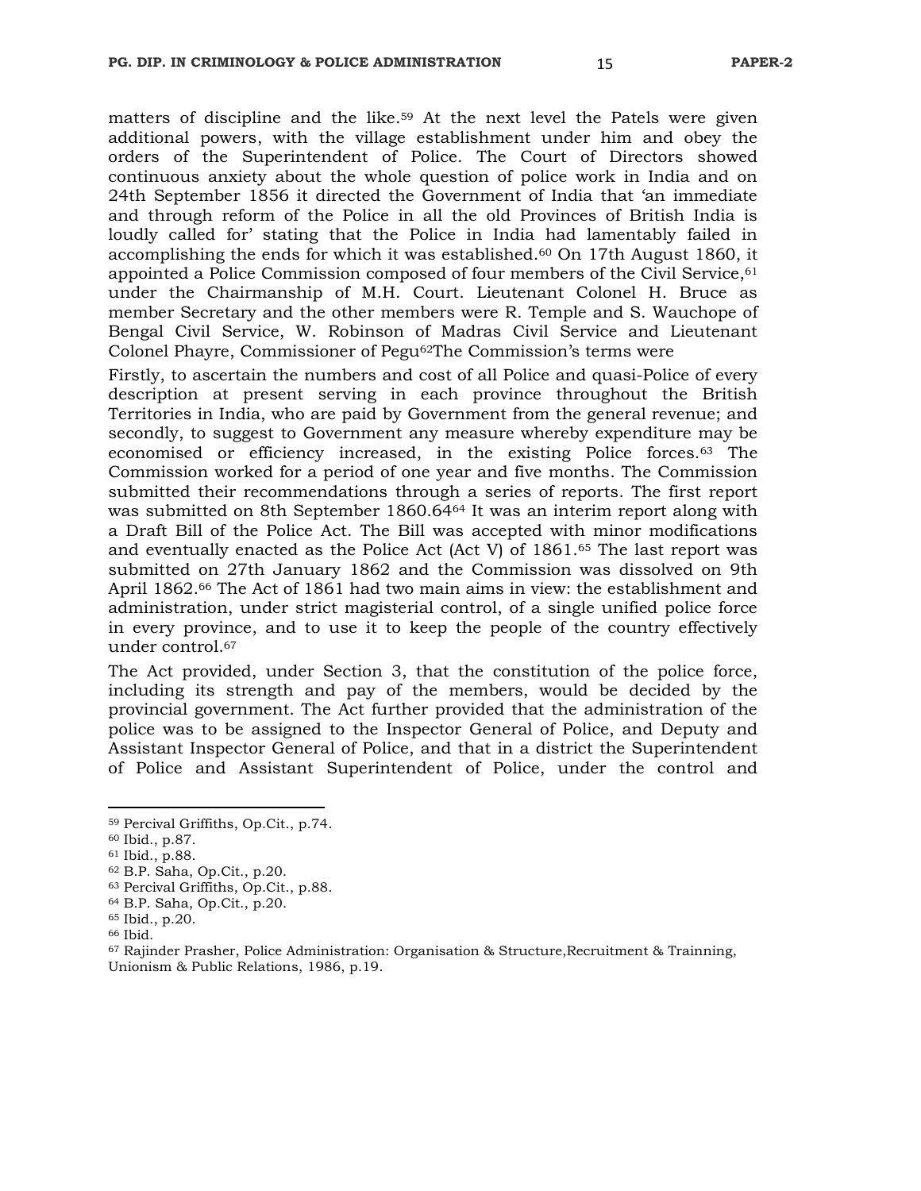matters of discipline and the like.59 At the next level the Patels were given additional powers, with the village establishment under him and obey the orders of the Superintendent of Police. The Court of Directors showed continuous anxiety about the whole question of police work in India and on 24th September 1856 it directed the Government of India that 'an immediate and through reform of the Police in all the old Provinces of British India is loudly called for' stating that the Police in India had lamentably failed in accomplishing the ends for which it was established.60 On 17th August 1860, it appointed a Police Commission composed of four members of the Civil Service, <sup>61</sup> under the Chairmanship of M.H. Court. Lieutenant Colonel H. Bruce as member Secretary and the other members were R. Temple and S. Wauchope of Bengal Civil Service, W. Robinson of Madras Civil Service and Lieutenant Colonel Phayre, Commissioner of Pegu<sup>62</sup>The Commission's terms were

Firstly, to ascertain the numbers and cost of all Police and quasi-Police of every description at present serving in each province throughout the British Territories in India, who are paid by Government from the general revenue; and secondly, to suggest to Government any measure whereby expenditure may be economised or efficiency increased, in the existing Police forces.63 The Commission worked for a period of one year and five months. The Commission submitted their recommendations through a series of reports. The first report was submitted on 8th September 1860.6464 It was an interim report along with a Draft Bill of the Police Act. The Bill was accepted with minor modifications and eventually enacted as the Police Act (Act V) of 1861.65 The last report was submitted on 27th January 1862 and the Commission was dissolved on 9th April 1862.66 The Act of 1861 had two main aims in view: the establishment and administration, under strict magisterial control, of a single unified police force in every province, and to use it to keep the people of the country effectively under control.<sup>67</sup>

The Act provided, under Section 3, that the constitution of the police force, including its strength and pay of the members, would be decided by the provincial government. The Act further provided that the administration of the police was to be assigned to the Inspector General of Police, and Deputy and Assistant Inspector General of Police, and that in a district the Superintendent of Police and Assistant Superintendent of Police, under the control and

- <sup>63</sup> Percival Griffiths, Op.Cit., p.88.
- <sup>64</sup> B.P. Saha, Op.Cit., p.20.
- <sup>65</sup> Ibid., p.20.

<sup>66</sup> Ibid.

<sup>59</sup> Percival Griffiths, Op.Cit., p.74.

<sup>60</sup> Ibid., p.87.

<sup>61</sup> Ibid., p.88.

<sup>62</sup> B.P. Saha, Op.Cit., p.20.

<sup>67</sup> Rajinder Prasher, Police Administration: Organisation & Structure,Recruitment & Trainning, Unionism & Public Relations, 1986, p.19.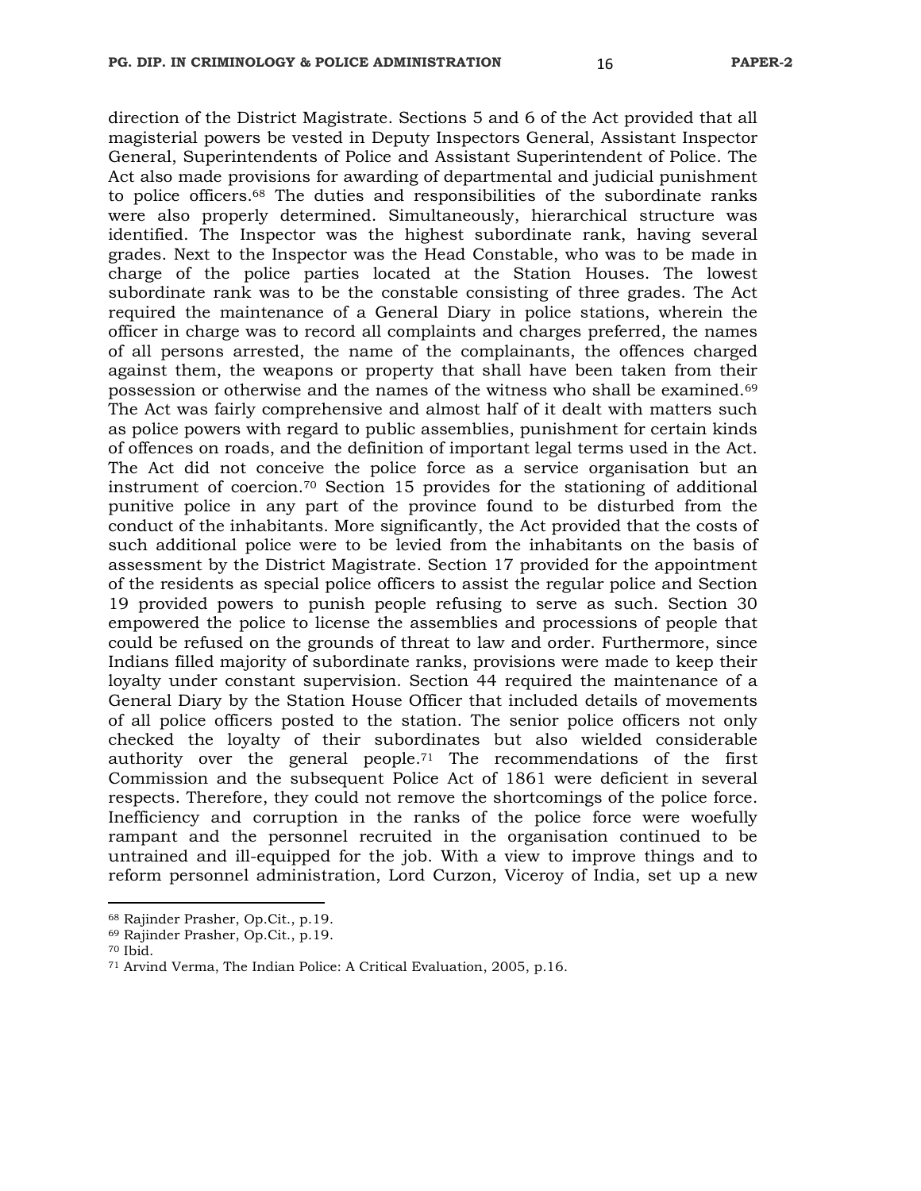direction of the District Magistrate. Sections 5 and 6 of the Act provided that all magisterial powers be vested in Deputy Inspectors General, Assistant Inspector General, Superintendents of Police and Assistant Superintendent of Police. The Act also made provisions for awarding of departmental and judicial punishment to police officers.68 The duties and responsibilities of the subordinate ranks were also properly determined. Simultaneously, hierarchical structure was identified. The Inspector was the highest subordinate rank, having several grades. Next to the Inspector was the Head Constable, who was to be made in charge of the police parties located at the Station Houses. The lowest subordinate rank was to be the constable consisting of three grades. The Act required the maintenance of a General Diary in police stations, wherein the officer in charge was to record all complaints and charges preferred, the names of all persons arrested, the name of the complainants, the offences charged against them, the weapons or property that shall have been taken from their possession or otherwise and the names of the witness who shall be examined.<sup>69</sup> The Act was fairly comprehensive and almost half of it dealt with matters such as police powers with regard to public assemblies, punishment for certain kinds of offences on roads, and the definition of important legal terms used in the Act. The Act did not conceive the police force as a service organisation but an instrument of coercion.70 Section 15 provides for the stationing of additional punitive police in any part of the province found to be disturbed from the conduct of the inhabitants. More significantly, the Act provided that the costs of such additional police were to be levied from the inhabitants on the basis of assessment by the District Magistrate. Section 17 provided for the appointment of the residents as special police officers to assist the regular police and Section 19 provided powers to punish people refusing to serve as such. Section 30 empowered the police to license the assemblies and processions of people that could be refused on the grounds of threat to law and order. Furthermore, since Indians filled majority of subordinate ranks, provisions were made to keep their loyalty under constant supervision. Section 44 required the maintenance of a General Diary by the Station House Officer that included details of movements of all police officers posted to the station. The senior police officers not only checked the loyalty of their subordinates but also wielded considerable authority over the general people.<sup>71</sup> The recommendations of the first Commission and the subsequent Police Act of 1861 were deficient in several respects. Therefore, they could not remove the shortcomings of the police force. Inefficiency and corruption in the ranks of the police force were woefully rampant and the personnel recruited in the organisation continued to be untrained and ill-equipped for the job. With a view to improve things and to reform personnel administration, Lord Curzon, Viceroy of India, set up a new

<sup>68</sup> Rajinder Prasher, Op.Cit., p.19.

<sup>69</sup> Rajinder Prasher, Op.Cit., p.19.

<sup>70</sup> Ibid.

<sup>71</sup> Arvind Verma, The Indian Police: A Critical Evaluation, 2005, p.16.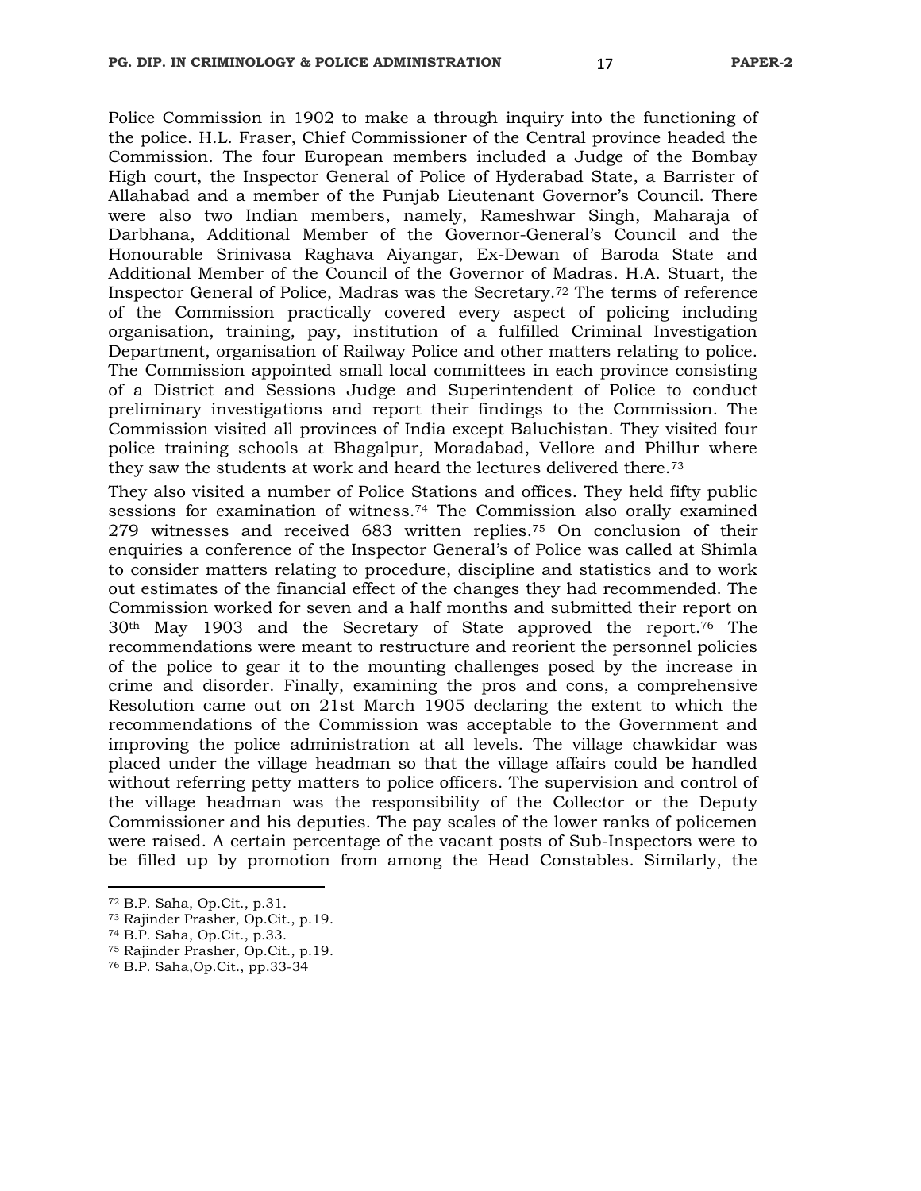Police Commission in 1902 to make a through inquiry into the functioning of the police. H.L. Fraser, Chief Commissioner of the Central province headed the Commission. The four European members included a Judge of the Bombay High court, the Inspector General of Police of Hyderabad State, a Barrister of Allahabad and a member of the Punjab Lieutenant Governor's Council. There were also two Indian members, namely, Rameshwar Singh, Maharaja of Darbhana, Additional Member of the Governor-General's Council and the Honourable Srinivasa Raghava Aiyangar, Ex-Dewan of Baroda State and Additional Member of the Council of the Governor of Madras. H.A. Stuart, the Inspector General of Police, Madras was the Secretary.72 The terms of reference of the Commission practically covered every aspect of policing including organisation, training, pay, institution of a fulfilled Criminal Investigation Department, organisation of Railway Police and other matters relating to police. The Commission appointed small local committees in each province consisting of a District and Sessions Judge and Superintendent of Police to conduct preliminary investigations and report their findings to the Commission. The Commission visited all provinces of India except Baluchistan. They visited four police training schools at Bhagalpur, Moradabad, Vellore and Phillur where they saw the students at work and heard the lectures delivered there.<sup>73</sup>

They also visited a number of Police Stations and offices. They held fifty public sessions for examination of witness.74 The Commission also orally examined 279 witnesses and received 683 written replies.75 On conclusion of their enquiries a conference of the Inspector General's of Police was called at Shimla to consider matters relating to procedure, discipline and statistics and to work out estimates of the financial effect of the changes they had recommended. The Commission worked for seven and a half months and submitted their report on 30th May 1903 and the Secretary of State approved the report.76 The recommendations were meant to restructure and reorient the personnel policies of the police to gear it to the mounting challenges posed by the increase in crime and disorder. Finally, examining the pros and cons, a comprehensive Resolution came out on 21st March 1905 declaring the extent to which the recommendations of the Commission was acceptable to the Government and improving the police administration at all levels. The village chawkidar was placed under the village headman so that the village affairs could be handled without referring petty matters to police officers. The supervision and control of the village headman was the responsibility of the Collector or the Deputy Commissioner and his deputies. The pay scales of the lower ranks of policemen were raised. A certain percentage of the vacant posts of Sub-Inspectors were to be filled up by promotion from among the Head Constables. Similarly, the

<sup>72</sup> B.P. Saha, Op.Cit., p.31.

<sup>73</sup> Rajinder Prasher, Op.Cit., p.19.

<sup>74</sup> B.P. Saha, Op.Cit., p.33.

<sup>75</sup> Rajinder Prasher, Op.Cit., p.19.

<sup>76</sup> B.P. Saha,Op.Cit., pp.33-34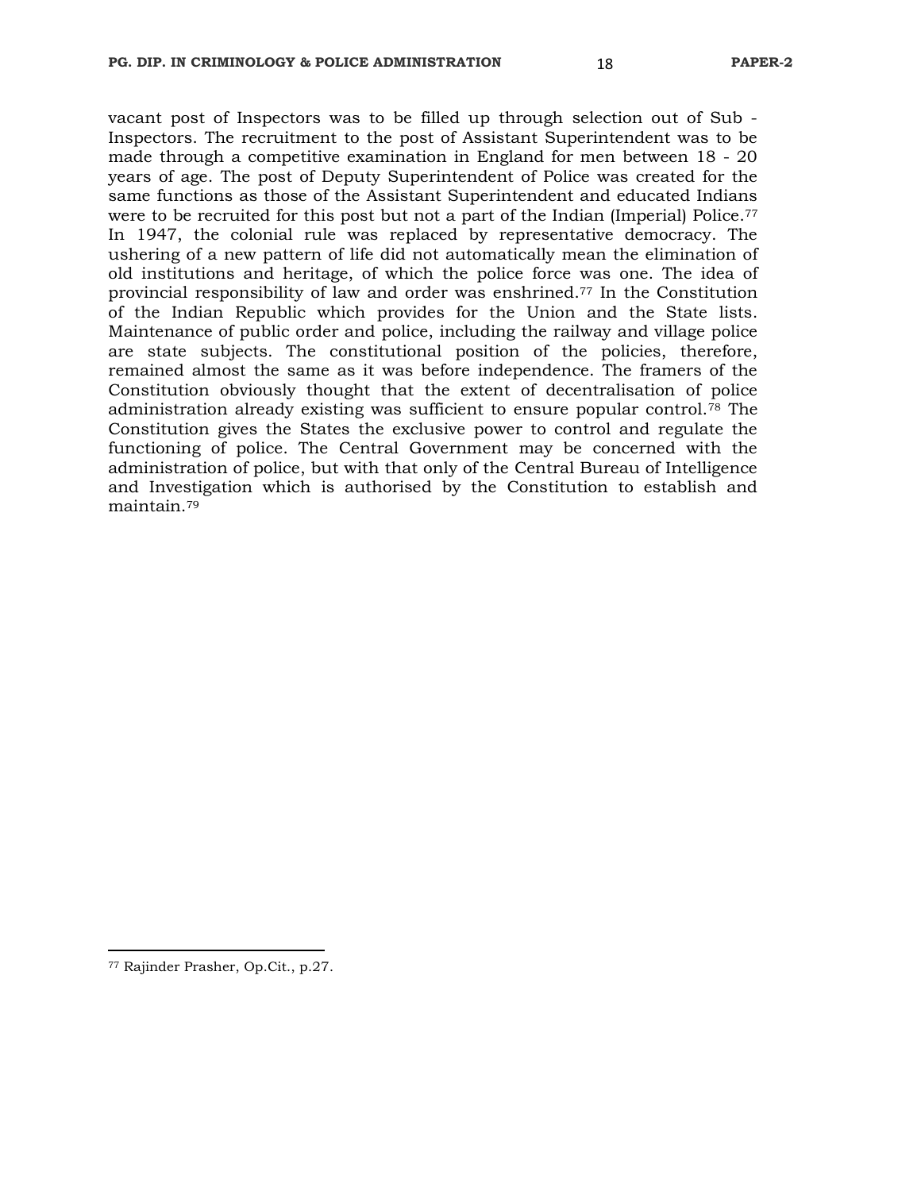vacant post of Inspectors was to be filled up through selection out of Sub - Inspectors. The recruitment to the post of Assistant Superintendent was to be made through a competitive examination in England for men between 18 - 20 years of age. The post of Deputy Superintendent of Police was created for the same functions as those of the Assistant Superintendent and educated Indians were to be recruited for this post but not a part of the Indian (Imperial) Police.<sup>77</sup> In 1947, the colonial rule was replaced by representative democracy. The ushering of a new pattern of life did not automatically mean the elimination of old institutions and heritage, of which the police force was one. The idea of provincial responsibility of law and order was enshrined.77 In the Constitution of the Indian Republic which provides for the Union and the State lists. Maintenance of public order and police, including the railway and village police are state subjects. The constitutional position of the policies, therefore, remained almost the same as it was before independence. The framers of the Constitution obviously thought that the extent of decentralisation of police administration already existing was sufficient to ensure popular control.78 The Constitution gives the States the exclusive power to control and regulate the

functioning of police. The Central Government may be concerned with the administration of police, but with that only of the Central Bureau of Intelligence

and Investigation which is authorised by the Constitution to establish and maintain.<sup>79</sup>

l

<sup>77</sup> Rajinder Prasher, Op.Cit., p.27.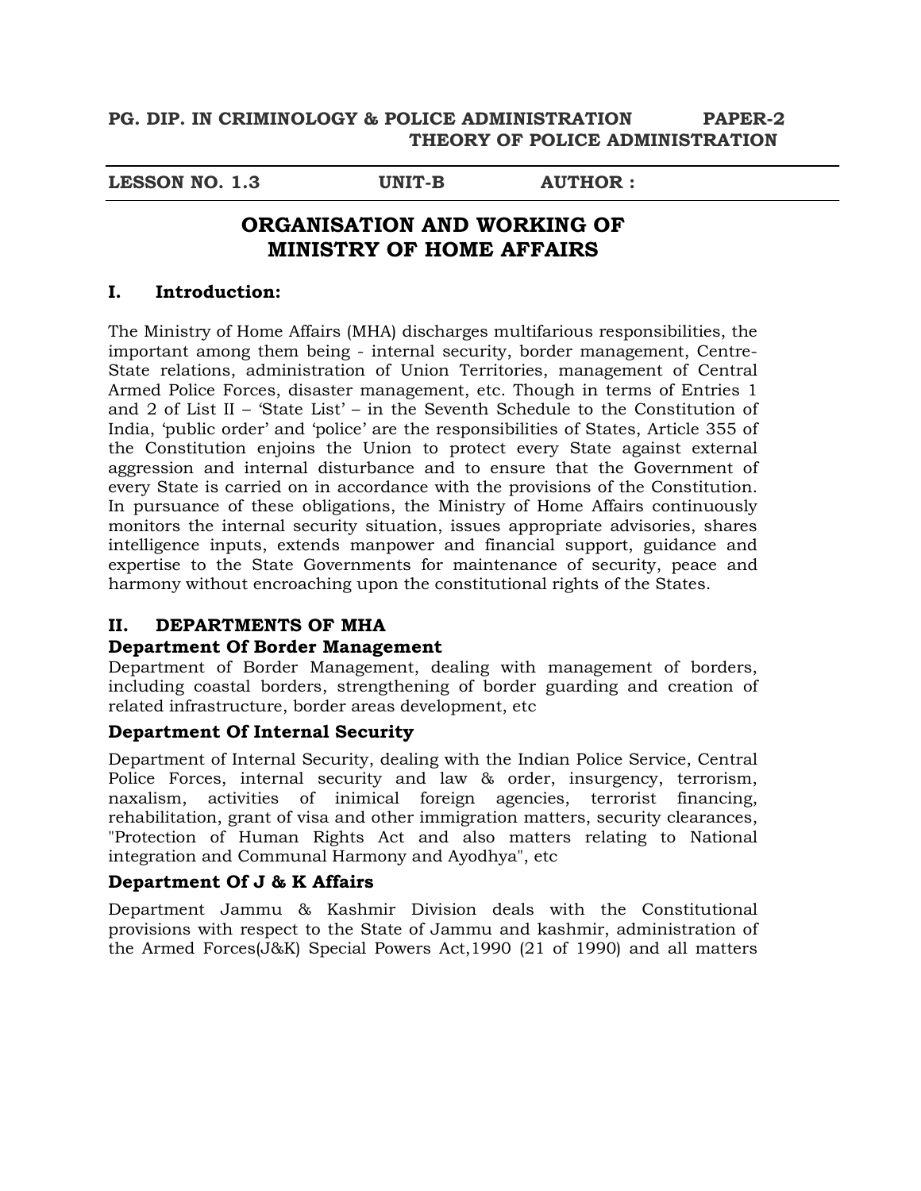## **PG. DIP. IN CRIMINOLOGY & POLICE ADMINISTRATION PAPER-2 THEORY OF POLICE ADMINISTRATION**

**LESSON NO. 1.3 UNIT-B AUTHOR :** 

# **ORGANISATION AND WORKING OF MINISTRY OF HOME AFFAIRS**

## **I. Introduction:**

The Ministry of Home Affairs (MHA) discharges multifarious responsibilities, the important among them being - internal security, border management, Centre-State relations, administration of Union Territories, management of Central Armed Police Forces, disaster management, etc. Though in terms of Entries 1 and 2 of List II – 'State List' – in the Seventh Schedule to the Constitution of India, 'public order' and 'police' are the responsibilities of States, Article 355 of the Constitution enjoins the Union to protect every State against external aggression and internal disturbance and to ensure that the Government of every State is carried on in accordance with the provisions of the Constitution. In pursuance of these obligations, the Ministry of Home Affairs continuously monitors the internal security situation, issues appropriate advisories, shares intelligence inputs, extends manpower and financial support, guidance and expertise to the State Governments for maintenance of security, peace and harmony without encroaching upon the constitutional rights of the States.

## **II. DEPARTMENTS OF MHA**

## **Department Of Border Management**

Department of Border Management, dealing with management of borders, including coastal borders, strengthening of border guarding and creation of related infrastructure, border areas development, etc

## **Department Of Internal Security**

Department of Internal Security, dealing with the Indian Police Service, Central Police Forces, internal security and law & order, insurgency, terrorism, naxalism, activities of inimical foreign agencies, terrorist financing, rehabilitation, grant of visa and other immigration matters, security clearances, "Protection of Human Rights Act and also matters relating to National integration and Communal Harmony and Ayodhya", etc

## **Department Of J & K Affairs**

Department Jammu & Kashmir Division deals with the Constitutional provisions with respect to the State of Jammu and kashmir, administration of the Armed Forces(J&K) Special Powers Act,1990 (21 of 1990) and all matters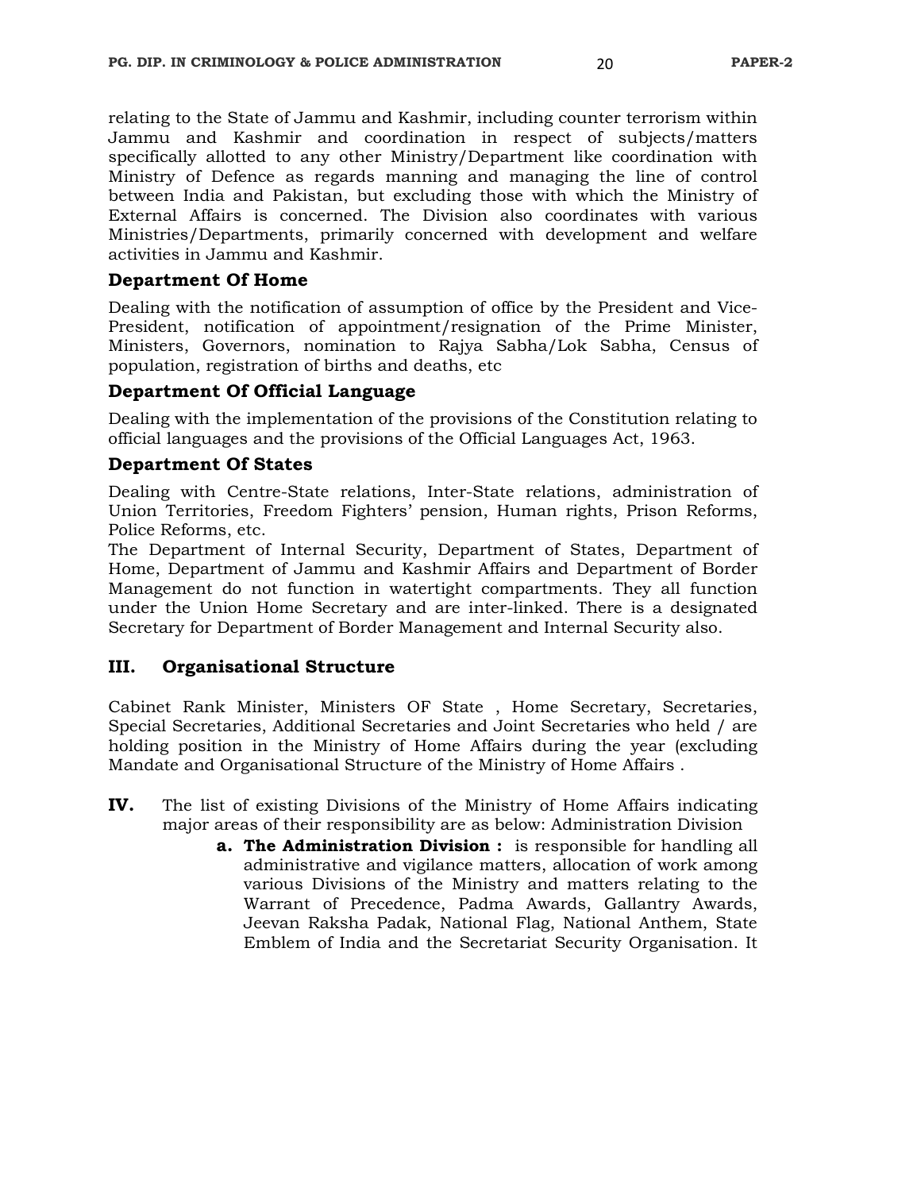relating to the State of Jammu and Kashmir, including counter terrorism within Jammu and Kashmir and coordination in respect of subjects/matters specifically allotted to any other Ministry/Department like coordination with Ministry of Defence as regards manning and managing the line of control between India and Pakistan, but excluding those with which the Ministry of External Affairs is concerned. The Division also coordinates with various Ministries/Departments, primarily concerned with development and welfare activities in Jammu and Kashmir.

### **Department Of Home**

Dealing with the notification of assumption of office by the President and Vice-President, notification of appointment/resignation of the Prime Minister, Ministers, Governors, nomination to Rajya Sabha/Lok Sabha, Census of population, registration of births and deaths, etc

### **Department Of Official Language**

Dealing with the implementation of the provisions of the Constitution relating to official languages and the provisions of the Official Languages Act, 1963.

#### **Department Of States**

Dealing with Centre-State relations, Inter-State relations, administration of Union Territories, Freedom Fighters' pension, Human rights, Prison Reforms, Police Reforms, etc.

The Department of Internal Security, Department of States, Department of Home, Department of Jammu and Kashmir Affairs and Department of Border Management do not function in watertight compartments. They all function under the Union Home Secretary and are inter-linked. There is a designated Secretary for Department of Border Management and Internal Security also.

### **III. Organisational Structure**

Cabinet Rank Minister, Ministers OF State , Home Secretary, Secretaries, Special Secretaries, Additional Secretaries and Joint Secretaries who held / are holding position in the Ministry of Home Affairs during the year (excluding Mandate and Organisational Structure of the Ministry of Home Affairs .

- **IV.** The list of existing Divisions of the Ministry of Home Affairs indicating major areas of their responsibility are as below: Administration Division
	- **a. The Administration Division :** is responsible for handling all administrative and vigilance matters, allocation of work among various Divisions of the Ministry and matters relating to the Warrant of Precedence, Padma Awards, Gallantry Awards, Jeevan Raksha Padak, National Flag, National Anthem, State Emblem of India and the Secretariat Security Organisation. It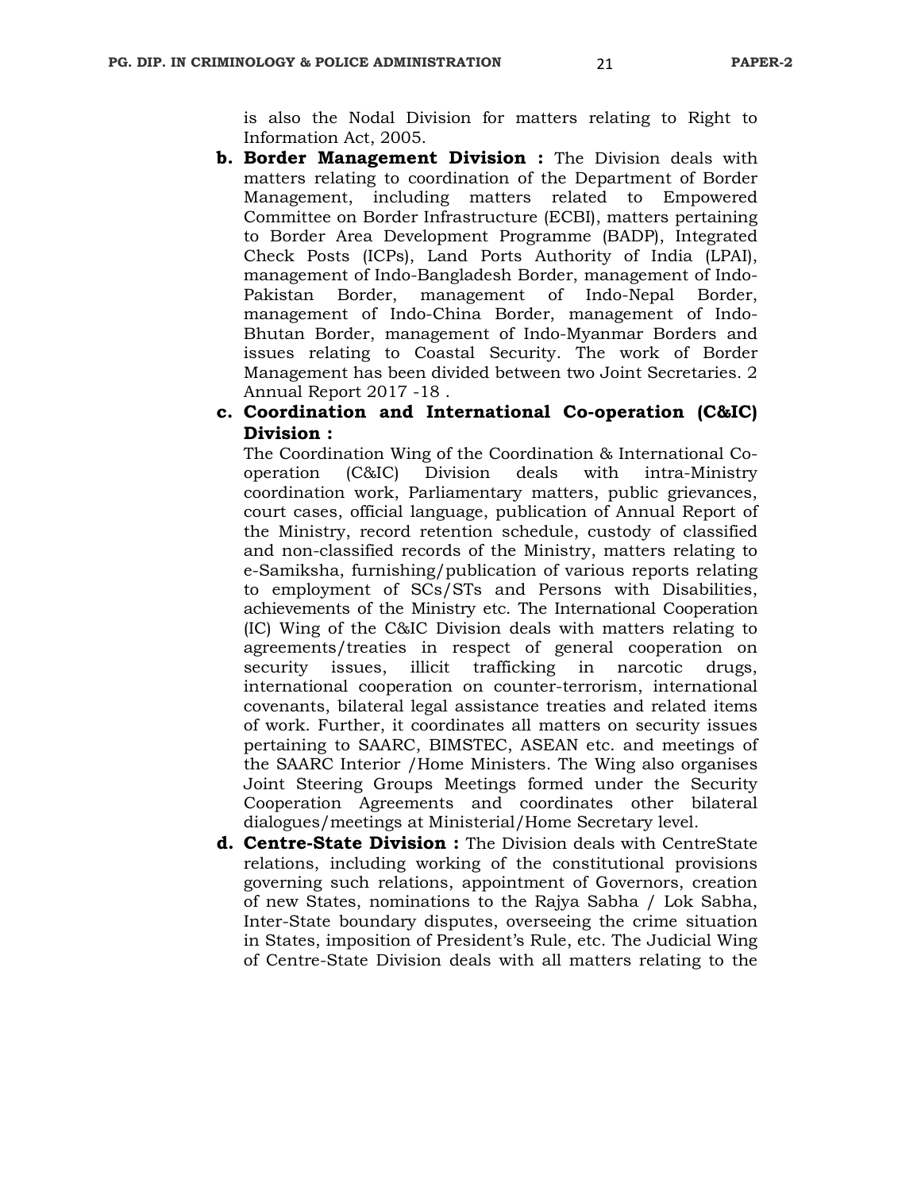is also the Nodal Division for matters relating to Right to Information Act, 2005.

**b. Border Management Division :** The Division deals with matters relating to coordination of the Department of Border Management, including matters related to Empowered Committee on Border Infrastructure (ECBI), matters pertaining to Border Area Development Programme (BADP), Integrated Check Posts (ICPs), Land Ports Authority of India (LPAI), management of Indo-Bangladesh Border, management of Indo-Pakistan Border, management of Indo-Nepal Border, management of Indo-China Border, management of Indo-Bhutan Border, management of Indo-Myanmar Borders and issues relating to Coastal Security. The work of Border Management has been divided between two Joint Secretaries. 2 Annual Report 2017 -18 .

### **c. Coordination and International Co-operation (C&IC) Division :**

The Coordination Wing of the Coordination & International Cooperation (C&IC) Division deals with intra-Ministry coordination work, Parliamentary matters, public grievances, court cases, official language, publication of Annual Report of the Ministry, record retention schedule, custody of classified and non-classified records of the Ministry, matters relating to e-Samiksha, furnishing/publication of various reports relating to employment of SCs/STs and Persons with Disabilities, achievements of the Ministry etc. The International Cooperation (IC) Wing of the C&IC Division deals with matters relating to agreements/treaties in respect of general cooperation on security issues, illicit trafficking in narcotic drugs, international cooperation on counter-terrorism, international covenants, bilateral legal assistance treaties and related items of work. Further, it coordinates all matters on security issues pertaining to SAARC, BIMSTEC, ASEAN etc. and meetings of the SAARC Interior /Home Ministers. The Wing also organises Joint Steering Groups Meetings formed under the Security Cooperation Agreements and coordinates other bilateral dialogues/meetings at Ministerial/Home Secretary level.

**d. Centre-State Division :** The Division deals with CentreState relations, including working of the constitutional provisions governing such relations, appointment of Governors, creation of new States, nominations to the Rajya Sabha / Lok Sabha, Inter-State boundary disputes, overseeing the crime situation in States, imposition of President's Rule, etc. The Judicial Wing of Centre-State Division deals with all matters relating to the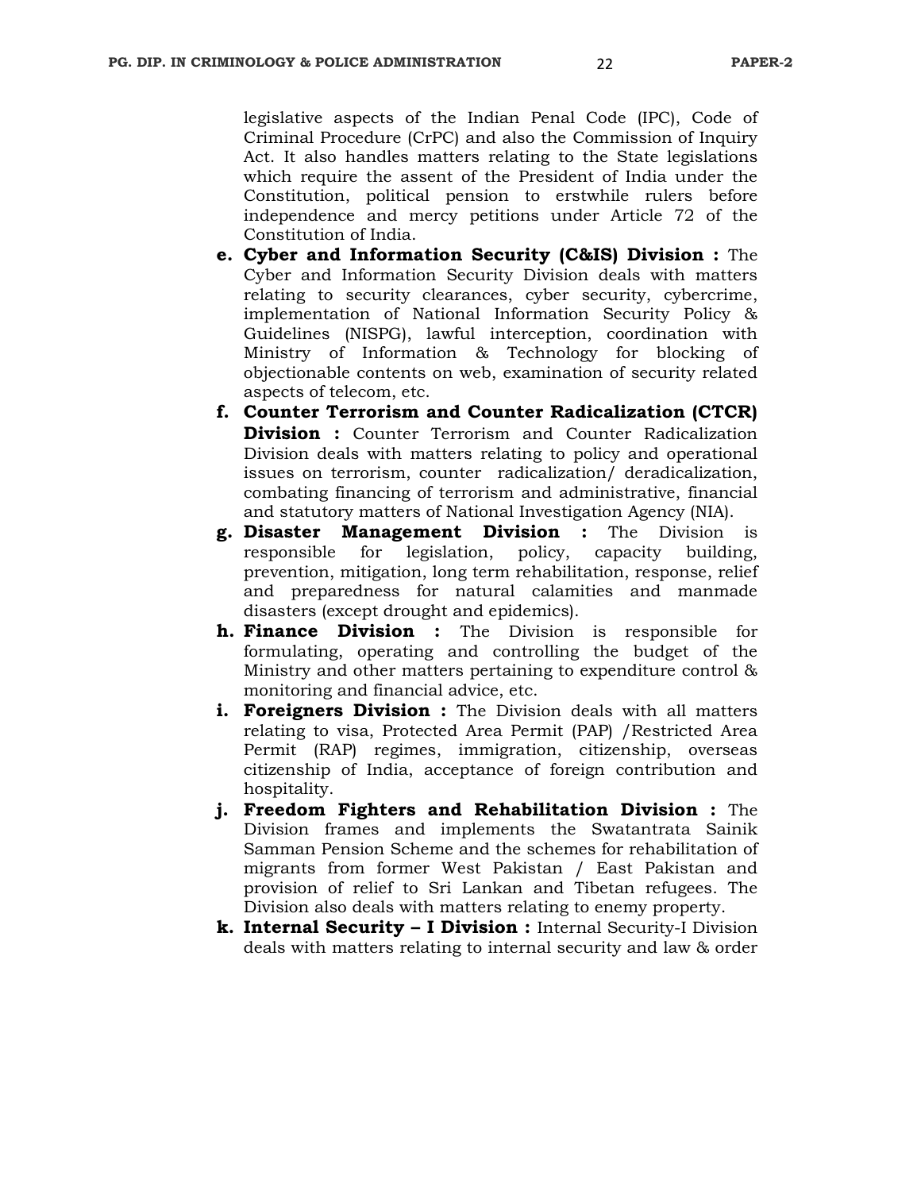legislative aspects of the Indian Penal Code (IPC), Code of Criminal Procedure (CrPC) and also the Commission of Inquiry Act. It also handles matters relating to the State legislations which require the assent of the President of India under the Constitution, political pension to erstwhile rulers before independence and mercy petitions under Article 72 of the Constitution of India.

- **e. Cyber and Information Security (C&IS) Division :** The Cyber and Information Security Division deals with matters relating to security clearances, cyber security, cybercrime, implementation of National Information Security Policy & Guidelines (NISPG), lawful interception, coordination with Ministry of Information & Technology for blocking of objectionable contents on web, examination of security related aspects of telecom, etc.
- **f. Counter Terrorism and Counter Radicalization (CTCR) Division :** Counter Terrorism and Counter Radicalization Division deals with matters relating to policy and operational issues on terrorism, counter radicalization/ deradicalization, combating financing of terrorism and administrative, financial and statutory matters of National Investigation Agency (NIA).
- **g. Disaster Management Division :** The Division is responsible for legislation, policy, capacity building, prevention, mitigation, long term rehabilitation, response, relief and preparedness for natural calamities and manmade disasters (except drought and epidemics).
- **h. Finance Division :** The Division is responsible for formulating, operating and controlling the budget of the Ministry and other matters pertaining to expenditure control & monitoring and financial advice, etc.
- **i. Foreigners Division :** The Division deals with all matters relating to visa, Protected Area Permit (PAP) /Restricted Area Permit (RAP) regimes, immigration, citizenship, overseas citizenship of India, acceptance of foreign contribution and hospitality.
- **j. Freedom Fighters and Rehabilitation Division :** The Division frames and implements the Swatantrata Sainik Samman Pension Scheme and the schemes for rehabilitation of migrants from former West Pakistan / East Pakistan and provision of relief to Sri Lankan and Tibetan refugees. The Division also deals with matters relating to enemy property.
- **k. Internal Security I Division :** Internal Security-I Division deals with matters relating to internal security and law & order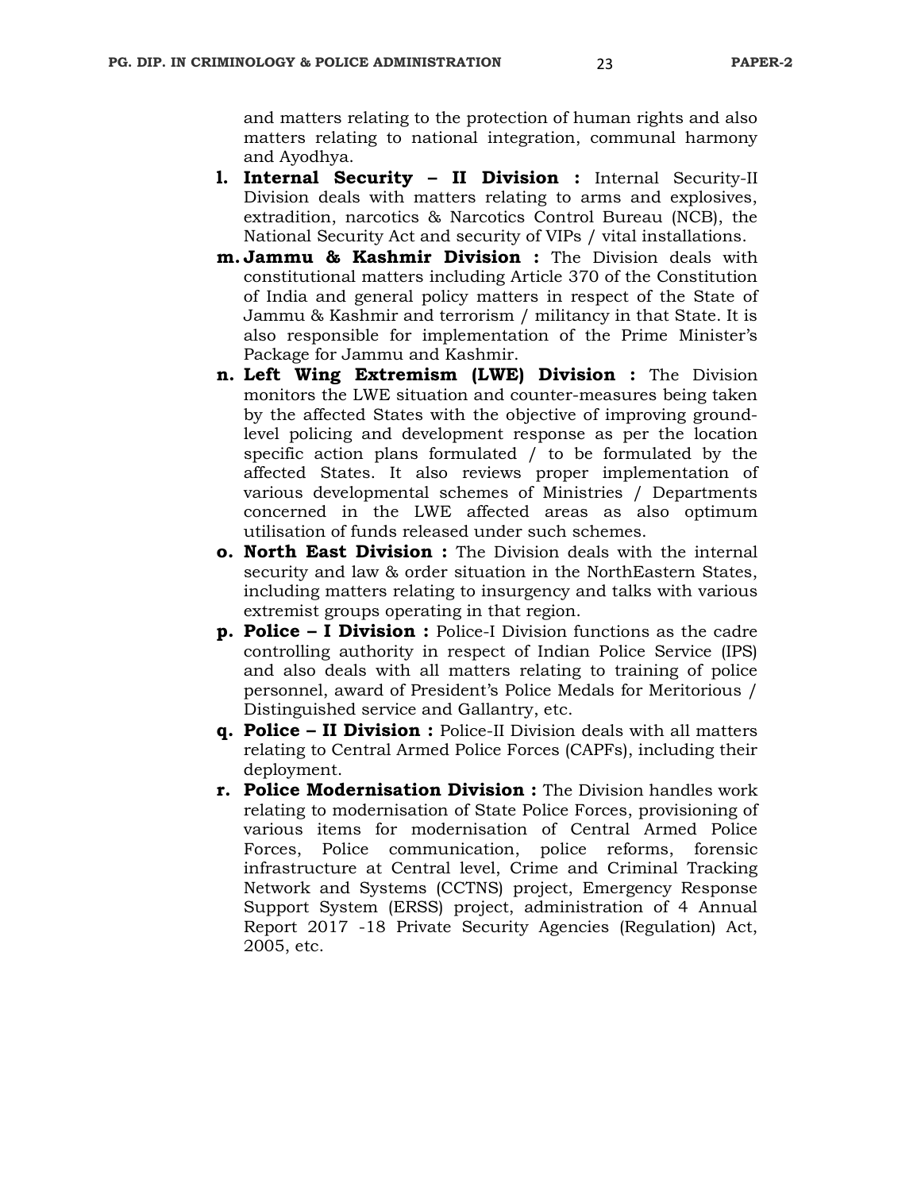- **l. Internal Security II Division :** Internal Security-II Division deals with matters relating to arms and explosives, extradition, narcotics & Narcotics Control Bureau (NCB), the National Security Act and security of VIPs / vital installations.
- **m. Jammu & Kashmir Division :** The Division deals with constitutional matters including Article 370 of the Constitution of India and general policy matters in respect of the State of Jammu & Kashmir and terrorism / militancy in that State. It is also responsible for implementation of the Prime Minister's Package for Jammu and Kashmir.
- **n. Left Wing Extremism (LWE) Division :** The Division monitors the LWE situation and counter-measures being taken by the affected States with the objective of improving groundlevel policing and development response as per the location specific action plans formulated / to be formulated by the affected States. It also reviews proper implementation of various developmental schemes of Ministries / Departments concerned in the LWE affected areas as also optimum utilisation of funds released under such schemes.
- **o. North East Division :** The Division deals with the internal security and law & order situation in the NorthEastern States, including matters relating to insurgency and talks with various extremist groups operating in that region.
- **p. Police I Division :** Police-I Division functions as the cadre controlling authority in respect of Indian Police Service (IPS) and also deals with all matters relating to training of police personnel, award of President's Police Medals for Meritorious / Distinguished service and Gallantry, etc.
- **q. Police II Division :** Police-II Division deals with all matters relating to Central Armed Police Forces (CAPFs), including their deployment.
- **r. Police Modernisation Division :** The Division handles work relating to modernisation of State Police Forces, provisioning of various items for modernisation of Central Armed Police Forces, Police communication, police reforms, forensic infrastructure at Central level, Crime and Criminal Tracking Network and Systems (CCTNS) project, Emergency Response Support System (ERSS) project, administration of 4 Annual Report 2017 -18 Private Security Agencies (Regulation) Act, 2005, etc.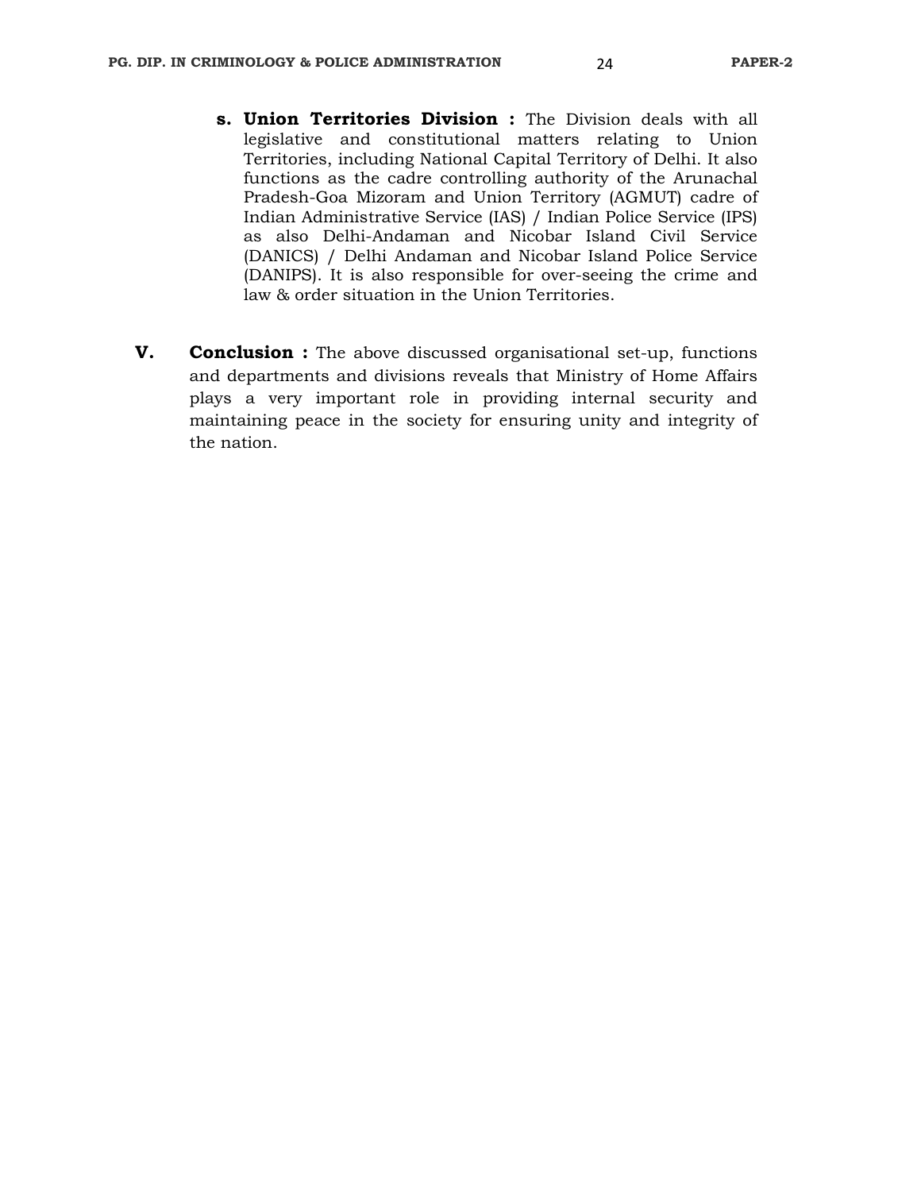- **s. Union Territories Division :** The Division deals with all legislative and constitutional matters relating to Union Territories, including National Capital Territory of Delhi. It also functions as the cadre controlling authority of the Arunachal Pradesh-Goa Mizoram and Union Territory (AGMUT) cadre of Indian Administrative Service (IAS) / Indian Police Service (IPS) as also Delhi-Andaman and Nicobar Island Civil Service (DANICS) / Delhi Andaman and Nicobar Island Police Service (DANIPS). It is also responsible for over-seeing the crime and law & order situation in the Union Territories.
- **V. Conclusion :** The above discussed organisational set-up, functions and departments and divisions reveals that Ministry of Home Affairs plays a very important role in providing internal security and maintaining peace in the society for ensuring unity and integrity of the nation.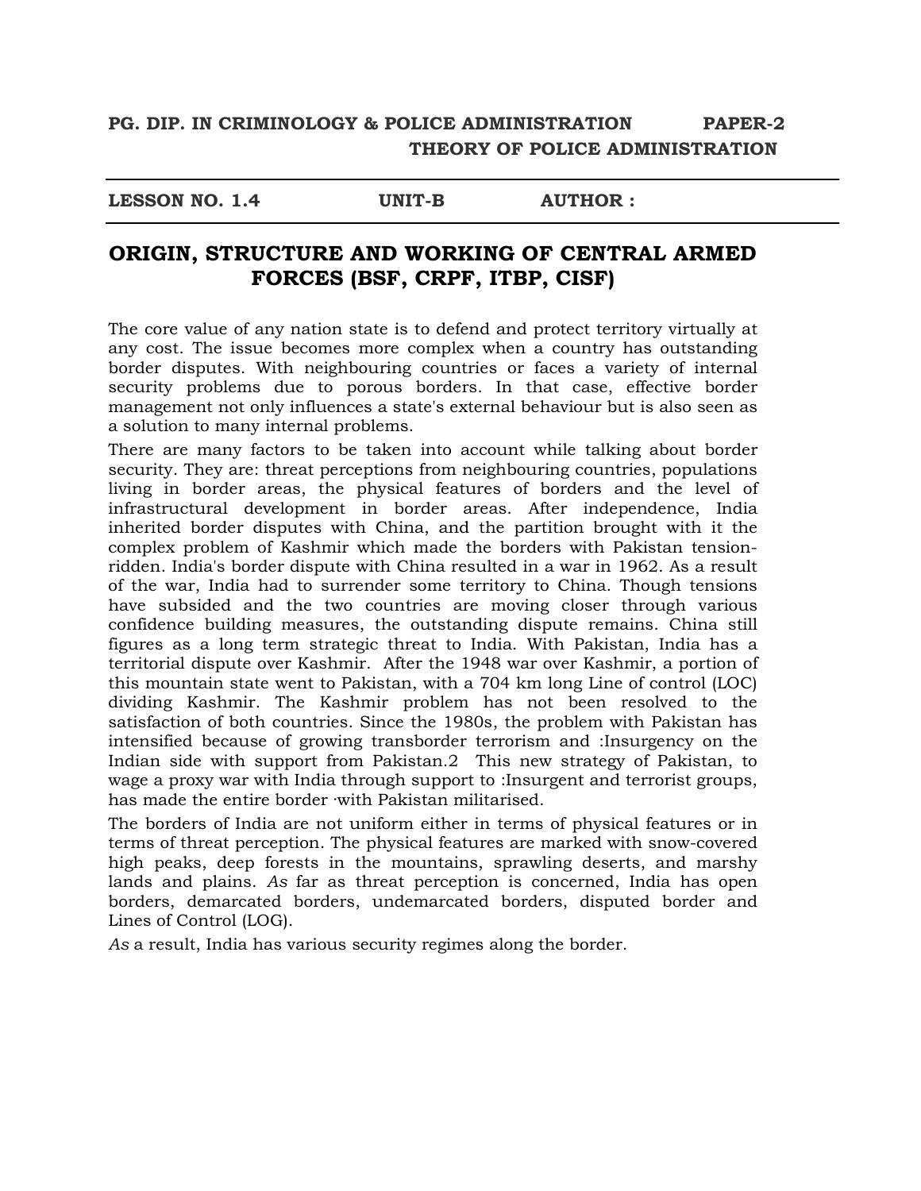## **PG. DIP. IN CRIMINOLOGY & POLICE ADMINISTRATION PAPER-2 THEORY OF POLICE ADMINISTRATION**

| <b>LESSON NO. 1.4</b> | <b>UNIT-B</b> | <b>AUTHOR:</b> |
|-----------------------|---------------|----------------|
|                       |               |                |

# **ORIGIN, STRUCTURE AND WORKING OF CENTRAL ARMED FORCES (BSF, CRPF, ITBP, CISF)**

The core value of any nation state is to defend and protect territory virtually at any cost. The issue becomes more complex when a country has outstanding border disputes. With neighbouring countries or faces a variety of internal security problems due to porous borders. In that case, effective border management not only influences a state's external behaviour but is also seen as a solution to many internal problems.

There are many factors to be taken into account while talking about border security. They are: threat perceptions from neighbouring countries, populations living in border areas, the physical features of borders and the level of infrastructural development in border areas. After independence, India inherited border disputes with China, and the partition brought with it the complex problem of Kashmir which made the borders with Pakistan tensionridden. India's border dispute with China resulted in a war in 1962. As a result of the war, India had to surrender some territory to China. Though tensions have subsided and the two countries are moving closer through various confidence building measures, the outstanding dispute remains. China still figures as a long term strategic threat to India. With Pakistan, India has a territorial dispute over Kashmir. After the 1948 war over Kashmir, a portion of this mountain state went to Pakistan, with a 704 km long Line of control (LOC) dividing Kashmir. The Kashmir problem has not been resolved to the satisfaction of both countries. Since the 1980s, the problem with Pakistan has intensified because of growing transborder terrorism and :Insurgency on the Indian side with support from Pakistan.2 This new strategy of Pakistan, to wage a proxy war with India through support to :Insurgent and terrorist groups, has made the entire border ·with Pakistan militarised.

The borders of India are not uniform either in terms of physical features or in terms of threat perception. The physical features are marked with snow-covered high peaks, deep forests in the mountains, sprawling deserts, and marshy lands and plains. *As* far as threat perception is concerned, India has open borders, demarcated borders, undemarcated borders, disputed border and Lines of Control (LOG).

*As* a result, India has various security regimes along the border.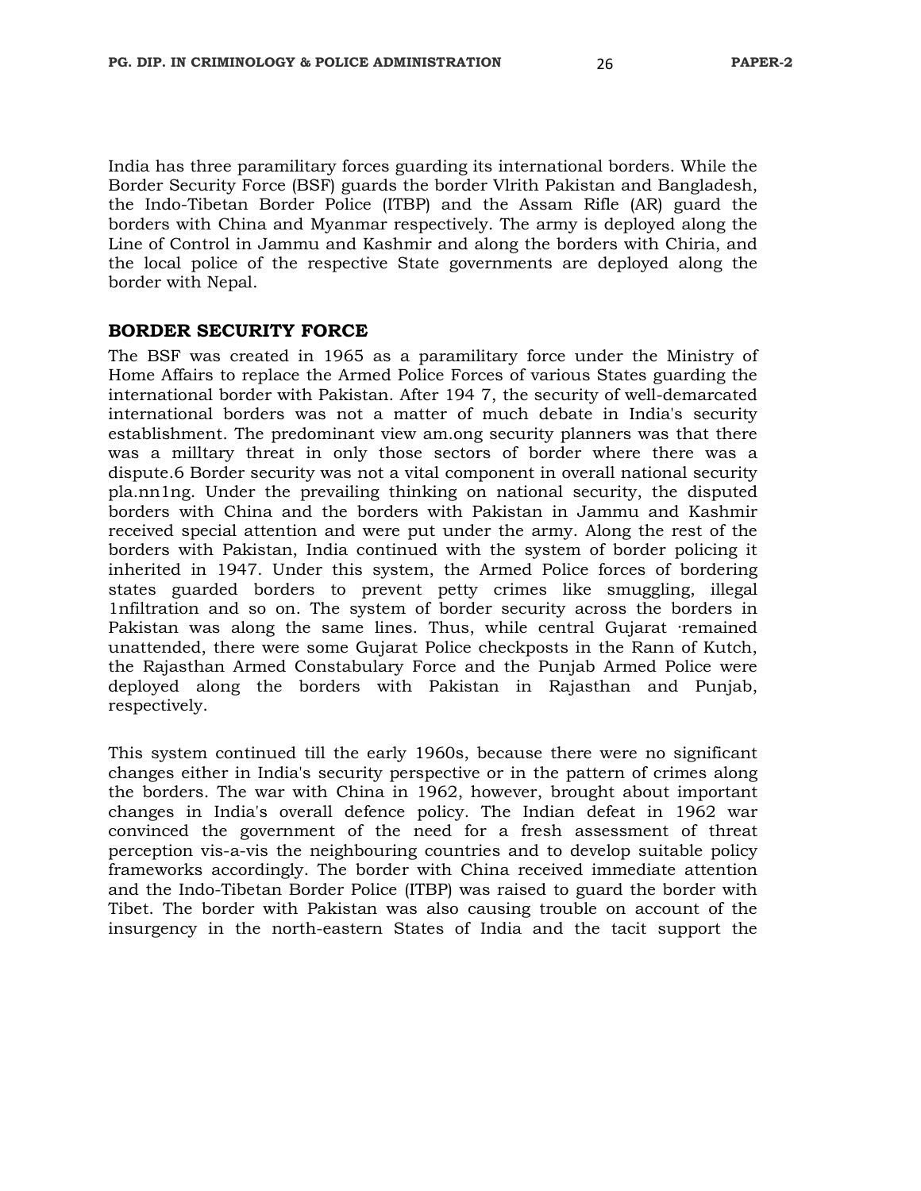India has three paramilitary forces guarding its international borders. While the Border Security Force (BSF) guards the border Vlrith Pakistan and Bangladesh, the Indo-Tibetan Border Police (ITBP) and the Assam Rifle (AR) guard the borders with China and Myanmar respectively. The army is deployed along the Line of Control in Jammu and Kashmir and along the borders with Chiria, and the local police of the respective State governments are deployed along the border with Nepal.

### **BORDER SECURITY FORCE**

The BSF was created in 1965 as a paramilitary force under the Ministry of Home Affairs to replace the Armed Police Forces of various States guarding the international border with Pakistan. After 194 7, the security of well-demarcated international borders was not a matter of much debate in India's security establishment. The predominant view am.ong security planners was that there was a milltary threat in only those sectors of border where there was a dispute.6 Border security was not a vital component in overall national security pla.nn1ng. Under the prevailing thinking on national security, the disputed borders with China and the borders with Pakistan in Jammu and Kashmir received special attention and were put under the army. Along the rest of the borders with Pakistan, India continued with the system of border policing it inherited in 1947. Under this system, the Armed Police forces of bordering states guarded borders to prevent petty crimes like smuggling, illegal 1nfiltration and so on. The system of border security across the borders in Pakistan was along the same lines. Thus, while central Gujarat ·remained unattended, there were some Gujarat Police checkposts in the Rann of Kutch, the Rajasthan Armed Constabulary Force and the Punjab Armed Police were deployed along the borders with Pakistan in Rajasthan and Punjab, respectively.

This system continued till the early 1960s, because there were no significant changes either in India's security perspective or in the pattern of crimes along the borders. The war with China in 1962, however, brought about important changes in India's overall defence policy. The Indian defeat in 1962 war convinced the government of the need for a fresh assessment of threat perception vis-a-vis the neighbouring countries and to develop suitable policy frameworks accordingly. The border with China received immediate attention and the Indo-Tibetan Border Police (ITBP) was raised to guard the border with Tibet. The border with Pakistan was also causing trouble on account of the insurgency in the north-eastern States of India and the tacit support the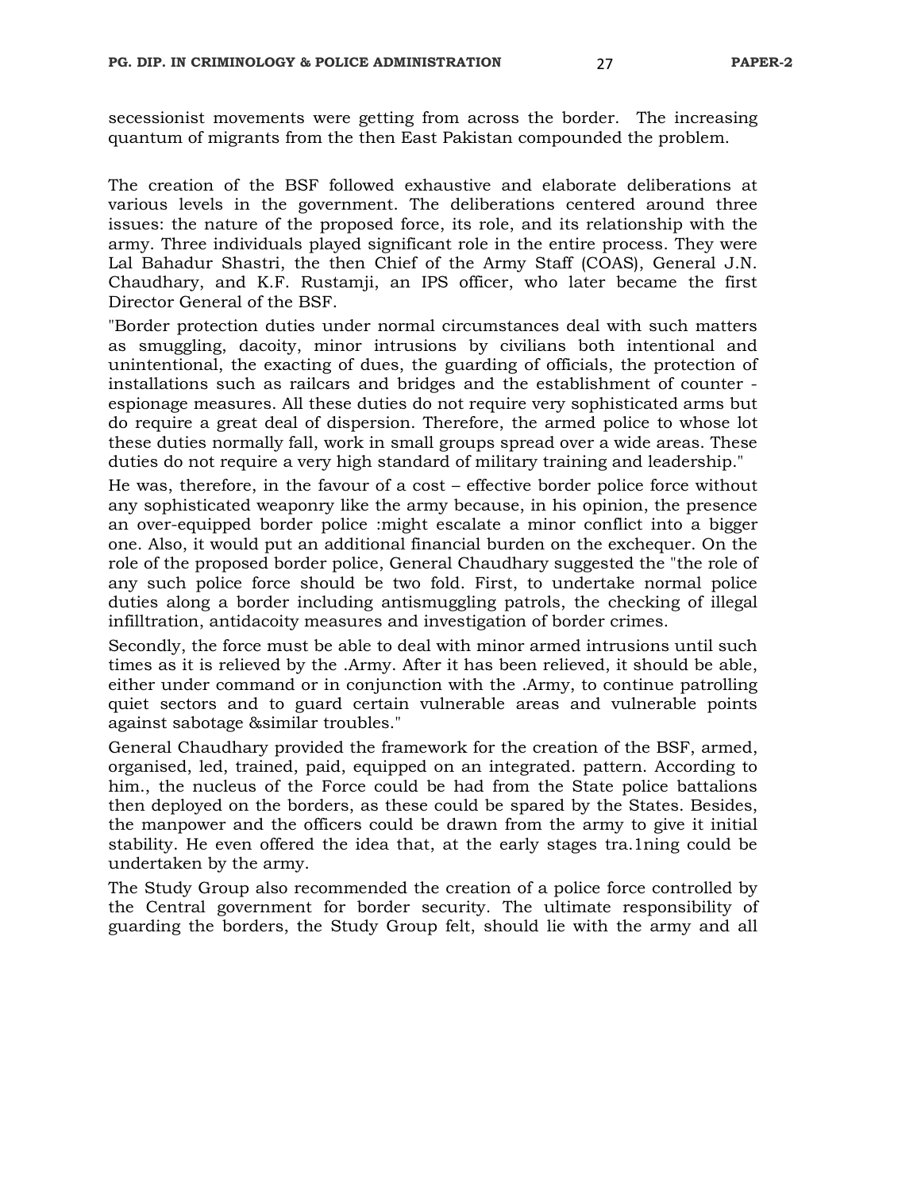secessionist movements were getting from across the border. The increasing quantum of migrants from the then East Pakistan compounded the problem.

The creation of the BSF followed exhaustive and elaborate deliberations at various levels in the government. The deliberations centered around three issues: the nature of the proposed force, its role, and its relationship with the army. Three individuals played significant role in the entire process. They were Lal Bahadur Shastri, the then Chief of the Army Staff (COAS), General J.N. Chaudhary, and K.F. Rustamji, an IPS officer, who later became the first Director General of the BSF.

"Border protection duties under normal circumstances deal with such matters as smuggling, dacoity, minor intrusions by civilians both intentional and unintentional, the exacting of dues, the guarding of officials, the protection of installations such as railcars and bridges and the establishment of counter espionage measures. All these duties do not require very sophisticated arms but do require a great deal of dispersion. Therefore, the armed police to whose lot these duties normally fall, work in small groups spread over a wide areas. These duties do not require a very high standard of military training and leadership."

He was, therefore, in the favour of a cost – effective border police force without any sophisticated weaponry like the army because, in his opinion, the presence an over-equipped border police :might escalate a minor conflict into a bigger one. Also, it would put an additional financial burden on the exchequer. On the role of the proposed border police, General Chaudhary suggested the "the role of any such police force should be two fold. First, to undertake normal police duties along a border including antismuggling patrols, the checking of illegal infilltration, antidacoity measures and investigation of border crimes.

Secondly, the force must be able to deal with minor armed intrusions until such times as it is relieved by the .Army. After it has been relieved, it should be able, either under command or in conjunction with the .Army, to continue patrolling quiet sectors and to guard certain vulnerable areas and vulnerable points against sabotage &similar troubles."

General Chaudhary provided the framework for the creation of the BSF, armed, organised, led, trained, paid, equipped on an integrated. pattern. According to him., the nucleus of the Force could be had from the State police battalions then deployed on the borders, as these could be spared by the States. Besides, the manpower and the officers could be drawn from the army to give it initial stability. He even offered the idea that, at the early stages tra.1ning could be undertaken by the army.

The Study Group also recommended the creation of a police force controlled by the Central government for border security. The ultimate responsibility of guarding the borders, the Study Group felt, should lie with the army and all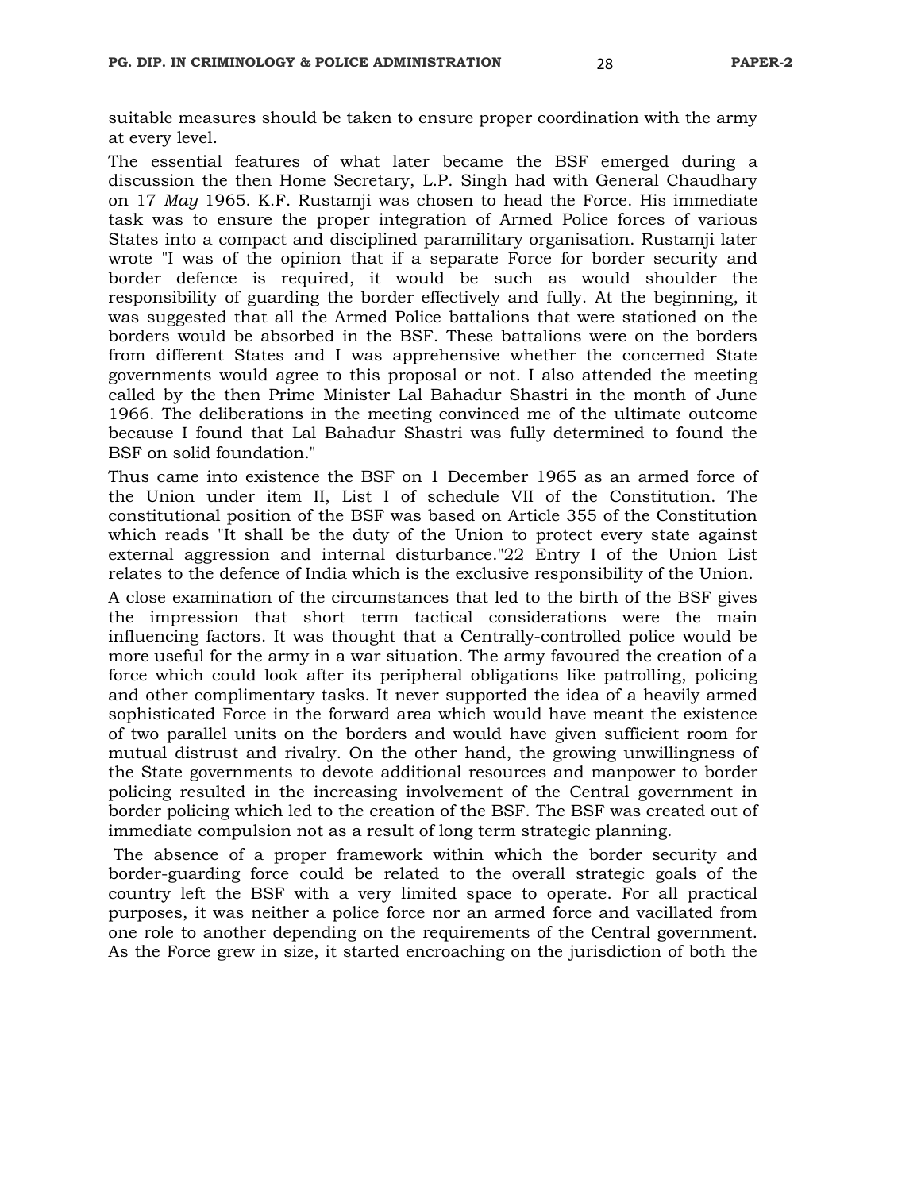suitable measures should be taken to ensure proper coordination with the army at every level.

The essential features of what later became the BSF emerged during a discussion the then Home Secretary, L.P. Singh had with General Chaudhary on 17 *May* 1965. K.F. Rustamji was chosen to head the Force. His immediate task was to ensure the proper integration of Armed Police forces of various States into a compact and disciplined paramilitary organisation. Rustamji later wrote "I was of the opinion that if a separate Force for border security and border defence is required, it would be such as would shoulder the responsibility of guarding the border effectively and fully. At the beginning, it was suggested that all the Armed Police battalions that were stationed on the borders would be absorbed in the BSF. These battalions were on the borders from different States and I was apprehensive whether the concerned State governments would agree to this proposal or not. I also attended the meeting called by the then Prime Minister Lal Bahadur Shastri in the month of June 1966. The deliberations in the meeting convinced me of the ultimate outcome because I found that Lal Bahadur Shastri was fully determined to found the BSF on solid foundation."

Thus came into existence the BSF on 1 December 1965 as an armed force of the Union under item II, List I of schedule VII of the Constitution. The constitutional position of the BSF was based on Article 355 of the Constitution which reads "It shall be the duty of the Union to protect every state against external aggression and internal disturbance."22 Entry I of the Union List relates to the defence of India which is the exclusive responsibility of the Union.

A close examination of the circumstances that led to the birth of the BSF gives the impression that short term tactical considerations were the main influencing factors. It was thought that a Centrally-controlled police would be more useful for the army in a war situation. The army favoured the creation of a force which could look after its peripheral obligations like patrolling, policing and other complimentary tasks. It never supported the idea of a heavily armed sophisticated Force in the forward area which would have meant the existence of two parallel units on the borders and would have given sufficient room for mutual distrust and rivalry. On the other hand, the growing unwillingness of the State governments to devote additional resources and manpower to border policing resulted in the increasing involvement of the Central government in border policing which led to the creation of the BSF. The BSF was created out of immediate compulsion not as a result of long term strategic planning.

 The absence of a proper framework within which the border security and border-guarding force could be related to the overall strategic goals of the country left the BSF with a very limited space to operate. For all practical purposes, it was neither a police force nor an armed force and vacillated from one role to another depending on the requirements of the Central government. As the Force grew in size, it started encroaching on the jurisdiction of both the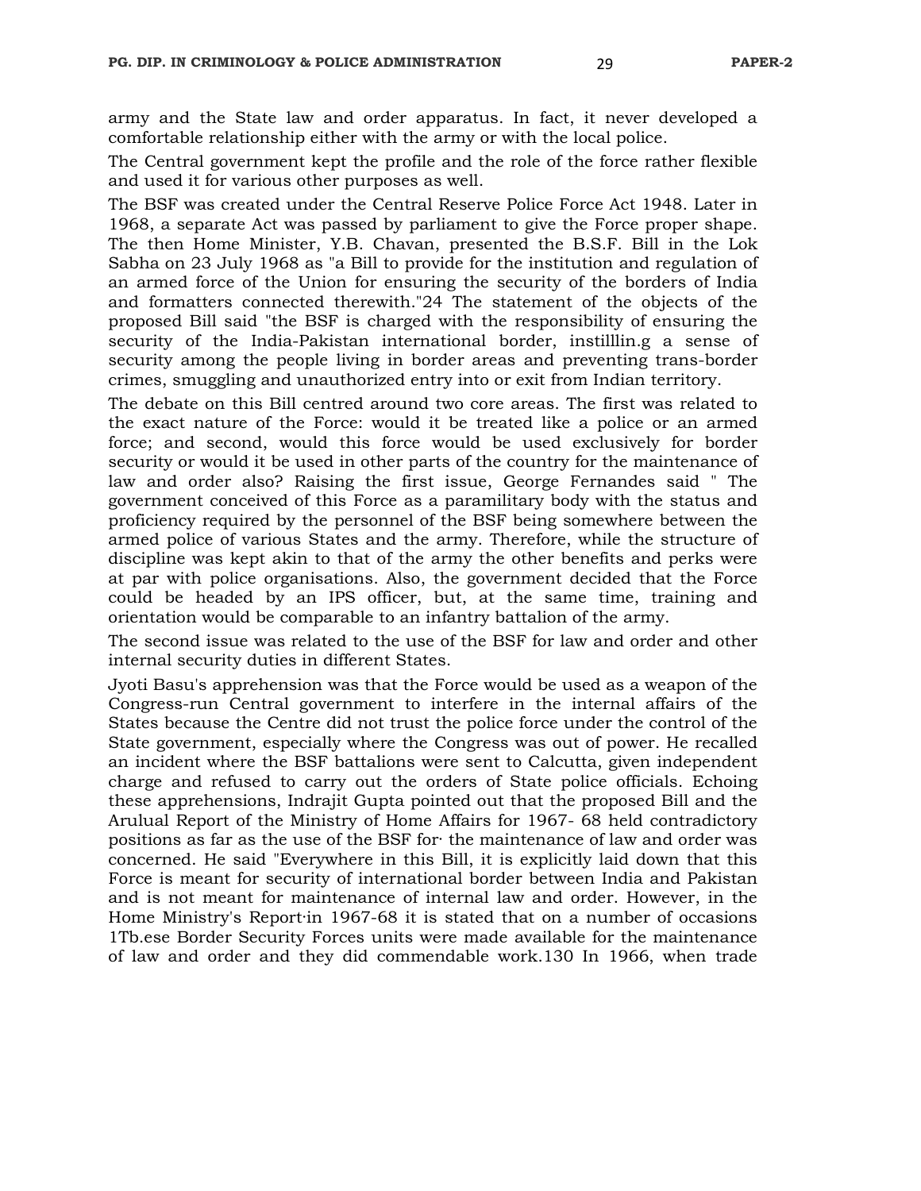army and the State law and order apparatus. In fact, it never developed a comfortable relationship either with the army or with the local police.

The Central government kept the profile and the role of the force rather flexible and used it for various other purposes as well.

The BSF was created under the Central Reserve Police Force Act 1948. Later in 1968, a separate Act was passed by parliament to give the Force proper shape. The then Home Minister, Y.B. Chavan, presented the B.S.F. Bill in the Lok Sabha on 23 July 1968 as "a Bill to provide for the institution and regulation of an armed force of the Union for ensuring the security of the borders of India and formatters connected therewith."24 The statement of the objects of the proposed Bill said "the BSF is charged with the responsibility of ensuring the security of the India-Pakistan international border, instilllin.g a sense of security among the people living in border areas and preventing trans-border crimes, smuggling and unauthorized entry into or exit from Indian territory.

The debate on this Bill centred around two core areas. The first was related to the exact nature of the Force: would it be treated like a police or an armed force; and second, would this force would be used exclusively for border security or would it be used in other parts of the country for the maintenance of law and order also? Raising the first issue, George Fernandes said " The government conceived of this Force as a paramilitary body with the status and proficiency required by the personnel of the BSF being somewhere between the armed police of various States and the army. Therefore, while the structure of discipline was kept akin to that of the army the other benefits and perks were at par with police organisations. Also, the government decided that the Force could be headed by an IPS officer, but, at the same time, training and orientation would be comparable to an infantry battalion of the army.

The second issue was related to the use of the BSF for law and order and other internal security duties in different States.

Jyoti Basu's apprehension was that the Force would be used as a weapon of the Congress-run Central government to interfere in the internal affairs of the States because the Centre did not trust the police force under the control of the State government, especially where the Congress was out of power. He recalled an incident where the BSF battalions were sent to Calcutta, given independent charge and refused to carry out the orders of State police officials. Echoing these apprehensions, Indrajit Gupta pointed out that the proposed Bill and the Arulual Report of the Ministry of Home Affairs for 1967- 68 held contradictory positions as far as the use of the BSF for· the maintenance of law and order was concerned. He said "Everywhere in this Bill, it is explicitly laid down that this Force is meant for security of international border between India and Pakistan and is not meant for maintenance of internal law and order. However, in the Home Ministry's Report·in 1967-68 it is stated that on a number of occasions 1Tb.ese Border Security Forces units were made available for the maintenance of law and order and they did commendable work.130 In 1966, when trade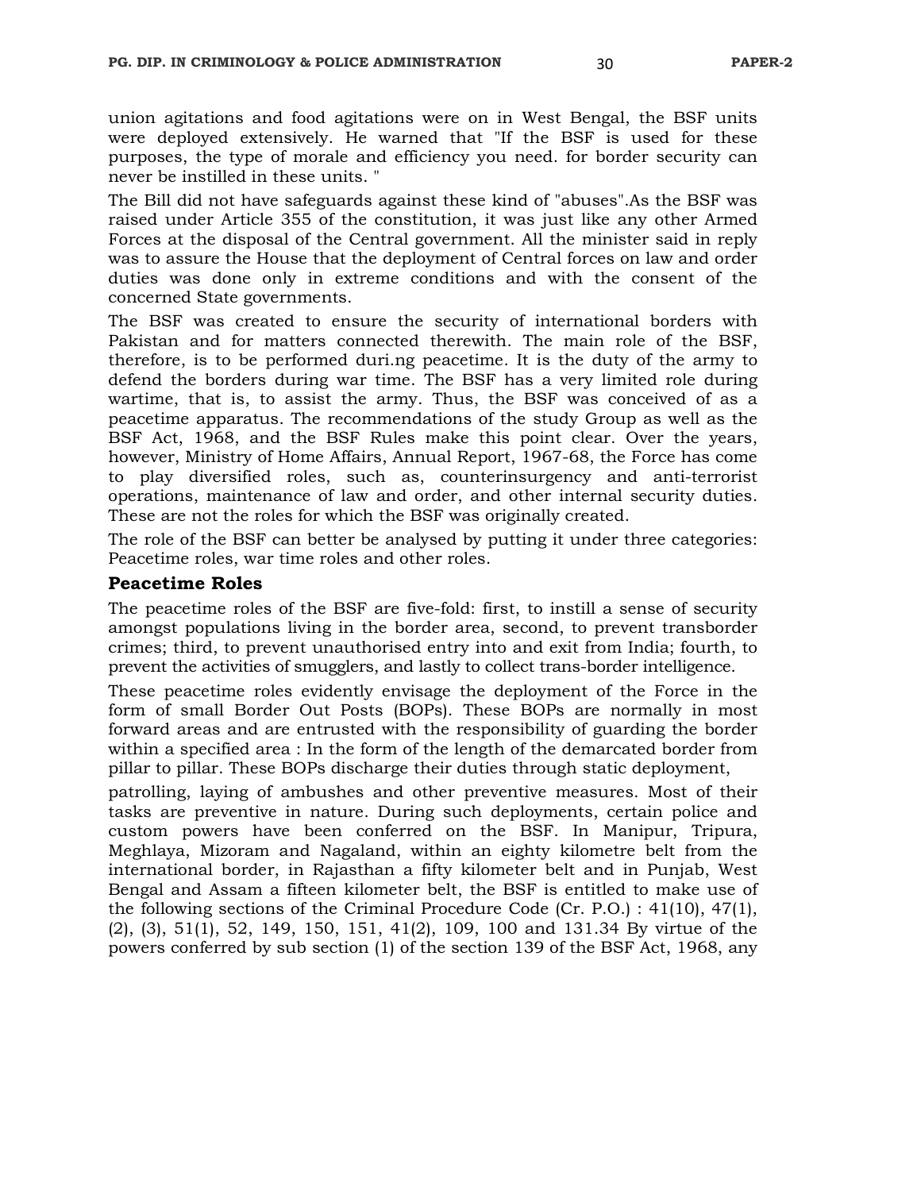union agitations and food agitations were on in West Bengal, the BSF units were deployed extensively. He warned that "If the BSF is used for these purposes, the type of morale and efficiency you need. for border security can never be instilled in these units. "

The Bill did not have safeguards against these kind of "abuses".As the BSF was raised under Article 355 of the constitution, it was just like any other Armed Forces at the disposal of the Central government. All the minister said in reply was to assure the House that the deployment of Central forces on law and order duties was done only in extreme conditions and with the consent of the concerned State governments.

The BSF was created to ensure the security of international borders with Pakistan and for matters connected therewith. The main role of the BSF, therefore, is to be performed duri.ng peacetime. It is the duty of the army to defend the borders during war time. The BSF has a very limited role during wartime, that is, to assist the army. Thus, the BSF was conceived of as a peacetime apparatus. The recommendations of the study Group as well as the BSF Act, 1968, and the BSF Rules make this point clear. Over the years, however, Ministry of Home Affairs, Annual Report, 1967-68, the Force has come to play diversified roles, such as, counterinsurgency and anti-terrorist operations, maintenance of law and order, and other internal security duties. These are not the roles for which the BSF was originally created.

The role of the BSF can better be analysed by putting it under three categories: Peacetime roles, war time roles and other roles.

#### **Peacetime Roles**

The peacetime roles of the BSF are five-fold: first, to instill a sense of security amongst populations living in the border area, second, to prevent transborder crimes; third, to prevent unauthorised entry into and exit from India; fourth, to prevent the activities of smugglers, and lastly to collect trans-border intelligence.

These peacetime roles evidently envisage the deployment of the Force in the form of small Border Out Posts (BOPs). These BOPs are normally in most forward areas and are entrusted with the responsibility of guarding the border within a specified area : In the form of the length of the demarcated border from pillar to pillar. These BOPs discharge their duties through static deployment,

patrolling, laying of ambushes and other preventive measures. Most of their tasks are preventive in nature. During such deployments, certain police and custom powers have been conferred on the BSF. In Manipur, Tripura, Meghlaya, Mizoram and Nagaland, within an eighty kilometre belt from the international border, in Rajasthan a fifty kilometer belt and in Punjab, West Bengal and Assam a fifteen kilometer belt, the BSF is entitled to make use of the following sections of the Criminal Procedure Code (Cr. P.O.) : 41(10), 47(1), (2), (3), 51(1), 52, 149, 150, 151, 41(2), 109, 100 and 131.34 By virtue of the powers conferred by sub section (1) of the section 139 of the BSF Act, 1968, any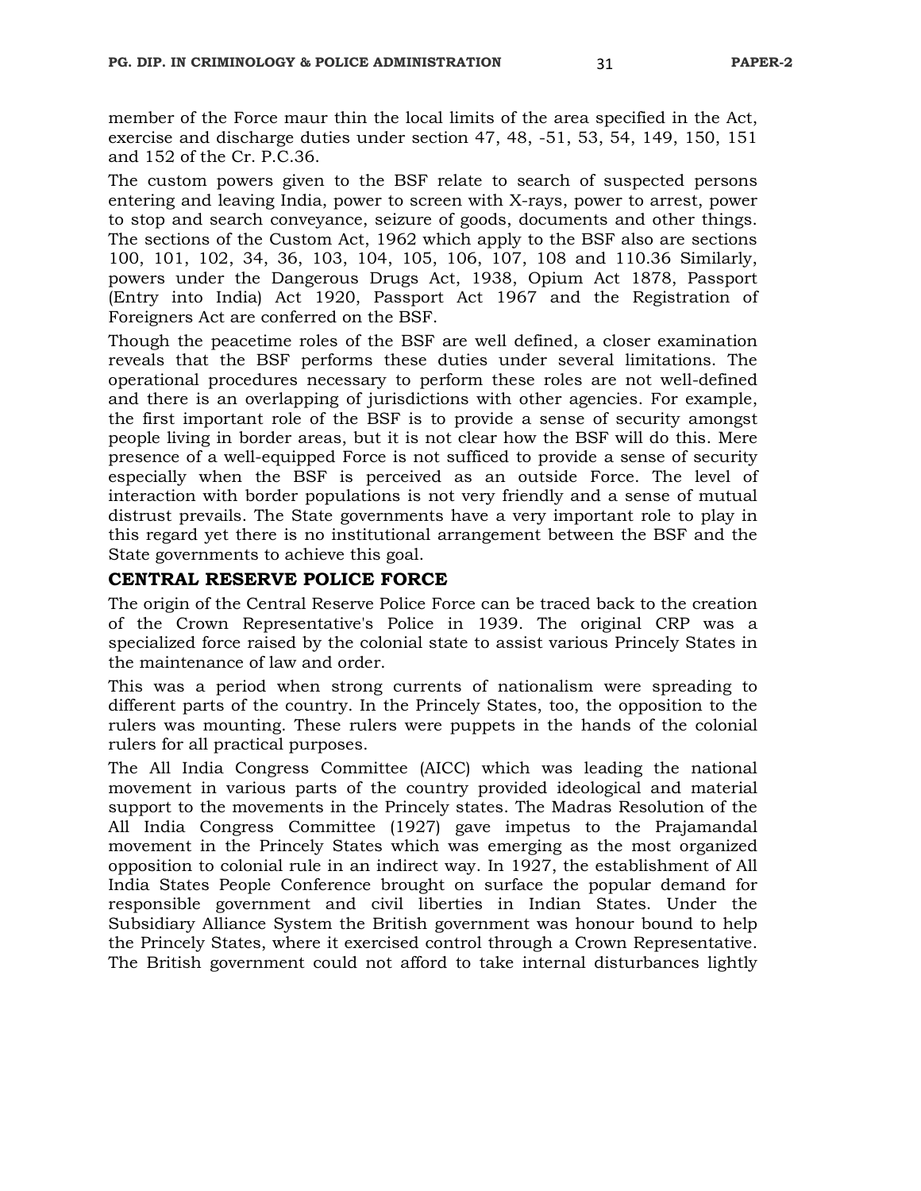member of the Force maur thin the local limits of the area specified in the Act, exercise and discharge duties under section 47, 48, -51, 53, 54, 149, 150, 151 and 152 of the Cr. P.C.36.

The custom powers given to the BSF relate to search of suspected persons entering and leaving India, power to screen with X-rays, power to arrest, power to stop and search conveyance, seizure of goods, documents and other things. The sections of the Custom Act, 1962 which apply to the BSF also are sections 100, 101, 102, 34, 36, 103, 104, 105, 106, 107, 108 and 110.36 Similarly, powers under the Dangerous Drugs Act, 1938, Opium Act 1878, Passport (Entry into India) Act 1920, Passport Act 1967 and the Registration of Foreigners Act are conferred on the BSF.

Though the peacetime roles of the BSF are well defined, a closer examination reveals that the BSF performs these duties under several limitations. The operational procedures necessary to perform these roles are not well-defined and there is an overlapping of jurisdictions with other agencies. For example, the first important role of the BSF is to provide a sense of security amongst people living in border areas, but it is not clear how the BSF will do this. Mere presence of a well-equipped Force is not sufficed to provide a sense of security especially when the BSF is perceived as an outside Force. The level of interaction with border populations is not very friendly and a sense of mutual distrust prevails. The State governments have a very important role to play in this regard yet there is no institutional arrangement between the BSF and the State governments to achieve this goal.

## **CENTRAL RESERVE POLICE FORCE**

The origin of the Central Reserve Police Force can be traced back to the creation of the Crown Representative's Police in 1939. The original CRP was a specialized force raised by the colonial state to assist various Princely States in the maintenance of law and order.

This was a period when strong currents of nationalism were spreading to different parts of the country. In the Princely States, too, the opposition to the rulers was mounting. These rulers were puppets in the hands of the colonial rulers for all practical purposes.

The All India Congress Committee (AICC) which was leading the national movement in various parts of the country provided ideological and material support to the movements in the Princely states. The Madras Resolution of the All India Congress Committee (1927) gave impetus to the Prajamandal movement in the Princely States which was emerging as the most organized opposition to colonial rule in an indirect way. In 1927, the establishment of All India States People Conference brought on surface the popular demand for responsible government and civil liberties in Indian States. Under the Subsidiary Alliance System the British government was honour bound to help the Princely States, where it exercised control through a Crown Representative. The British government could not afford to take internal disturbances lightly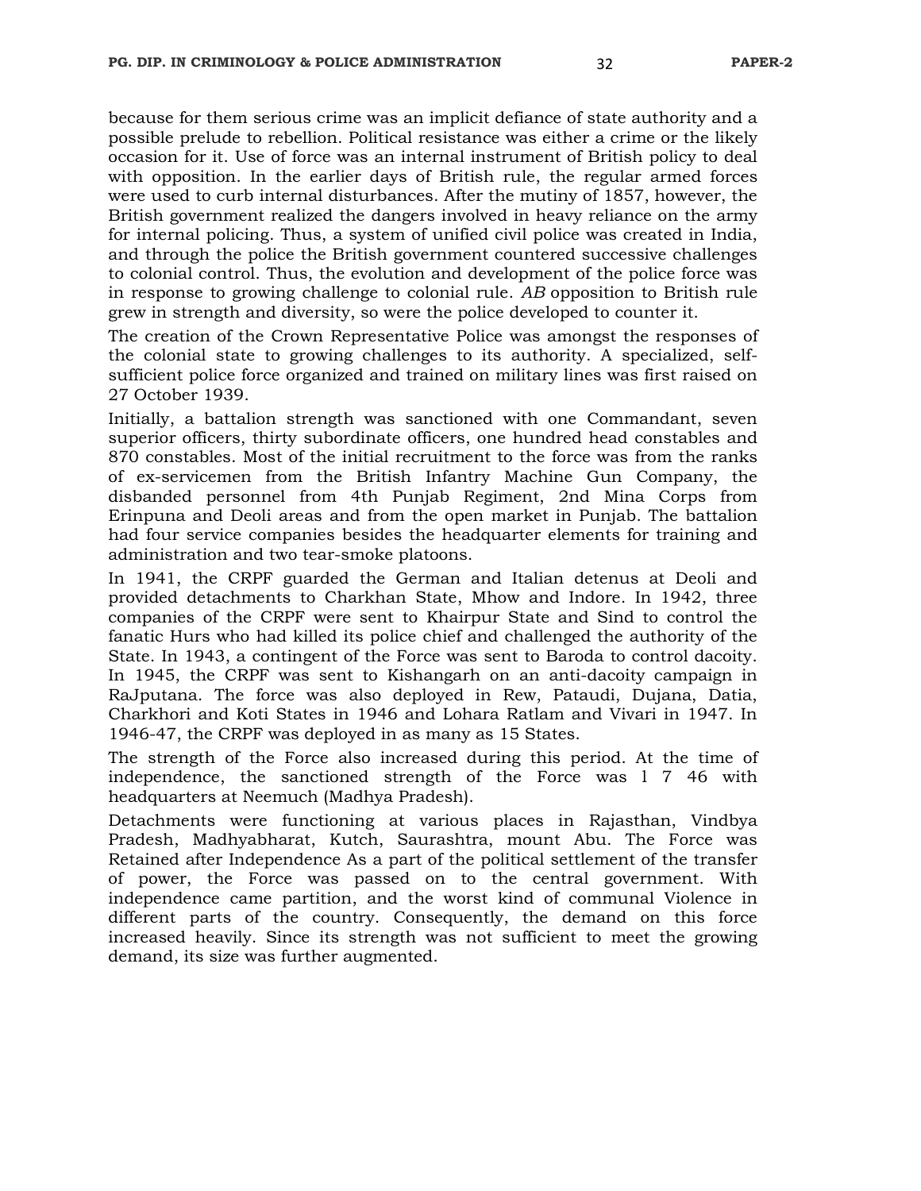because for them serious crime was an implicit defiance of state authority and a possible prelude to rebellion. Political resistance was either a crime or the likely occasion for it. Use of force was an internal instrument of British policy to deal with opposition. In the earlier days of British rule, the regular armed forces were used to curb internal disturbances. After the mutiny of 1857, however, the British government realized the dangers involved in heavy reliance on the army for internal policing. Thus, a system of unified civil police was created in India, and through the police the British government countered successive challenges to colonial control. Thus, the evolution and development of the police force was in response to growing challenge to colonial rule. *AB* opposition to British rule grew in strength and diversity, so were the police developed to counter it.

The creation of the Crown Representative Police was amongst the responses of the colonial state to growing challenges to its authority. A specialized, selfsufficient police force organized and trained on military lines was first raised on 27 October 1939.

Initially, a battalion strength was sanctioned with one Commandant, seven superior officers, thirty subordinate officers, one hundred head constables and 870 constables. Most of the initial recruitment to the force was from the ranks of ex-servicemen from the British Infantry Machine Gun Company, the disbanded personnel from 4th Punjab Regiment, 2nd Mina Corps from Erinpuna and Deoli areas and from the open market in Punjab. The battalion had four service companies besides the headquarter elements for training and administration and two tear-smoke platoons.

In 1941, the CRPF guarded the German and Italian detenus at Deoli and provided detachments to Charkhan State, Mhow and Indore. In 1942, three companies of the CRPF were sent to Khairpur State and Sind to control the fanatic Hurs who had killed its police chief and challenged the authority of the State. In 1943, a contingent of the Force was sent to Baroda to control dacoity. In 1945, the CRPF was sent to Kishangarh on an anti-dacoity campaign in RaJputana. The force was also deployed in Rew, Pataudi, Dujana, Datia, Charkhori and Koti States in 1946 and Lohara Ratlam and Vivari in 1947. In 1946-47, the CRPF was deployed in as many as 15 States.

The strength of the Force also increased during this period. At the time of independence, the sanctioned strength of the Force was l 7 46 with headquarters at Neemuch (Madhya Pradesh).

Detachments were functioning at various places in Rajasthan, Vindbya Pradesh, Madhyabharat, Kutch, Saurashtra, mount Abu. The Force was Retained after Independence As a part of the political settlement of the transfer of power, the Force was passed on to the central government. With independence came partition, and the worst kind of communal Violence in different parts of the country. Consequently, the demand on this force increased heavily. Since its strength was not sufficient to meet the growing demand, its size was further augmented.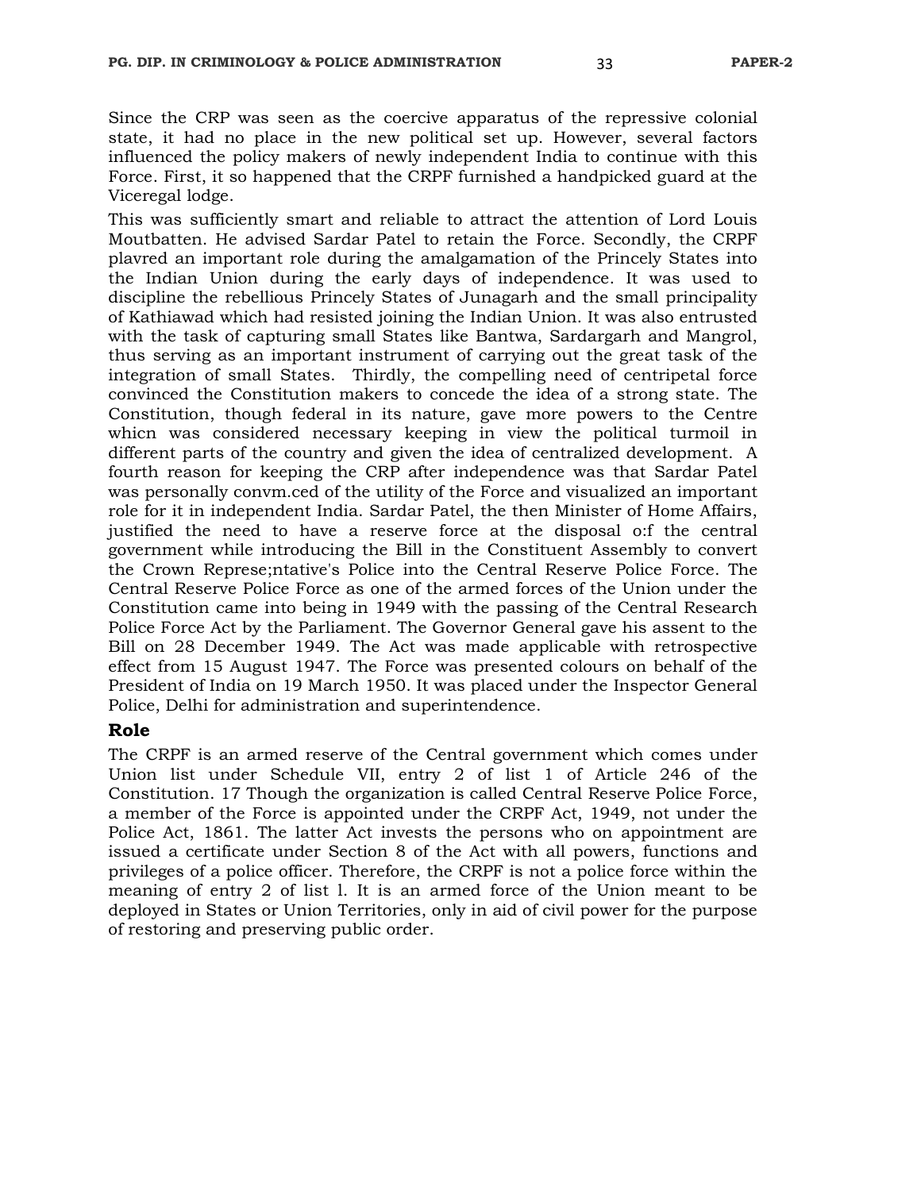Since the CRP was seen as the coercive apparatus of the repressive colonial state, it had no place in the new political set up. However, several factors influenced the policy makers of newly independent India to continue with this Force. First, it so happened that the CRPF furnished a handpicked guard at the Viceregal lodge.

This was sufficiently smart and reliable to attract the attention of Lord Louis Moutbatten. He advised Sardar Patel to retain the Force. Secondly, the CRPF plavred an important role during the amalgamation of the Princely States into the Indian Union during the early days of independence. It was used to discipline the rebellious Princely States of Junagarh and the small principality of Kathiawad which had resisted joining the Indian Union. It was also entrusted with the task of capturing small States like Bantwa, Sardargarh and Mangrol, thus serving as an important instrument of carrying out the great task of the integration of small States. Thirdly, the compelling need of centripetal force convinced the Constitution makers to concede the idea of a strong state. The Constitution, though federal in its nature, gave more powers to the Centre whicn was considered necessary keeping in view the political turmoil in different parts of the country and given the idea of centralized development. A fourth reason for keeping the CRP after independence was that Sardar Patel was personally convm.ced of the utility of the Force and visualized an important role for it in independent India. Sardar Patel, the then Minister of Home Affairs, justified the need to have a reserve force at the disposal o:f the central government while introducing the Bill in the Constituent Assembly to convert the Crown Represe;ntative's Police into the Central Reserve Police Force. The Central Reserve Police Force as one of the armed forces of the Union under the Constitution came into being in 1949 with the passing of the Central Research Police Force Act by the Parliament. The Governor General gave his assent to the Bill on 28 December 1949. The Act was made applicable with retrospective effect from 15 August 1947. The Force was presented colours on behalf of the President of India on 19 March 1950. It was placed under the Inspector General Police, Delhi for administration and superintendence.

#### **Role**

The CRPF is an armed reserve of the Central government which comes under Union list under Schedule VII, entry 2 of list 1 of Article 246 of the Constitution. 17 Though the organization is called Central Reserve Police Force, a member of the Force is appointed under the CRPF Act, 1949, not under the Police Act, 1861. The latter Act invests the persons who on appointment are issued a certificate under Section 8 of the Act with all powers, functions and privileges of a police officer. Therefore, the CRPF is not a police force within the meaning of entry 2 of list l. It is an armed force of the Union meant to be deployed in States or Union Territories, only in aid of civil power for the purpose of restoring and preserving public order.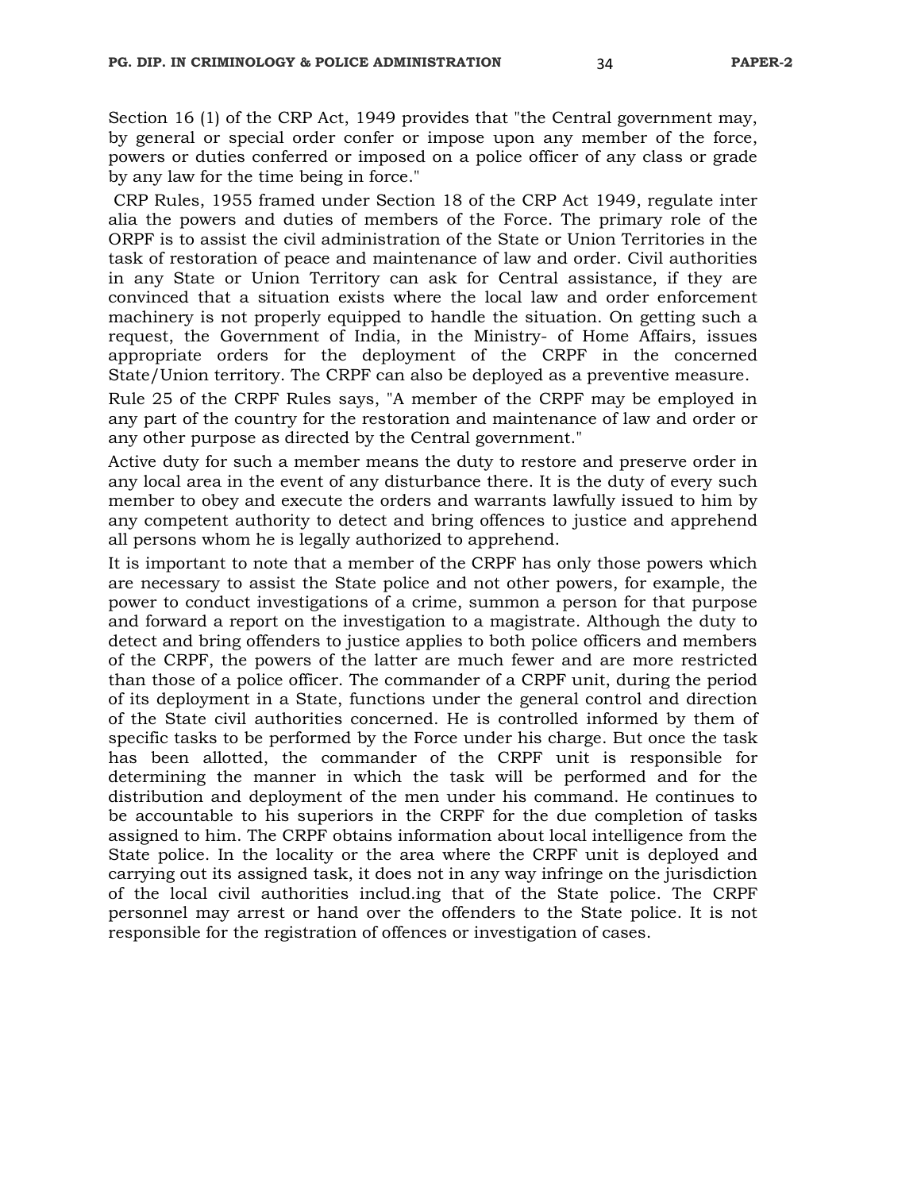Section 16 (1) of the CRP Act, 1949 provides that "the Central government may, by general or special order confer or impose upon any member of the force, powers or duties conferred or imposed on a police officer of any class or grade by any law for the time being in force."

 CRP Rules, 1955 framed under Section 18 of the CRP Act 1949, regulate inter alia the powers and duties of members of the Force. The primary role of the ORPF is to assist the civil administration of the State or Union Territories in the task of restoration of peace and maintenance of law and order. Civil authorities in any State or Union Territory can ask for Central assistance, if they are convinced that a situation exists where the local law and order enforcement machinery is not properly equipped to handle the situation. On getting such a request, the Government of India, in the Ministry- of Home Affairs, issues appropriate orders for the deployment of the CRPF in the concerned State/Union territory. The CRPF can also be deployed as a preventive measure.

Rule 25 of the CRPF Rules says, "A member of the CRPF may be employed in any part of the country for the restoration and maintenance of law and order or any other purpose as directed by the Central government."

Active duty for such a member means the duty to restore and preserve order in any local area in the event of any disturbance there. It is the duty of every such member to obey and execute the orders and warrants lawfully issued to him by any competent authority to detect and bring offences to justice and apprehend all persons whom he is legally authorized to apprehend.

It is important to note that a member of the CRPF has only those powers which are necessary to assist the State police and not other powers, for example, the power to conduct investigations of a crime, summon a person for that purpose and forward a report on the investigation to a magistrate. Although the duty to detect and bring offenders to justice applies to both police officers and members of the CRPF, the powers of the latter are much fewer and are more restricted than those of a police officer. The commander of a CRPF unit, during the period of its deployment in a State, functions under the general control and direction of the State civil authorities concerned. He is controlled informed by them of specific tasks to be performed by the Force under his charge. But once the task has been allotted, the commander of the CRPF unit is responsible for determining the manner in which the task will be performed and for the distribution and deployment of the men under his command. He continues to be accountable to his superiors in the CRPF for the due completion of tasks assigned to him. The CRPF obtains information about local intelligence from the State police. In the locality or the area where the CRPF unit is deployed and carrying out its assigned task, it does not in any way infringe on the jurisdiction of the local civil authorities includ.ing that of the State police. The CRPF personnel may arrest or hand over the offenders to the State police. It is not responsible for the registration of offences or investigation of cases.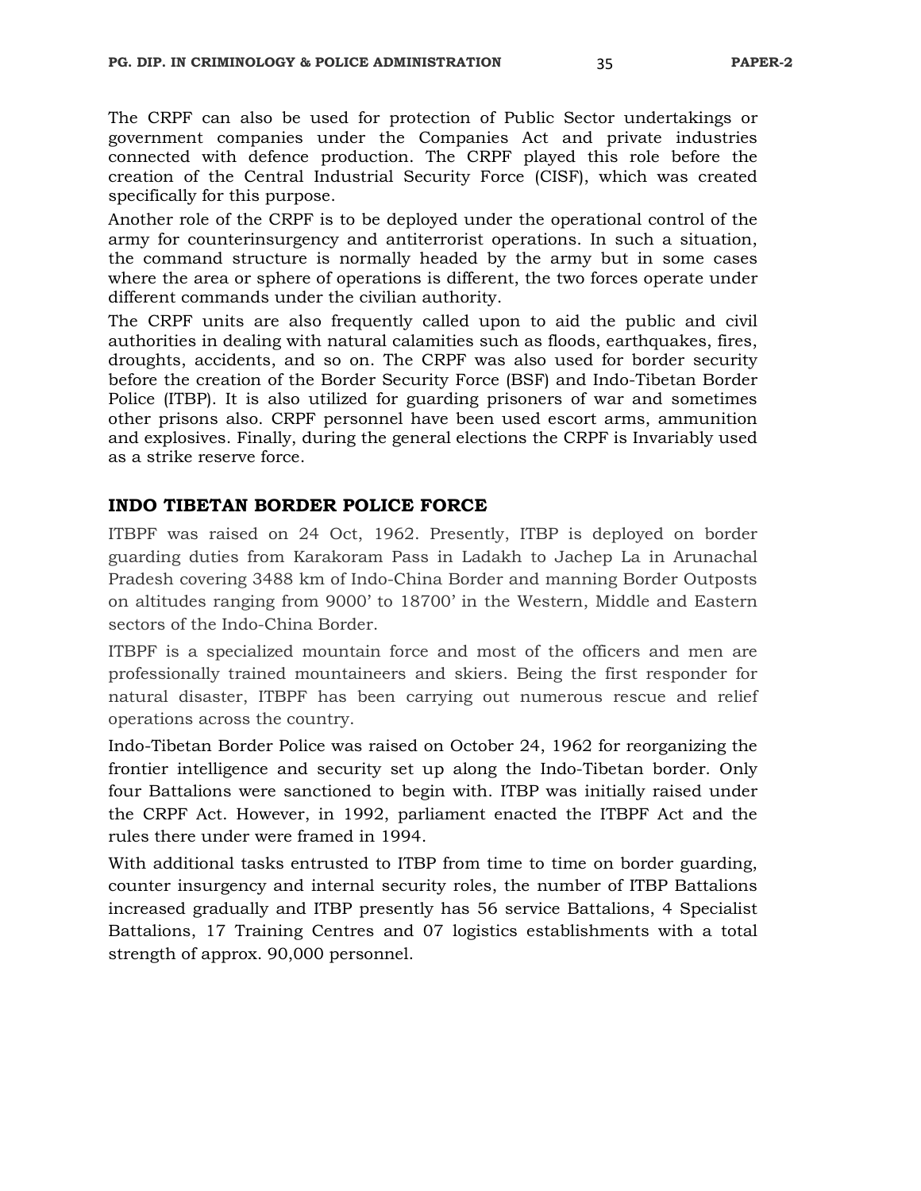The CRPF can also be used for protection of Public Sector undertakings or government companies under the Companies Act and private industries connected with defence production. The CRPF played this role before the creation of the Central Industrial Security Force (CISF), which was created specifically for this purpose.

Another role of the CRPF is to be deployed under the operational control of the army for counterinsurgency and antiterrorist operations. In such a situation, the command structure is normally headed by the army but in some cases where the area or sphere of operations is different, the two forces operate under different commands under the civilian authority.

The CRPF units are also frequently called upon to aid the public and civil authorities in dealing with natural calamities such as floods, earthquakes, fires, droughts, accidents, and so on. The CRPF was also used for border security before the creation of the Border Security Force (BSF) and Indo-Tibetan Border Police (ITBP). It is also utilized for guarding prisoners of war and sometimes other prisons also. CRPF personnel have been used escort arms, ammunition and explosives. Finally, during the general elections the CRPF is Invariably used as a strike reserve force.

## **INDO TIBETAN BORDER POLICE FORCE**

ITBPF was raised on 24 Oct, 1962. Presently, ITBP is deployed on border guarding duties from Karakoram Pass in Ladakh to Jachep La in Arunachal Pradesh covering 3488 km of Indo-China Border and manning Border Outposts on altitudes ranging from 9000' to 18700' in the Western, Middle and Eastern sectors of the Indo-China Border.

ITBPF is a specialized mountain force and most of the officers and men are professionally trained mountaineers and skiers. Being the first responder for natural disaster, ITBPF has been carrying out numerous rescue and relief operations across the country.

Indo-Tibetan Border Police was raised on October 24, 1962 for reorganizing the frontier intelligence and security set up along the Indo-Tibetan border. Only four Battalions were sanctioned to begin with. ITBP was initially raised under the CRPF Act. However, in 1992, parliament enacted the ITBPF Act and the rules there under were framed in 1994.

With additional tasks entrusted to ITBP from time to time on border guarding, counter insurgency and internal security roles, the number of ITBP Battalions increased gradually and ITBP presently has 56 service Battalions, 4 Specialist Battalions, 17 Training Centres and 07 logistics establishments with a total strength of approx. 90,000 personnel.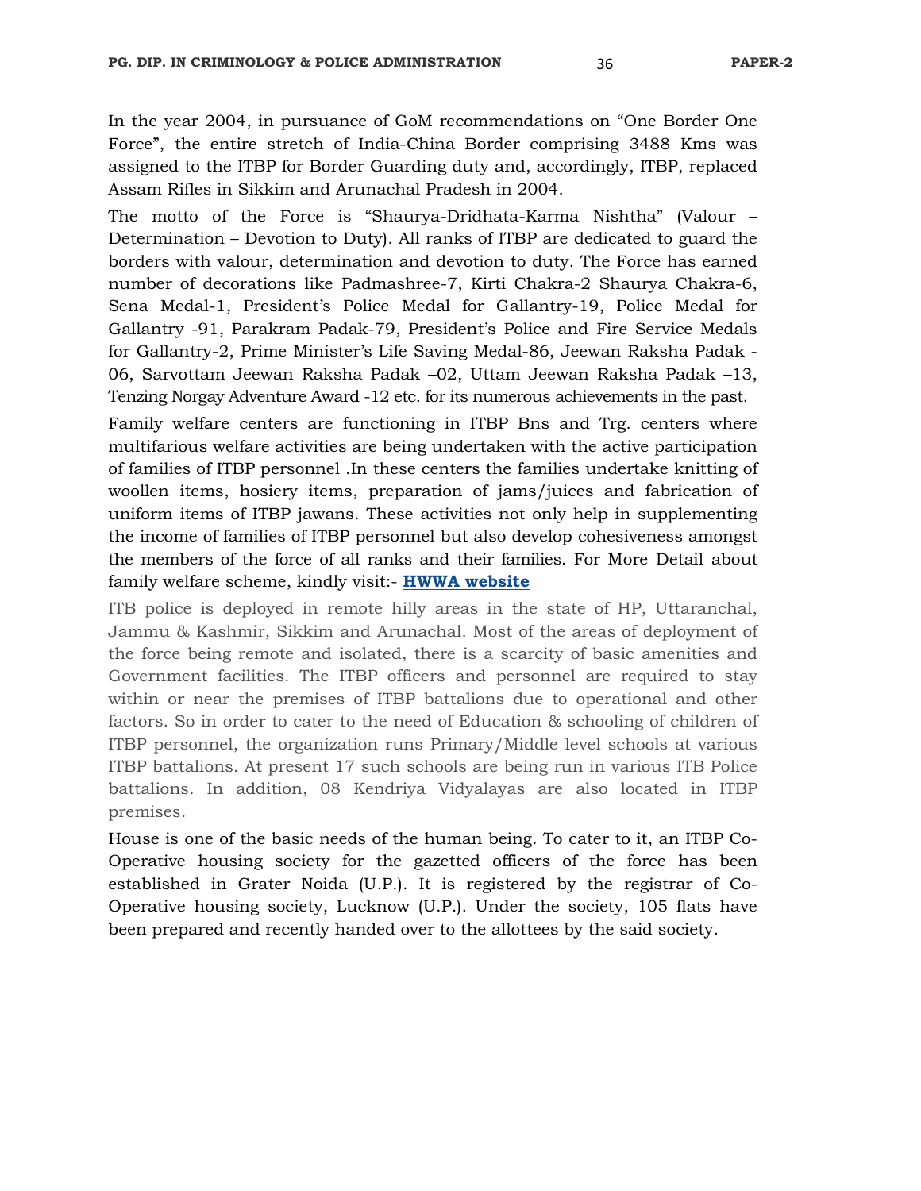The motto of the Force is "Shaurya-Dridhata-Karma Nishtha" (Valour – Determination – Devotion to Duty). All ranks of ITBP are dedicated to guard the borders with valour, determination and devotion to duty. The Force has earned number of decorations like Padmashree-7, Kirti Chakra-2 Shaurya Chakra-6, Sena Medal-1, President's Police Medal for Gallantry-19, Police Medal for Gallantry -91, Parakram Padak-79, President's Police and Fire Service Medals for Gallantry-2, Prime Minister's Life Saving Medal-86, Jeewan Raksha Padak - 06, Sarvottam Jeewan Raksha Padak –02, Uttam Jeewan Raksha Padak –13, Tenzing Norgay Adventure Award -12 etc. for its numerous achievements in the past.

Family welfare centers are functioning in ITBP Bns and Trg. centers where multifarious welfare activities are being undertaken with the active participation of families of ITBP personnel .In these centers the families undertake knitting of woollen items, hosiery items, preparation of jams/juices and fabrication of uniform items of ITBP jawans. These activities not only help in supplementing the income of families of ITBP personnel but also develop cohesiveness amongst the members of the force of all ranks and their families. For More Detail about family welfare scheme, kindly visit:- **HWWA website**

ITB police is deployed in remote hilly areas in the state of HP, Uttaranchal, Jammu & Kashmir, Sikkim and Arunachal. Most of the areas of deployment of the force being remote and isolated, there is a scarcity of basic amenities and Government facilities. The ITBP officers and personnel are required to stay within or near the premises of ITBP battalions due to operational and other factors. So in order to cater to the need of Education & schooling of children of ITBP personnel, the organization runs Primary/Middle level schools at various ITBP battalions. At present 17 such schools are being run in various ITB Police battalions. In addition, 08 Kendriya Vidyalayas are also located in ITBP premises.

House is one of the basic needs of the human being. To cater to it, an ITBP Co-Operative housing society for the gazetted officers of the force has been established in Grater Noida (U.P.). It is registered by the registrar of Co-Operative housing society, Lucknow (U.P.). Under the society, 105 flats have been prepared and recently handed over to the allottees by the said society.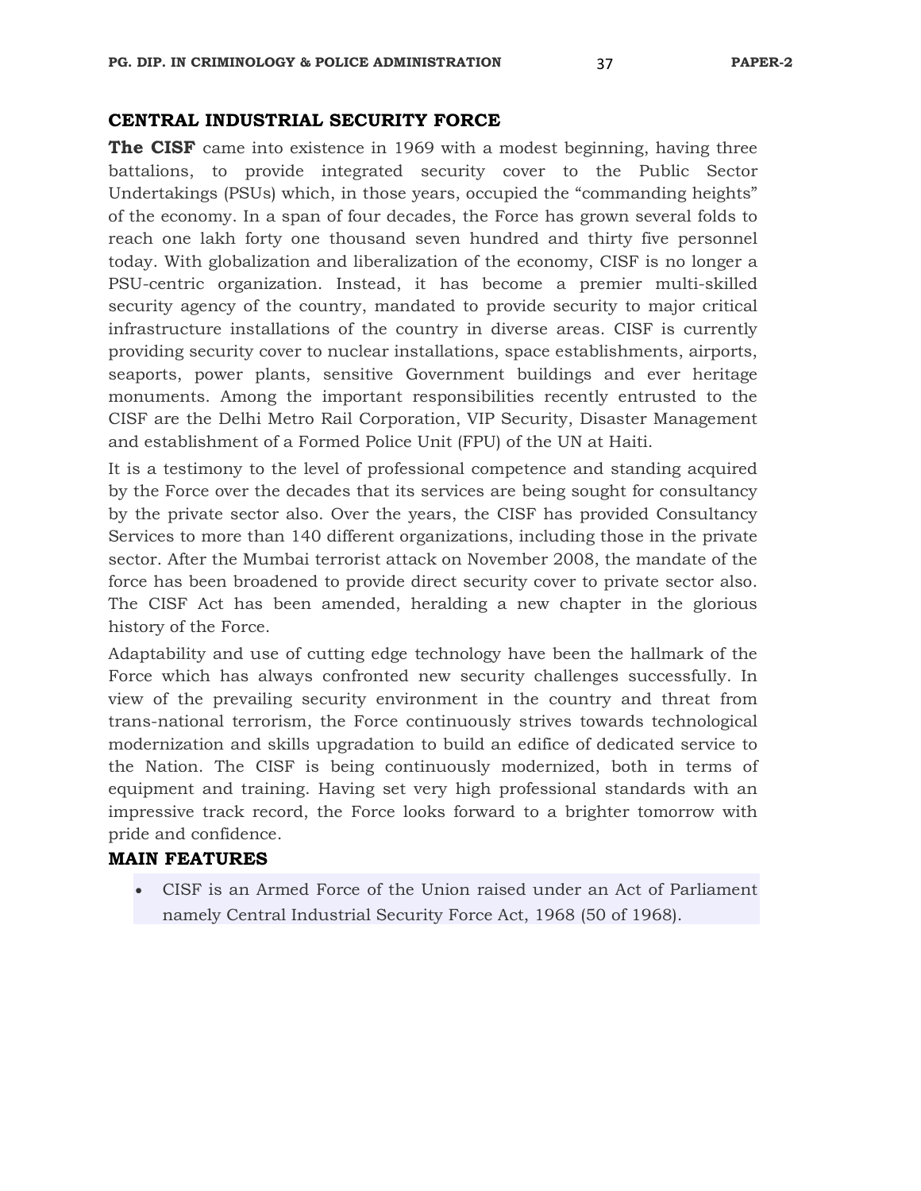### **CENTRAL INDUSTRIAL SECURITY FORCE**

**The CISF** came into existence in 1969 with a modest beginning, having three battalions, to provide integrated security cover to the Public Sector Undertakings (PSUs) which, in those years, occupied the "commanding heights" of the economy. In a span of four decades, the Force has grown several folds to reach one lakh forty one thousand seven hundred and thirty five personnel today. With globalization and liberalization of the economy, CISF is no longer a PSU-centric organization. Instead, it has become a premier multi-skilled security agency of the country, mandated to provide security to major critical infrastructure installations of the country in diverse areas. CISF is currently providing security cover to nuclear installations, space establishments, airports, seaports, power plants, sensitive Government buildings and ever heritage monuments. Among the important responsibilities recently entrusted to the CISF are the Delhi Metro Rail Corporation, VIP Security, Disaster Management and establishment of a Formed Police Unit (FPU) of the UN at Haiti.

It is a testimony to the level of professional competence and standing acquired by the Force over the decades that its services are being sought for consultancy by the private sector also. Over the years, the CISF has provided Consultancy Services to more than 140 different organizations, including those in the private sector. After the Mumbai terrorist attack on November 2008, the mandate of the force has been broadened to provide direct security cover to private sector also. The CISF Act has been amended, heralding a new chapter in the glorious history of the Force.

Adaptability and use of cutting edge technology have been the hallmark of the Force which has always confronted new security challenges successfully. In view of the prevailing security environment in the country and threat from trans-national terrorism, the Force continuously strives towards technological modernization and skills upgradation to build an edifice of dedicated service to the Nation. The CISF is being continuously modernized, both in terms of equipment and training. Having set very high professional standards with an impressive track record, the Force looks forward to a brighter tomorrow with pride and confidence.

#### **MAIN FEATURES**

 CISF is an Armed Force of the Union raised under an Act of Parliament namely Central Industrial Security Force Act, 1968 (50 of 1968).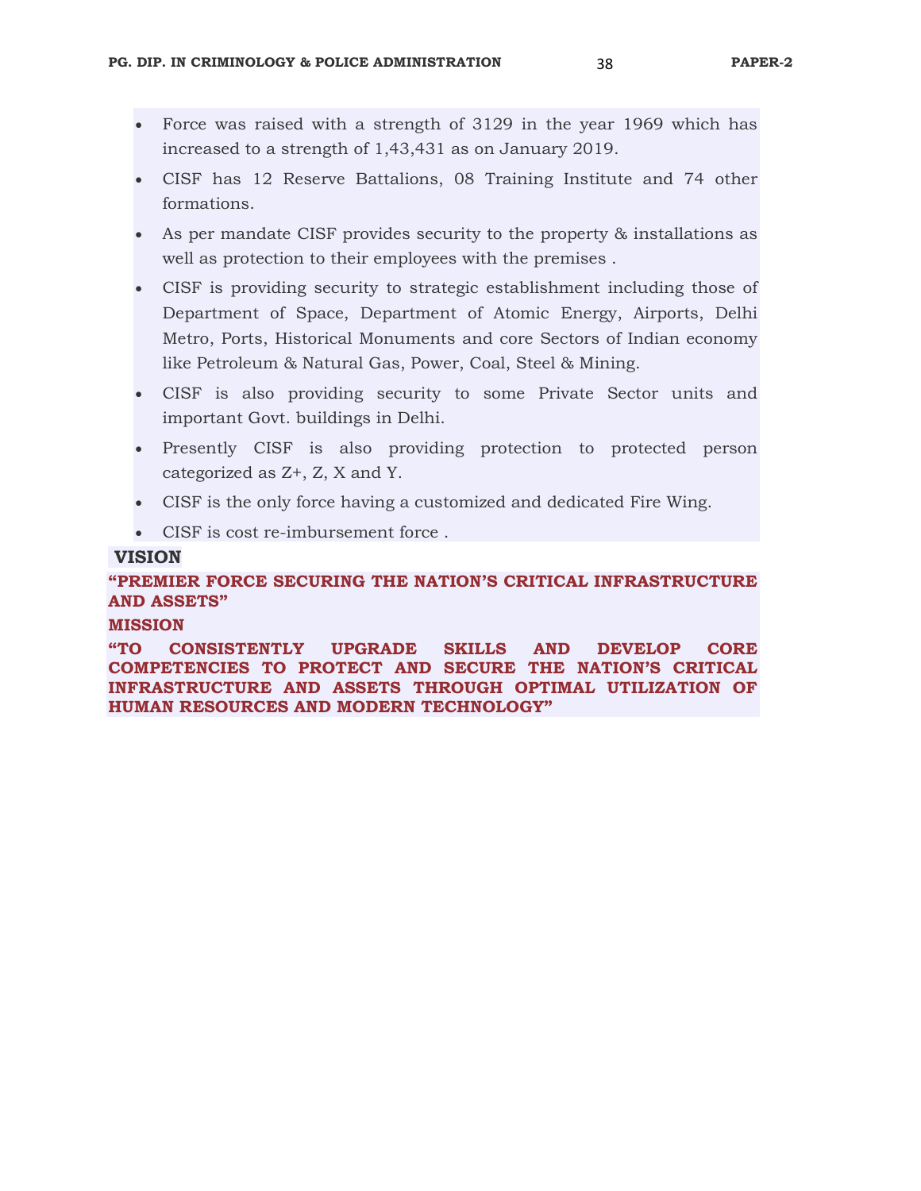- Force was raised with a strength of 3129 in the year 1969 which has increased to a strength of 1,43,431 as on January 2019.
- CISF has 12 Reserve Battalions, 08 Training Institute and 74 other formations.
- As per mandate CISF provides security to the property & installations as well as protection to their employees with the premises .
- CISF is providing security to strategic establishment including those of Department of Space, Department of Atomic Energy, Airports, Delhi Metro, Ports, Historical Monuments and core Sectors of Indian economy like Petroleum & Natural Gas, Power, Coal, Steel & Mining.
- CISF is also providing security to some Private Sector units and important Govt. buildings in Delhi.
- Presently CISF is also providing protection to protected person categorized as Z+, Z, X and Y.
- CISF is the only force having a customized and dedicated Fire Wing.
- CISF is cost re-imbursement force .

### **VISION**

### **"PREMIER FORCE SECURING THE NATION'S CRITICAL INFRASTRUCTURE AND ASSETS"**

#### **MISSION**

**"TO CONSISTENTLY UPGRADE SKILLS AND DEVELOP CORE COMPETENCIES TO PROTECT AND SECURE THE NATION'S CRITICAL INFRASTRUCTURE AND ASSETS THROUGH OPTIMAL UTILIZATION OF HUMAN RESOURCES AND MODERN TECHNOLOGY"**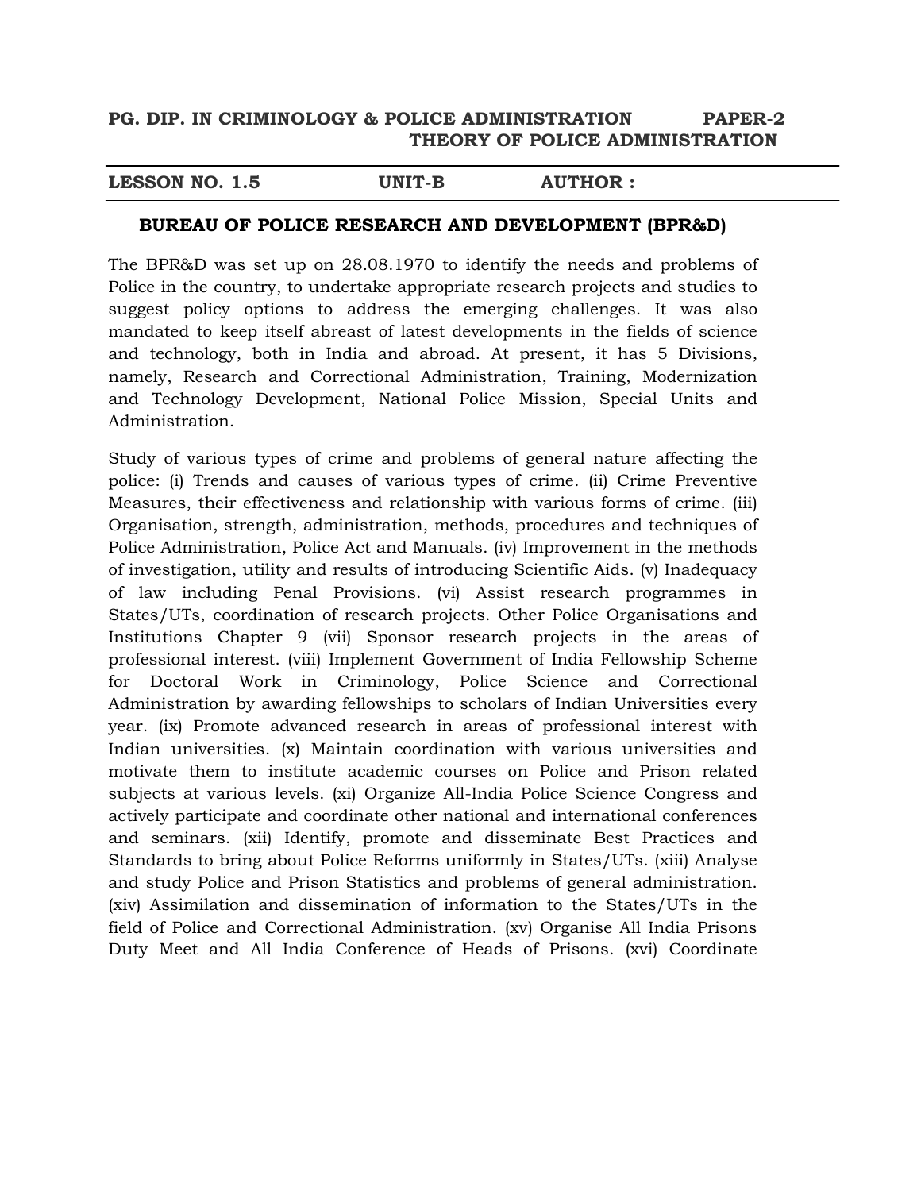## **PG. DIP. IN CRIMINOLOGY & POLICE ADMINISTRATION PAPER-2 THEORY OF POLICE ADMINISTRATION**

## **LESSON NO. 1.5 UNIT-B AUTHOR :**

### **BUREAU OF POLICE RESEARCH AND DEVELOPMENT (BPR&D)**

The BPR&D was set up on 28.08.1970 to identify the needs and problems of Police in the country, to undertake appropriate research projects and studies to suggest policy options to address the emerging challenges. It was also mandated to keep itself abreast of latest developments in the fields of science and technology, both in India and abroad. At present, it has 5 Divisions, namely, Research and Correctional Administration, Training, Modernization and Technology Development, National Police Mission, Special Units and Administration.

Study of various types of crime and problems of general nature affecting the police: (i) Trends and causes of various types of crime. (ii) Crime Preventive Measures, their effectiveness and relationship with various forms of crime. (iii) Organisation, strength, administration, methods, procedures and techniques of Police Administration, Police Act and Manuals. (iv) Improvement in the methods of investigation, utility and results of introducing Scientific Aids. (v) Inadequacy of law including Penal Provisions. (vi) Assist research programmes in States/UTs, coordination of research projects. Other Police Organisations and Institutions Chapter 9 (vii) Sponsor research projects in the areas of professional interest. (viii) Implement Government of India Fellowship Scheme for Doctoral Work in Criminology, Police Science and Correctional Administration by awarding fellowships to scholars of Indian Universities every year. (ix) Promote advanced research in areas of professional interest with Indian universities. (x) Maintain coordination with various universities and motivate them to institute academic courses on Police and Prison related subjects at various levels. (xi) Organize All-India Police Science Congress and actively participate and coordinate other national and international conferences and seminars. (xii) Identify, promote and disseminate Best Practices and Standards to bring about Police Reforms uniformly in States/UTs. (xiii) Analyse and study Police and Prison Statistics and problems of general administration. (xiv) Assimilation and dissemination of information to the States/UTs in the field of Police and Correctional Administration. (xv) Organise All India Prisons Duty Meet and All India Conference of Heads of Prisons. (xvi) Coordinate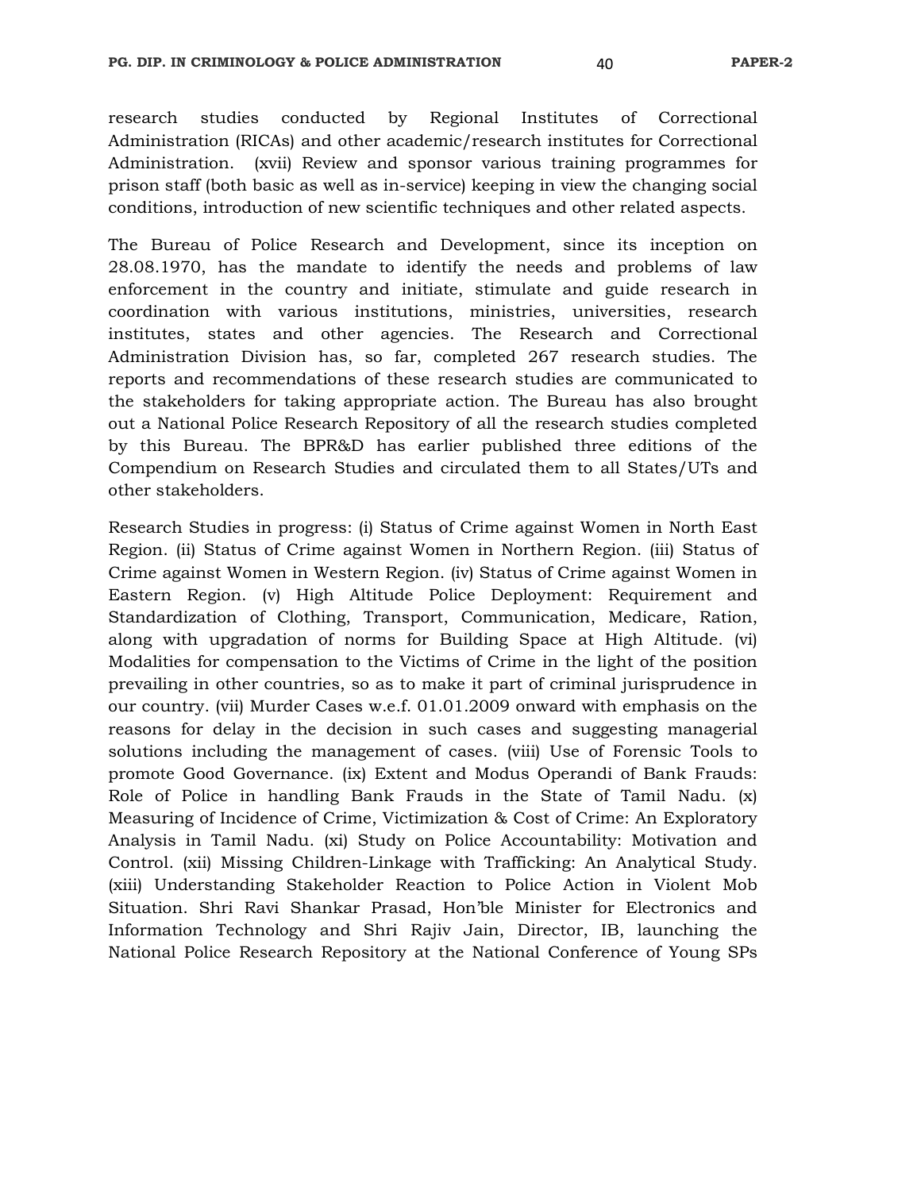research studies conducted by Regional Institutes of Correctional Administration (RICAs) and other academic/research institutes for Correctional Administration. (xvii) Review and sponsor various training programmes for prison staff (both basic as well as in-service) keeping in view the changing social conditions, introduction of new scientific techniques and other related aspects.

The Bureau of Police Research and Development, since its inception on 28.08.1970, has the mandate to identify the needs and problems of law enforcement in the country and initiate, stimulate and guide research in coordination with various institutions, ministries, universities, research institutes, states and other agencies. The Research and Correctional Administration Division has, so far, completed 267 research studies. The reports and recommendations of these research studies are communicated to the stakeholders for taking appropriate action. The Bureau has also brought out a National Police Research Repository of all the research studies completed by this Bureau. The BPR&D has earlier published three editions of the Compendium on Research Studies and circulated them to all States/UTs and other stakeholders.

Research Studies in progress: (i) Status of Crime against Women in North East Region. (ii) Status of Crime against Women in Northern Region. (iii) Status of Crime against Women in Western Region. (iv) Status of Crime against Women in Eastern Region. (v) High Altitude Police Deployment: Requirement and Standardization of Clothing, Transport, Communication, Medicare, Ration, along with upgradation of norms for Building Space at High Altitude. (vi) Modalities for compensation to the Victims of Crime in the light of the position prevailing in other countries, so as to make it part of criminal jurisprudence in our country. (vii) Murder Cases w.e.f. 01.01.2009 onward with emphasis on the reasons for delay in the decision in such cases and suggesting managerial solutions including the management of cases. (viii) Use of Forensic Tools to promote Good Governance. (ix) Extent and Modus Operandi of Bank Frauds: Role of Police in handling Bank Frauds in the State of Tamil Nadu. (x) Measuring of Incidence of Crime, Victimization & Cost of Crime: An Exploratory Analysis in Tamil Nadu. (xi) Study on Police Accountability: Motivation and Control. (xii) Missing Children-Linkage with Trafficking: An Analytical Study. (xiii) Understanding Stakeholder Reaction to Police Action in Violent Mob Situation. Shri Ravi Shankar Prasad, Hon'ble Minister for Electronics and Information Technology and Shri Rajiv Jain, Director, IB, launching the National Police Research Repository at the National Conference of Young SPs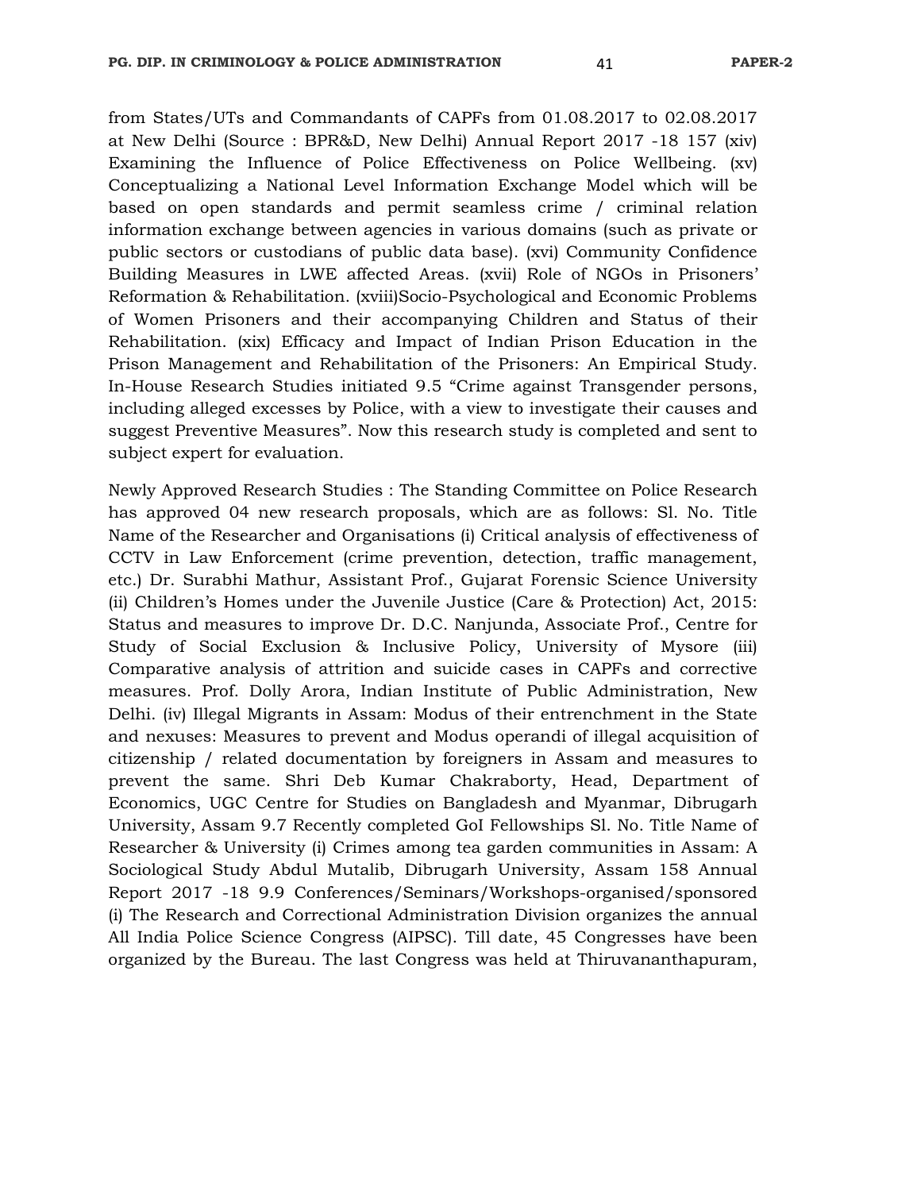from States/UTs and Commandants of CAPFs from 01.08.2017 to 02.08.2017 at New Delhi (Source : BPR&D, New Delhi) Annual Report 2017 -18 157 (xiv) Examining the Influence of Police Effectiveness on Police Wellbeing. (xv) Conceptualizing a National Level Information Exchange Model which will be based on open standards and permit seamless crime / criminal relation information exchange between agencies in various domains (such as private or public sectors or custodians of public data base). (xvi) Community Confidence Building Measures in LWE affected Areas. (xvii) Role of NGOs in Prisoners' Reformation & Rehabilitation. (xviii)Socio-Psychological and Economic Problems of Women Prisoners and their accompanying Children and Status of their Rehabilitation. (xix) Efficacy and Impact of Indian Prison Education in the Prison Management and Rehabilitation of the Prisoners: An Empirical Study. In-House Research Studies initiated 9.5 "Crime against Transgender persons, including alleged excesses by Police, with a view to investigate their causes and suggest Preventive Measures". Now this research study is completed and sent to subject expert for evaluation.

Newly Approved Research Studies : The Standing Committee on Police Research has approved 04 new research proposals, which are as follows: Sl. No. Title Name of the Researcher and Organisations (i) Critical analysis of effectiveness of CCTV in Law Enforcement (crime prevention, detection, traffic management, etc.) Dr. Surabhi Mathur, Assistant Prof., Gujarat Forensic Science University (ii) Children's Homes under the Juvenile Justice (Care & Protection) Act, 2015: Status and measures to improve Dr. D.C. Nanjunda, Associate Prof., Centre for Study of Social Exclusion & Inclusive Policy, University of Mysore (iii) Comparative analysis of attrition and suicide cases in CAPFs and corrective measures. Prof. Dolly Arora, Indian Institute of Public Administration, New Delhi. (iv) Illegal Migrants in Assam: Modus of their entrenchment in the State and nexuses: Measures to prevent and Modus operandi of illegal acquisition of citizenship / related documentation by foreigners in Assam and measures to prevent the same. Shri Deb Kumar Chakraborty, Head, Department of Economics, UGC Centre for Studies on Bangladesh and Myanmar, Dibrugarh University, Assam 9.7 Recently completed GoI Fellowships Sl. No. Title Name of Researcher & University (i) Crimes among tea garden communities in Assam: A Sociological Study Abdul Mutalib, Dibrugarh University, Assam 158 Annual Report 2017 -18 9.9 Conferences/Seminars/Workshops-organised/sponsored (i) The Research and Correctional Administration Division organizes the annual All India Police Science Congress (AIPSC). Till date, 45 Congresses have been organized by the Bureau. The last Congress was held at Thiruvananthapuram,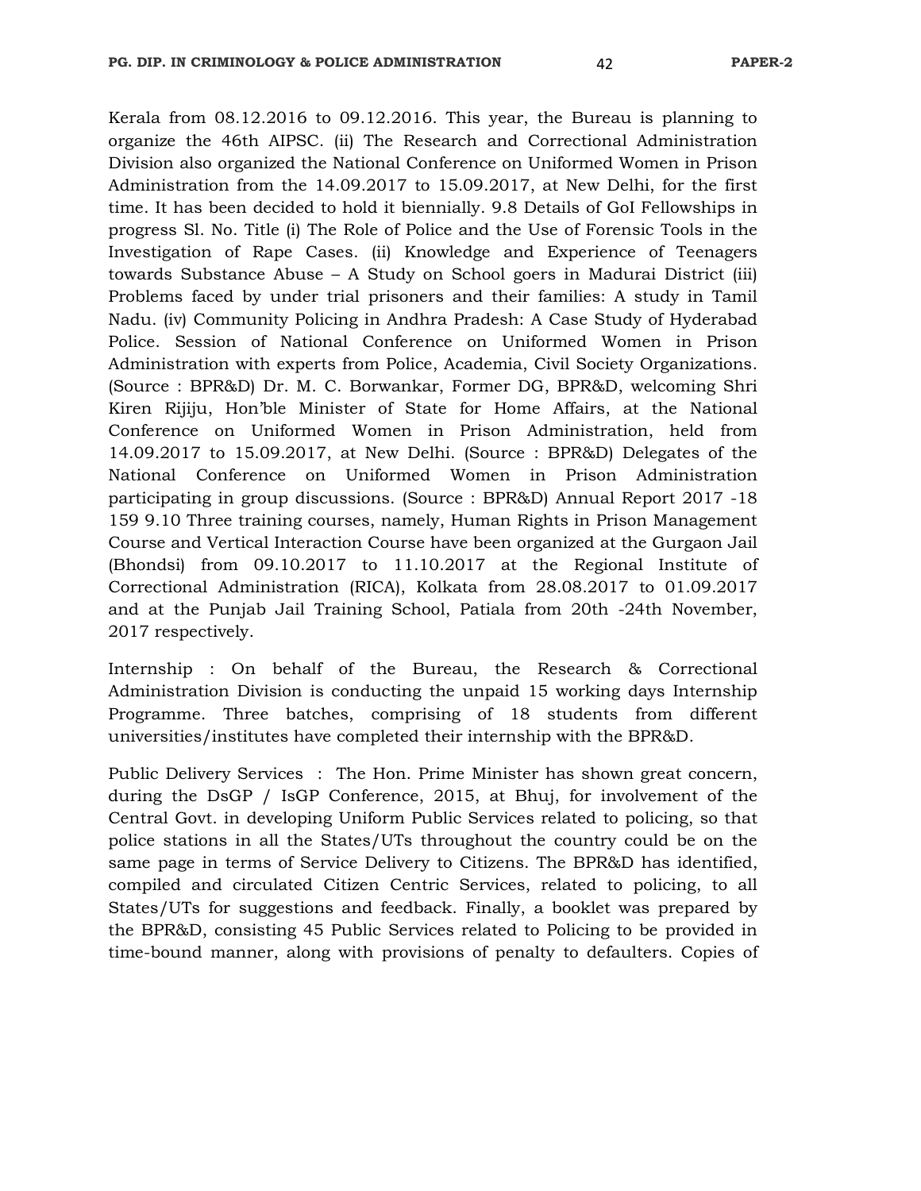Kerala from 08.12.2016 to 09.12.2016. This year, the Bureau is planning to organize the 46th AIPSC. (ii) The Research and Correctional Administration Division also organized the National Conference on Uniformed Women in Prison Administration from the 14.09.2017 to 15.09.2017, at New Delhi, for the first time. It has been decided to hold it biennially. 9.8 Details of GoI Fellowships in progress Sl. No. Title (i) The Role of Police and the Use of Forensic Tools in the Investigation of Rape Cases. (ii) Knowledge and Experience of Teenagers towards Substance Abuse – A Study on School goers in Madurai District (iii) Problems faced by under trial prisoners and their families: A study in Tamil Nadu. (iv) Community Policing in Andhra Pradesh: A Case Study of Hyderabad Police. Session of National Conference on Uniformed Women in Prison Administration with experts from Police, Academia, Civil Society Organizations. (Source : BPR&D) Dr. M. C. Borwankar, Former DG, BPR&D, welcoming Shri Kiren Rijiju, Hon'ble Minister of State for Home Affairs, at the National Conference on Uniformed Women in Prison Administration, held from 14.09.2017 to 15.09.2017, at New Delhi. (Source : BPR&D) Delegates of the National Conference on Uniformed Women in Prison Administration participating in group discussions. (Source : BPR&D) Annual Report 2017 -18 159 9.10 Three training courses, namely, Human Rights in Prison Management Course and Vertical Interaction Course have been organized at the Gurgaon Jail (Bhondsi) from 09.10.2017 to 11.10.2017 at the Regional Institute of Correctional Administration (RICA), Kolkata from 28.08.2017 to 01.09.2017 and at the Punjab Jail Training School, Patiala from 20th -24th November, 2017 respectively.

Internship : On behalf of the Bureau, the Research & Correctional Administration Division is conducting the unpaid 15 working days Internship Programme. Three batches, comprising of 18 students from different universities/institutes have completed their internship with the BPR&D.

Public Delivery Services : The Hon. Prime Minister has shown great concern, during the DsGP / IsGP Conference, 2015, at Bhuj, for involvement of the Central Govt. in developing Uniform Public Services related to policing, so that police stations in all the States/UTs throughout the country could be on the same page in terms of Service Delivery to Citizens. The BPR&D has identified, compiled and circulated Citizen Centric Services, related to policing, to all States/UTs for suggestions and feedback. Finally, a booklet was prepared by the BPR&D, consisting 45 Public Services related to Policing to be provided in time-bound manner, along with provisions of penalty to defaulters. Copies of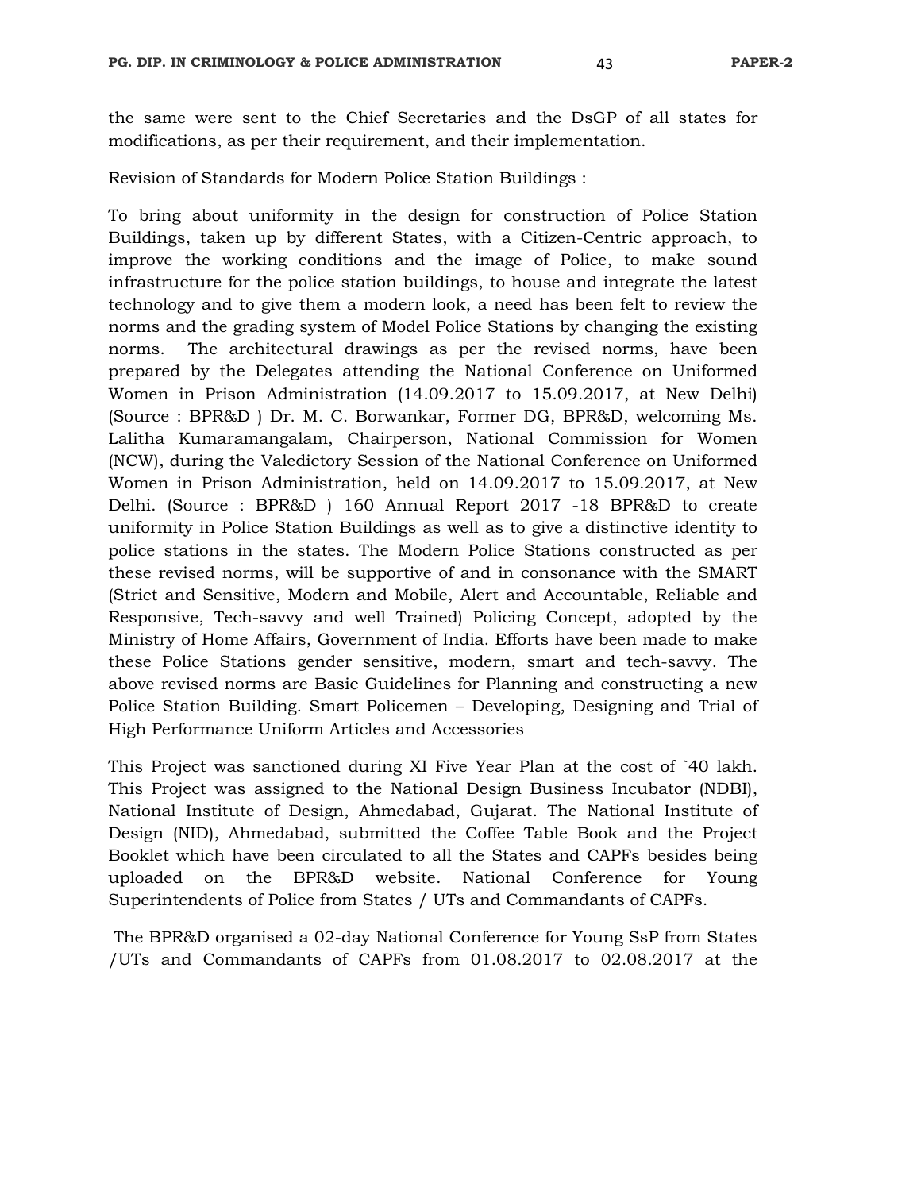the same were sent to the Chief Secretaries and the DsGP of all states for modifications, as per their requirement, and their implementation.

Revision of Standards for Modern Police Station Buildings :

To bring about uniformity in the design for construction of Police Station Buildings, taken up by different States, with a Citizen-Centric approach, to improve the working conditions and the image of Police, to make sound infrastructure for the police station buildings, to house and integrate the latest technology and to give them a modern look, a need has been felt to review the norms and the grading system of Model Police Stations by changing the existing norms. The architectural drawings as per the revised norms, have been prepared by the Delegates attending the National Conference on Uniformed Women in Prison Administration (14.09.2017 to 15.09.2017, at New Delhi) (Source : BPR&D ) Dr. M. C. Borwankar, Former DG, BPR&D, welcoming Ms. Lalitha Kumaramangalam, Chairperson, National Commission for Women (NCW), during the Valedictory Session of the National Conference on Uniformed Women in Prison Administration, held on 14.09.2017 to 15.09.2017, at New Delhi. (Source : BPR&D ) 160 Annual Report 2017 -18 BPR&D to create uniformity in Police Station Buildings as well as to give a distinctive identity to police stations in the states. The Modern Police Stations constructed as per these revised norms, will be supportive of and in consonance with the SMART (Strict and Sensitive, Modern and Mobile, Alert and Accountable, Reliable and Responsive, Tech-savvy and well Trained) Policing Concept, adopted by the Ministry of Home Affairs, Government of India. Efforts have been made to make these Police Stations gender sensitive, modern, smart and tech-savvy. The above revised norms are Basic Guidelines for Planning and constructing a new Police Station Building. Smart Policemen – Developing, Designing and Trial of High Performance Uniform Articles and Accessories

This Project was sanctioned during XI Five Year Plan at the cost of `40 lakh. This Project was assigned to the National Design Business Incubator (NDBI), National Institute of Design, Ahmedabad, Gujarat. The National Institute of Design (NID), Ahmedabad, submitted the Coffee Table Book and the Project Booklet which have been circulated to all the States and CAPFs besides being uploaded on the BPR&D website. National Conference for Young Superintendents of Police from States / UTs and Commandants of CAPFs.

 The BPR&D organised a 02-day National Conference for Young SsP from States /UTs and Commandants of CAPFs from 01.08.2017 to 02.08.2017 at the